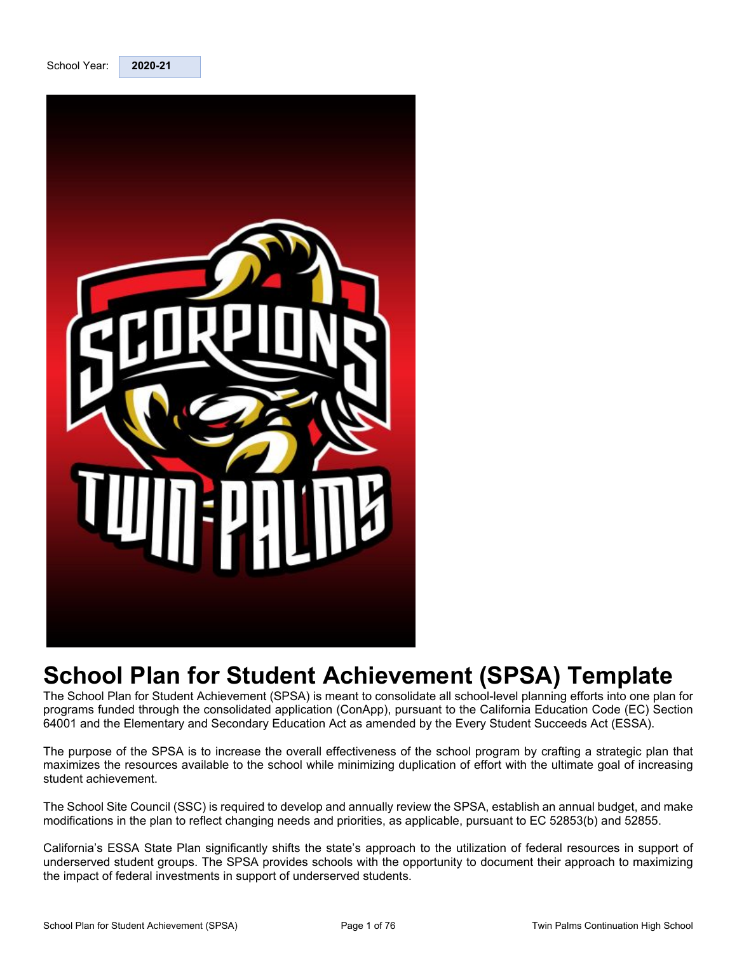

<span id="page-0-0"></span>

# **School Plan for Student Achievement (SPSA) Template**

The School Plan for Student Achievement (SPSA) is meant to consolidate all school-level planning efforts into one plan for programs funded through the consolidated application (ConApp), pursuant to the California Education Code (EC) Section 64001 and the Elementary and Secondary Education Act as amended by the Every Student Succeeds Act (ESSA).

The purpose of the SPSA is to increase the overall effectiveness of the school program by crafting a strategic plan that maximizes the resources available to the school while minimizing duplication of effort with the ultimate goal of increasing student achievement.

The School Site Council (SSC) is required to develop and annually review the SPSA, establish an annual budget, and make modifications in the plan to reflect changing needs and priorities, as applicable, pursuant to EC 52853(b) and 52855.

California's ESSA State Plan significantly shifts the state's approach to the utilization of federal resources in support of underserved student groups. The SPSA provides schools with the opportunity to document their approach to maximizing the impact of federal investments in support of underserved students.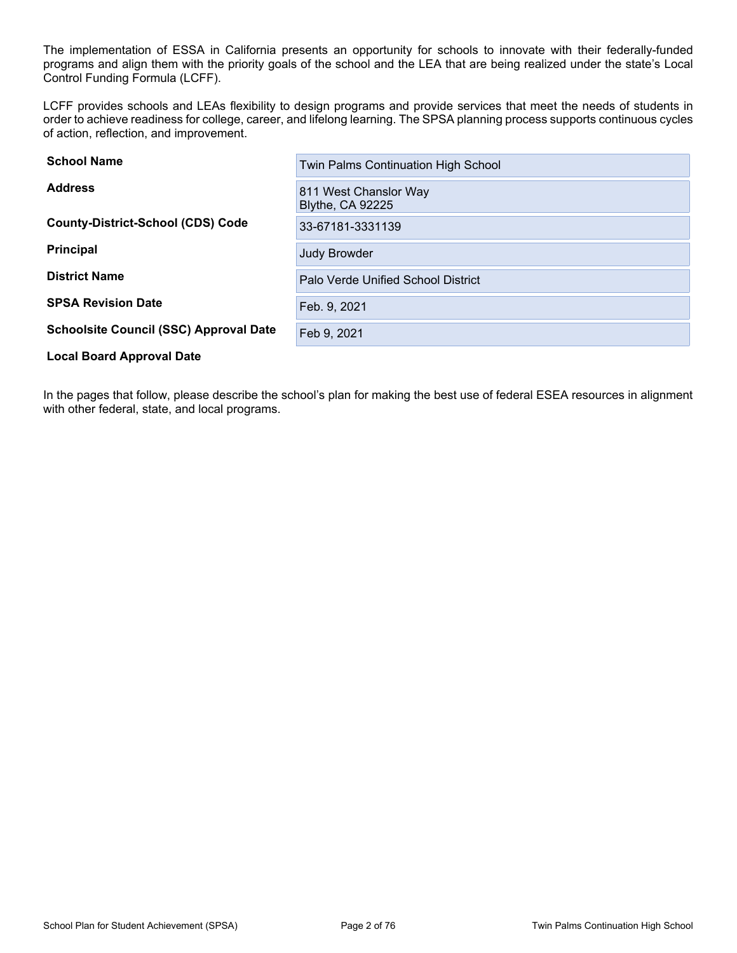The implementation of ESSA in California presents an opportunity for schools to innovate with their federally-funded programs and align them with the priority goals of the school and the LEA that are being realized under the state's Local Control Funding Formula (LCFF).

LCFF provides schools and LEAs flexibility to design programs and provide services that meet the needs of students in order to achieve readiness for college, career, and lifelong learning. The SPSA planning process supports continuous cycles of action, reflection, and improvement.

| <b>School Name</b>                            | <b>Twin Palms Continuation High School</b>       |
|-----------------------------------------------|--------------------------------------------------|
| <b>Address</b>                                | 811 West Chanslor Way<br><b>Blythe, CA 92225</b> |
| <b>County-District-School (CDS) Code</b>      | 33-67181-3331139                                 |
| <b>Principal</b>                              | <b>Judy Browder</b>                              |
| <b>District Name</b>                          | Palo Verde Unified School District               |
| <b>SPSA Revision Date</b>                     | Feb. 9, 2021                                     |
| <b>Schoolsite Council (SSC) Approval Date</b> | Feb 9, 2021                                      |
| <b>Local Board Approval Date</b>              |                                                  |

In the pages that follow, please describe the school's plan for making the best use of federal ESEA resources in alignment with other federal, state, and local programs.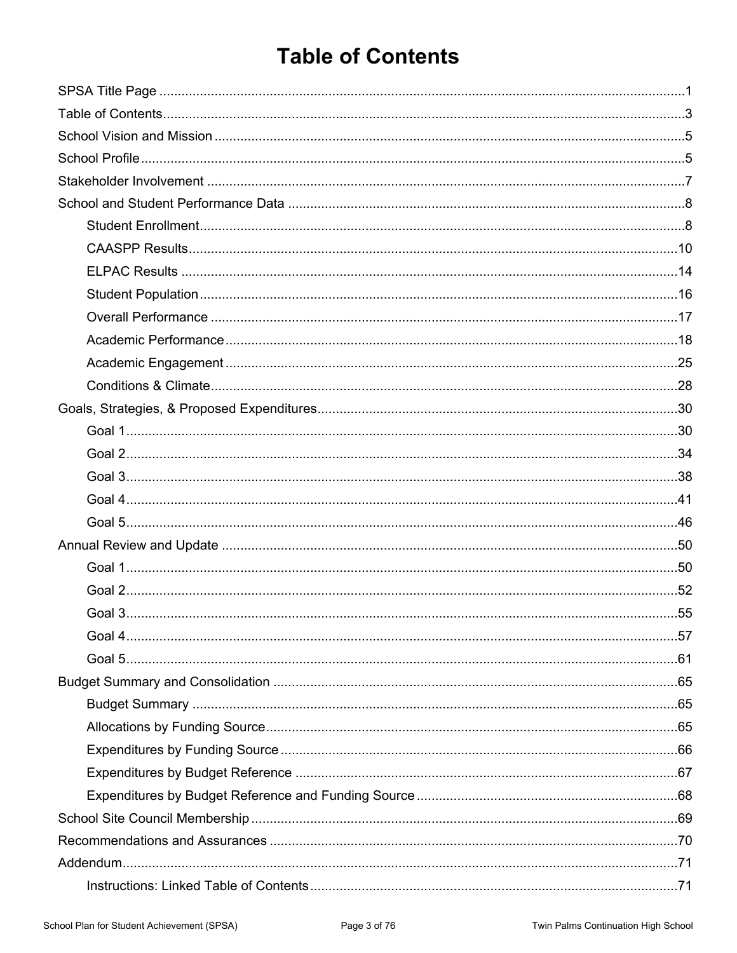# <span id="page-2-0"></span>**Table of Contents**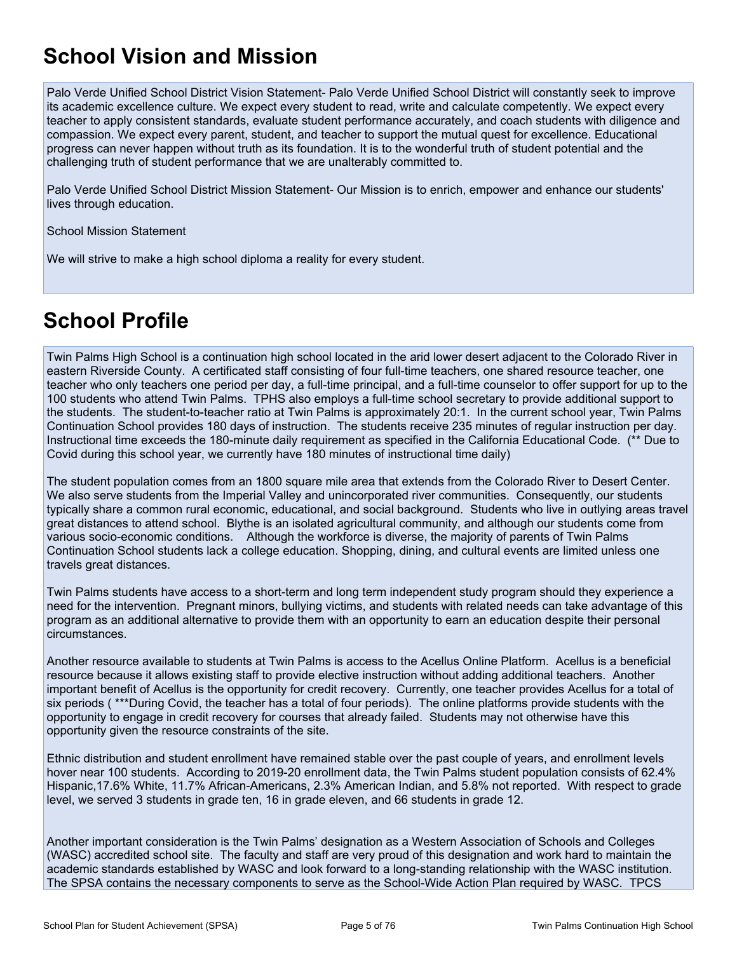# <span id="page-4-0"></span>**School Vision and Mission**

Palo Verde Unified School District Vision Statement- Palo Verde Unified School District will constantly seek to improve its academic excellence culture. We expect every student to read, write and calculate competently. We expect every teacher to apply consistent standards, evaluate student performance accurately, and coach students with diligence and compassion. We expect every parent, student, and teacher to support the mutual quest for excellence. Educational progress can never happen without truth as its foundation. It is to the wonderful truth of student potential and the challenging truth of student performance that we are unalterably committed to.

Palo Verde Unified School District Mission Statement- Our Mission is to enrich, empower and enhance our students' lives through education.

School Mission Statement

We will strive to make a high school diploma a reality for every student.

# <span id="page-4-1"></span>**School Profile**

Twin Palms High School is a continuation high school located in the arid lower desert adjacent to the Colorado River in eastern Riverside County. A certificated staff consisting of four full-time teachers, one shared resource teacher, one teacher who only teachers one period per day, a full-time principal, and a full-time counselor to offer support for up to the 100 students who attend Twin Palms. TPHS also employs a full-time school secretary to provide additional support to the students. The student-to-teacher ratio at Twin Palms is approximately 20:1. In the current school year, Twin Palms Continuation School provides 180 days of instruction. The students receive 235 minutes of regular instruction per day. Instructional time exceeds the 180-minute daily requirement as specified in the California Educational Code. (\*\* Due to Covid during this school year, we currently have 180 minutes of instructional time daily)

The student population comes from an 1800 square mile area that extends from the Colorado River to Desert Center. We also serve students from the Imperial Valley and unincorporated river communities. Consequently, our students typically share a common rural economic, educational, and social background. Students who live in outlying areas travel great distances to attend school. Blythe is an isolated agricultural community, and although our students come from various socio-economic conditions. Although the workforce is diverse, the majority of parents of Twin Palms Continuation School students lack a college education. Shopping, dining, and cultural events are limited unless one travels great distances.

Twin Palms students have access to a short-term and long term independent study program should they experience a need for the intervention. Pregnant minors, bullying victims, and students with related needs can take advantage of this program as an additional alternative to provide them with an opportunity to earn an education despite their personal circumstances.

Another resource available to students at Twin Palms is access to the Acellus Online Platform. Acellus is a beneficial resource because it allows existing staff to provide elective instruction without adding additional teachers. Another important benefit of Acellus is the opportunity for credit recovery. Currently, one teacher provides Acellus for a total of six periods ( \*\*\*During Covid, the teacher has a total of four periods). The online platforms provide students with the opportunity to engage in credit recovery for courses that already failed. Students may not otherwise have this opportunity given the resource constraints of the site.

Ethnic distribution and student enrollment have remained stable over the past couple of years, and enrollment levels hover near 100 students. According to 2019-20 enrollment data, the Twin Palms student population consists of 62.4% Hispanic,17.6% White, 11.7% African-Americans, 2.3% American Indian, and 5.8% not reported. With respect to grade level, we served 3 students in grade ten, 16 in grade eleven, and 66 students in grade 12.

Another important consideration is the Twin Palms' designation as a Western Association of Schools and Colleges (WASC) accredited school site. The faculty and staff are very proud of this designation and work hard to maintain the academic standards established by WASC and look forward to a long-standing relationship with the WASC institution. The SPSA contains the necessary components to serve as the School-Wide Action Plan required by WASC. TPCS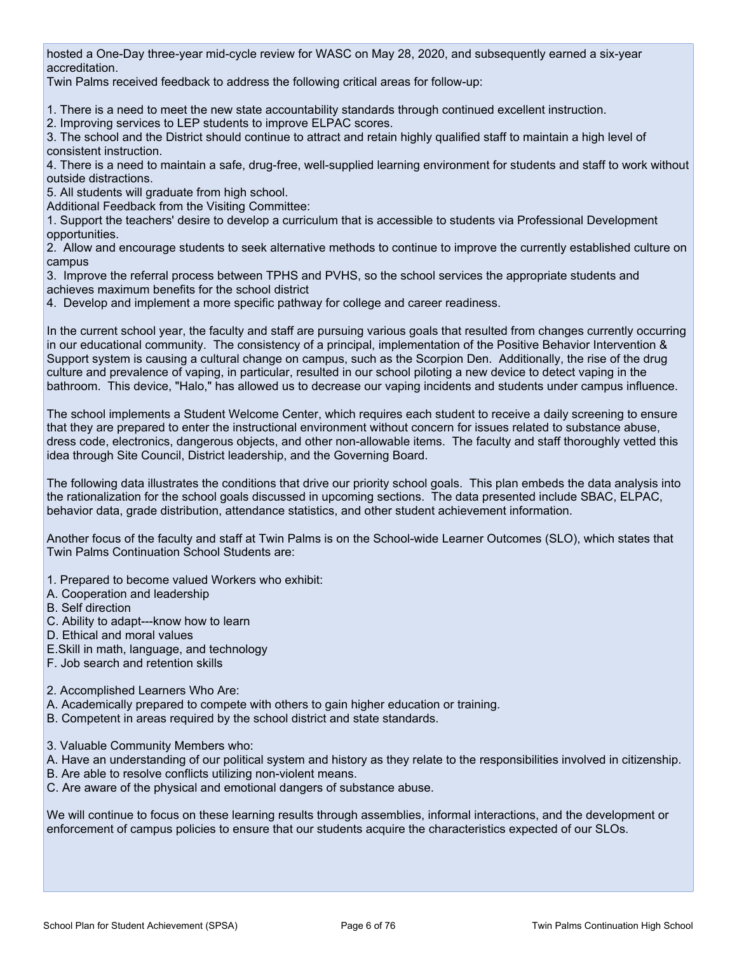hosted a One-Day three-year mid-cycle review for WASC on May 28, 2020, and subsequently earned a six-year accreditation.

Twin Palms received feedback to address the following critical areas for follow-up:

1. There is a need to meet the new state accountability standards through continued excellent instruction.

2. Improving services to LEP students to improve ELPAC scores.

3. The school and the District should continue to attract and retain highly qualified staff to maintain a high level of consistent instruction.

4. There is a need to maintain a safe, drug-free, well-supplied learning environment for students and staff to work without outside distractions.

5. All students will graduate from high school.

Additional Feedback from the Visiting Committee:

1. Support the teachers' desire to develop a curriculum that is accessible to students via Professional Development opportunities.

2. Allow and encourage students to seek alternative methods to continue to improve the currently established culture on campus

3. Improve the referral process between TPHS and PVHS, so the school services the appropriate students and achieves maximum benefits for the school district

4. Develop and implement a more specific pathway for college and career readiness.

In the current school year, the faculty and staff are pursuing various goals that resulted from changes currently occurring in our educational community. The consistency of a principal, implementation of the Positive Behavior Intervention & Support system is causing a cultural change on campus, such as the Scorpion Den. Additionally, the rise of the drug culture and prevalence of vaping, in particular, resulted in our school piloting a new device to detect vaping in the bathroom. This device, "Halo," has allowed us to decrease our vaping incidents and students under campus influence.

The school implements a Student Welcome Center, which requires each student to receive a daily screening to ensure that they are prepared to enter the instructional environment without concern for issues related to substance abuse, dress code, electronics, dangerous objects, and other non-allowable items. The faculty and staff thoroughly vetted this idea through Site Council, District leadership, and the Governing Board.

The following data illustrates the conditions that drive our priority school goals. This plan embeds the data analysis into the rationalization for the school goals discussed in upcoming sections. The data presented include SBAC, ELPAC, behavior data, grade distribution, attendance statistics, and other student achievement information.

Another focus of the faculty and staff at Twin Palms is on the School-wide Learner Outcomes (SLO), which states that Twin Palms Continuation School Students are:

1. Prepared to become valued Workers who exhibit:

- A. Cooperation and leadership
- B. Self direction
- C. Ability to adapt---know how to learn
- D. Ethical and moral values

E.Skill in math, language, and technology

F. Job search and retention skills

2. Accomplished Learners Who Are:

A. Academically prepared to compete with others to gain higher education or training.

- B. Competent in areas required by the school district and state standards.
- 3. Valuable Community Members who:

A. Have an understanding of our political system and history as they relate to the responsibilities involved in citizenship.

- B. Are able to resolve conflicts utilizing non-violent means.
- C. Are aware of the physical and emotional dangers of substance abuse.

We will continue to focus on these learning results through assemblies, informal interactions, and the development or enforcement of campus policies to ensure that our students acquire the characteristics expected of our SLOs.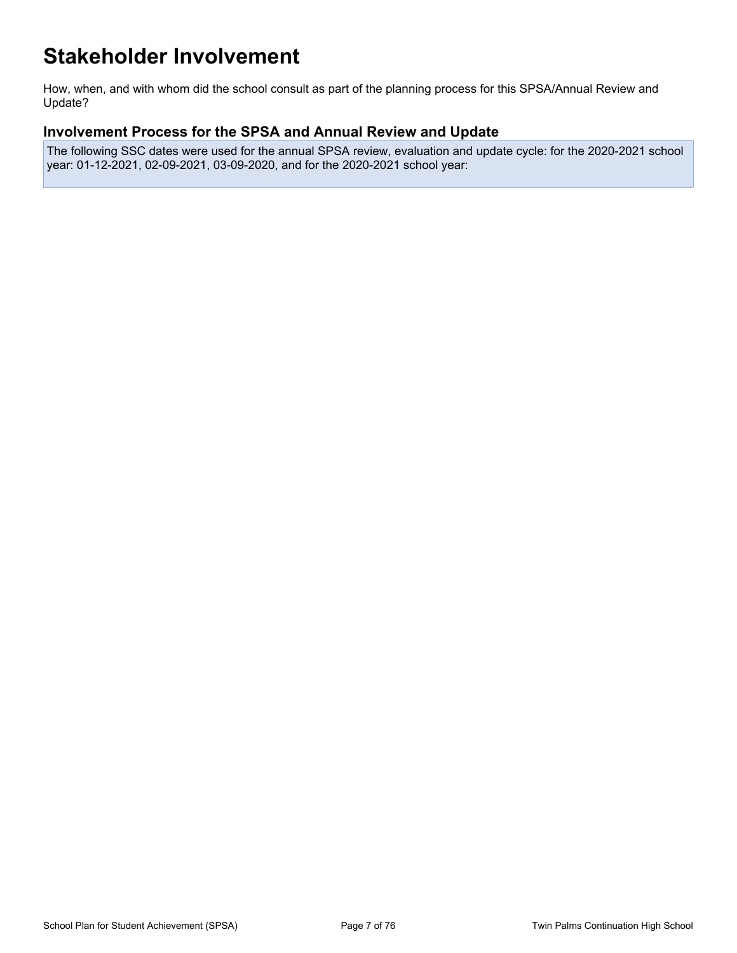# <span id="page-6-0"></span>**Stakeholder Involvement**

How, when, and with whom did the school consult as part of the planning process for this SPSA/Annual Review and Update?

## **Involvement Process for the SPSA and Annual Review and Update**

The following SSC dates were used for the annual SPSA review, evaluation and update cycle: for the 2020-2021 school year: 01-12-2021, 02-09-2021, 03-09-2020, and for the 2020-2021 school year: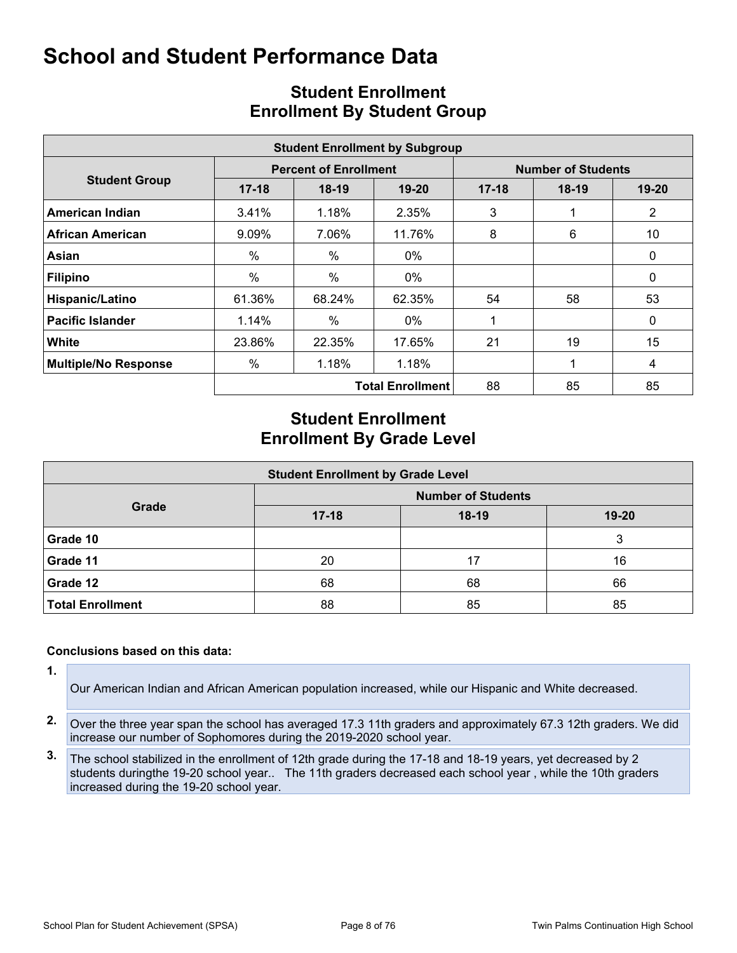<span id="page-7-0"></span>

|                             | <b>Student Enrollment by Subgroup</b> |                              |                         |                           |         |                |  |  |  |  |  |  |  |
|-----------------------------|---------------------------------------|------------------------------|-------------------------|---------------------------|---------|----------------|--|--|--|--|--|--|--|
|                             |                                       | <b>Percent of Enrollment</b> |                         | <b>Number of Students</b> |         |                |  |  |  |  |  |  |  |
| <b>Student Group</b>        | $17 - 18$                             | $18-19$                      | 19-20                   | $17 - 18$                 | $18-19$ | 19-20          |  |  |  |  |  |  |  |
| American Indian             | 3.41%                                 | 1.18%                        | 2.35%                   | 3                         |         | $\overline{2}$ |  |  |  |  |  |  |  |
| African American            | 9.09%                                 | 7.06%                        | 11.76%                  | 8                         | 6       | 10             |  |  |  |  |  |  |  |
| Asian                       | $\%$                                  | $\%$                         | 0%                      |                           |         | 0              |  |  |  |  |  |  |  |
| <b>Filipino</b>             | %                                     | $\frac{0}{0}$                | $0\%$                   |                           |         | 0              |  |  |  |  |  |  |  |
| Hispanic/Latino             | 61.36%                                | 68.24%                       | 62.35%                  | 54                        | 58      | 53             |  |  |  |  |  |  |  |
| <b>Pacific Islander</b>     | 1.14%                                 | $\%$                         | 0%                      |                           |         | 0              |  |  |  |  |  |  |  |
| <b>White</b>                | 23.86%                                | 22.35%                       | 17.65%                  | 21                        | 19      | 15             |  |  |  |  |  |  |  |
| <b>Multiple/No Response</b> | %                                     | 1.18%                        | 1.18%                   |                           |         | 4              |  |  |  |  |  |  |  |
|                             |                                       |                              | <b>Total Enrollment</b> | 88                        | 85      | 85             |  |  |  |  |  |  |  |

# <span id="page-7-1"></span>**Student Enrollment Enrollment By Student Group**

## **Student Enrollment Enrollment By Grade Level**

| <b>Student Enrollment by Grade Level</b> |                           |         |           |  |  |  |  |  |  |  |
|------------------------------------------|---------------------------|---------|-----------|--|--|--|--|--|--|--|
|                                          | <b>Number of Students</b> |         |           |  |  |  |  |  |  |  |
| Grade                                    | $17 - 18$                 | $18-19$ | $19 - 20$ |  |  |  |  |  |  |  |
| Grade 10                                 |                           |         | 3         |  |  |  |  |  |  |  |
| Grade 11                                 | 20                        | 17      | 16        |  |  |  |  |  |  |  |
| Grade 12                                 | 68                        | 68      | 66        |  |  |  |  |  |  |  |
| <b>Total Enrollment</b>                  | 88                        | 85      | 85        |  |  |  |  |  |  |  |

#### **Conclusions based on this data:**

**1.**

Our American Indian and African American population increased, while our Hispanic and White decreased.

- **2.** Over the three year span the school has averaged 17.3 11th graders and approximately 67.3 12th graders. We did increase our number of Sophomores during the 2019-2020 school year.
- **3.** The school stabilized in the enrollment of 12th grade during the 17-18 and 18-19 years, yet decreased by 2 students duringthe 19-20 school year.. The 11th graders decreased each school year , while the 10th graders increased during the 19-20 school year.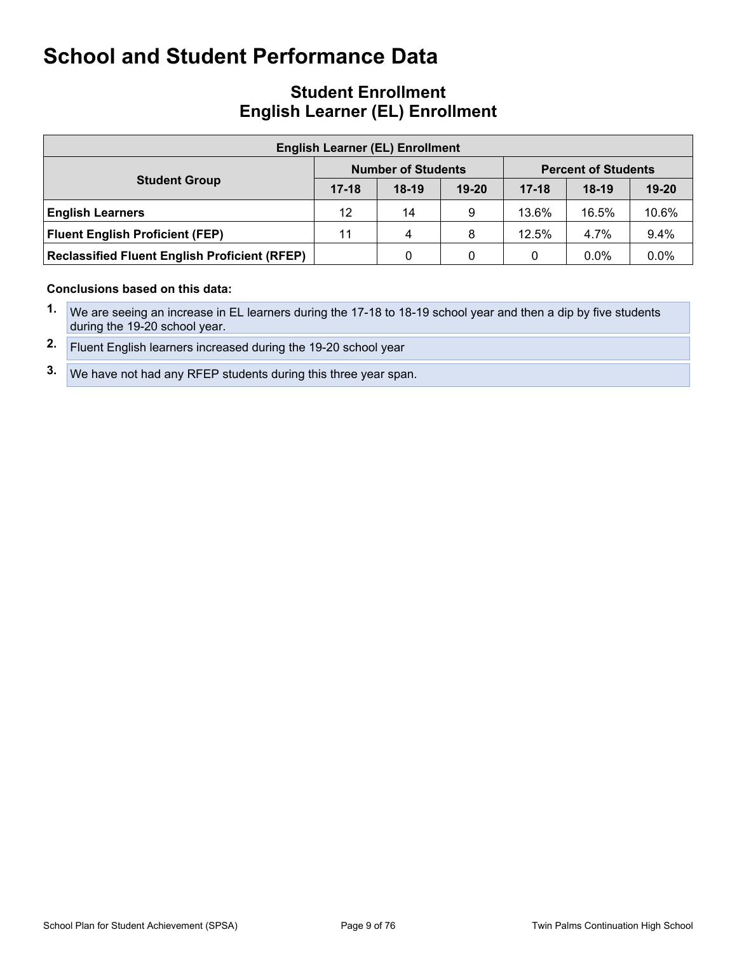## **Student Enrollment English Learner (EL) Enrollment**

| <b>English Learner (EL) Enrollment</b>               |           |                           |           |                            |         |           |  |  |  |  |
|------------------------------------------------------|-----------|---------------------------|-----------|----------------------------|---------|-----------|--|--|--|--|
|                                                      |           | <b>Number of Students</b> |           | <b>Percent of Students</b> |         |           |  |  |  |  |
| <b>Student Group</b>                                 | $17 - 18$ | $18-19$                   | $19 - 20$ | $17 - 18$                  | $18-19$ | $19 - 20$ |  |  |  |  |
| <b>English Learners</b>                              | 12        | 14                        | 9         | 13.6%                      | 16.5%   | 10.6%     |  |  |  |  |
| <b>Fluent English Proficient (FEP)</b>               | 11        | 4                         | 8         | 12.5%                      | 4.7%    | 9.4%      |  |  |  |  |
| <b>Reclassified Fluent English Proficient (RFEP)</b> |           | 0                         | 0         | 0                          | $0.0\%$ | 0.0%      |  |  |  |  |

#### **Conclusions based on this data:**

- **1.** We are seeing an increase in EL learners during the 17-18 to 18-19 school year and then a dip by five students during the 19-20 school year.
- **2.** Fluent English learners increased during the 19-20 school year
- **3.** We have not had any RFEP students during this three year span.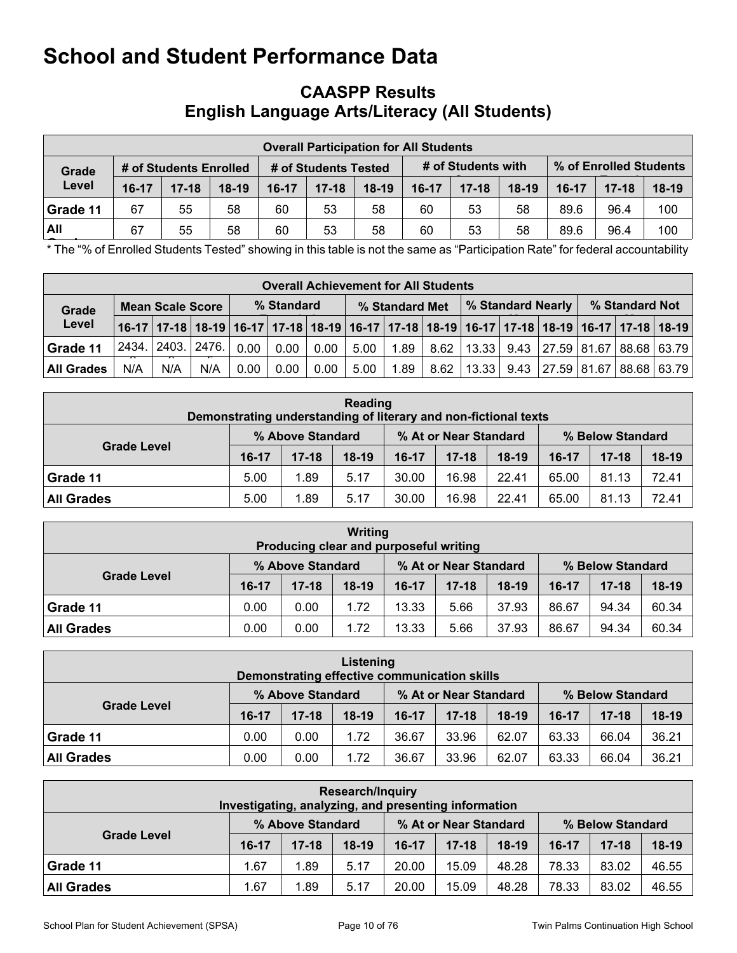## <span id="page-9-0"></span>**CAASPP Results English Language Arts/Literacy (All Students)**

|          | <b>Overall Participation for All Students</b> |                        |         |                      |           |         |                    |           |         |         |                        |         |  |
|----------|-----------------------------------------------|------------------------|---------|----------------------|-----------|---------|--------------------|-----------|---------|---------|------------------------|---------|--|
| Grade    |                                               | # of Students Enrolled |         | # of Students Tested |           |         | # of Students with |           |         |         | % of Enrolled Students |         |  |
| Level    | $16-17$                                       | $17 - 18$              | $18-19$ | $16-17$              | $17 - 18$ | $18-19$ | $16-17$            | $17 - 18$ | $18-19$ | $16-17$ | $17-18$                | $18-19$ |  |
| Grade 11 | 67                                            | 55                     | 58      | 60                   | 53        | 58      | 60                 | 53        | 58      | 89.6    | 96.4                   | 100     |  |
| All      | 67                                            | 55                     | 58      | 60                   | 53        | 58      | 60                 | 53        | 58      | 89.6    | 96.4                   | 100     |  |

**Grades** \* The "% of Enrolled Students Tested" showing in this table is not the same as "Participation Rate" for federal accountability

|                   | <b>Overall Achievement for All Students</b> |     |                                                                                                                       |            |      |                |      |                          |      |       |                |                                           |  |  |  |
|-------------------|---------------------------------------------|-----|-----------------------------------------------------------------------------------------------------------------------|------------|------|----------------|------|--------------------------|------|-------|----------------|-------------------------------------------|--|--|--|
| Grade             | <b>Mean Scale Score</b>                     |     |                                                                                                                       | % Standard |      | % Standard Met |      | <b>% Standard Nearly</b> |      |       | % Standard Not |                                           |  |  |  |
| Level             |                                             |     | 16-17   17-18   18-19   16-17   17-18   18-19   16-17   17-18   18-19   16-17   17-18   18-19   16-17   17-18   18-19 |            |      |                |      |                          |      |       |                |                                           |  |  |  |
| Grade 11          | 2434.                                       |     | 2403.   2476.                                                                                                         | 0.00       | 0.00 | 0.00           | 5.00 | 1.89                     | 8.62 |       |                | $ 13.33 $ 9.43 $ 27.59 81.67 88.68 63.79$ |  |  |  |
| <b>All Grades</b> | N/A                                         | N/A | N/A                                                                                                                   | 0.00       | 0.00 | 0.00           | 5.00 | 1.89                     | 8.62 | 13.33 |                | 9.43   27.59   81.67   88.68   63.79      |  |  |  |

| Reading<br>Demonstrating understanding of literary and non-fictional texts |         |                  |         |           |                       |         |         |                  |         |  |
|----------------------------------------------------------------------------|---------|------------------|---------|-----------|-----------------------|---------|---------|------------------|---------|--|
|                                                                            |         | % Above Standard |         |           | % At or Near Standard |         |         | % Below Standard |         |  |
| <b>Grade Level</b>                                                         | $16-17$ | $17 - 18$        | $18-19$ | $16 - 17$ | $17 - 18$             | $18-19$ | $16-17$ | $17 - 18$        | $18-19$ |  |
| Grade 11                                                                   | 5.00    | 1.89             | 5.17    | 30.00     | 16.98                 | 22.41   | 65.00   | 81.13            | 72.41   |  |
| <b>All Grades</b>                                                          | 5.00    | 1.89             | 5.17    | 30.00     | 16.98                 | 22.41   | 65.00   | 81.13            | 72.41   |  |

| Writing<br>Producing clear and purposeful writing |       |                  |         |         |                       |         |                  |           |         |  |
|---------------------------------------------------|-------|------------------|---------|---------|-----------------------|---------|------------------|-----------|---------|--|
|                                                   |       | % Above Standard |         |         | % At or Near Standard |         | % Below Standard |           |         |  |
| <b>Grade Level</b>                                | 16-17 | $17 - 18$        | $18-19$ | $16-17$ | $17 - 18$             | $18-19$ | $16-17$          | $17 - 18$ | $18-19$ |  |
| Grade 11                                          | 0.00  | 0.00             | 1.72    | 13.33   | 5.66                  | 37.93   | 86.67            | 94.34     | 60.34   |  |
| <b>All Grades</b>                                 | 0.00  | 0.00             | 1.72    | 13.33   | 5.66                  | 37.93   | 86.67            | 94.34     | 60.34   |  |

| Listening<br>Demonstrating effective communication skills |       |                  |         |         |                       |         |                  |           |         |  |
|-----------------------------------------------------------|-------|------------------|---------|---------|-----------------------|---------|------------------|-----------|---------|--|
|                                                           |       | % Above Standard |         |         | % At or Near Standard |         | % Below Standard |           |         |  |
| <b>Grade Level</b>                                        | 16-17 | $17 - 18$        | $18-19$ | $16-17$ | $17 - 18$             | $18-19$ | $16-17$          | $17 - 18$ | $18-19$ |  |
| Grade 11                                                  | 0.00  | 0.00             | 1.72    | 36.67   | 33.96                 | 62.07   | 63.33            | 66.04     | 36.21   |  |
| <b>All Grades</b>                                         | 0.00  | 0.00             | 1.72    | 36.67   | 33.96                 | 62.07   | 63.33            | 66.04     | 36.21   |  |

| <b>Research/Inquiry</b><br>Investigating, analyzing, and presenting information |           |                  |         |         |                       |         |                  |           |         |  |
|---------------------------------------------------------------------------------|-----------|------------------|---------|---------|-----------------------|---------|------------------|-----------|---------|--|
|                                                                                 |           | % Above Standard |         |         | % At or Near Standard |         | % Below Standard |           |         |  |
| <b>Grade Level</b>                                                              | $16 - 17$ | $17 - 18$        | $18-19$ | $16-17$ | $17 - 18$             | $18-19$ | $16-17$          | $17 - 18$ | $18-19$ |  |
| Grade 11                                                                        | 1.67      | 1.89             | 5.17    | 20.00   | 15.09                 | 48.28   | 78.33            | 83.02     | 46.55   |  |
| <b>All Grades</b>                                                               | .67       | 1.89             | 5.17    | 20.00   | 15.09                 | 48.28   | 78.33            | 83.02     | 46.55   |  |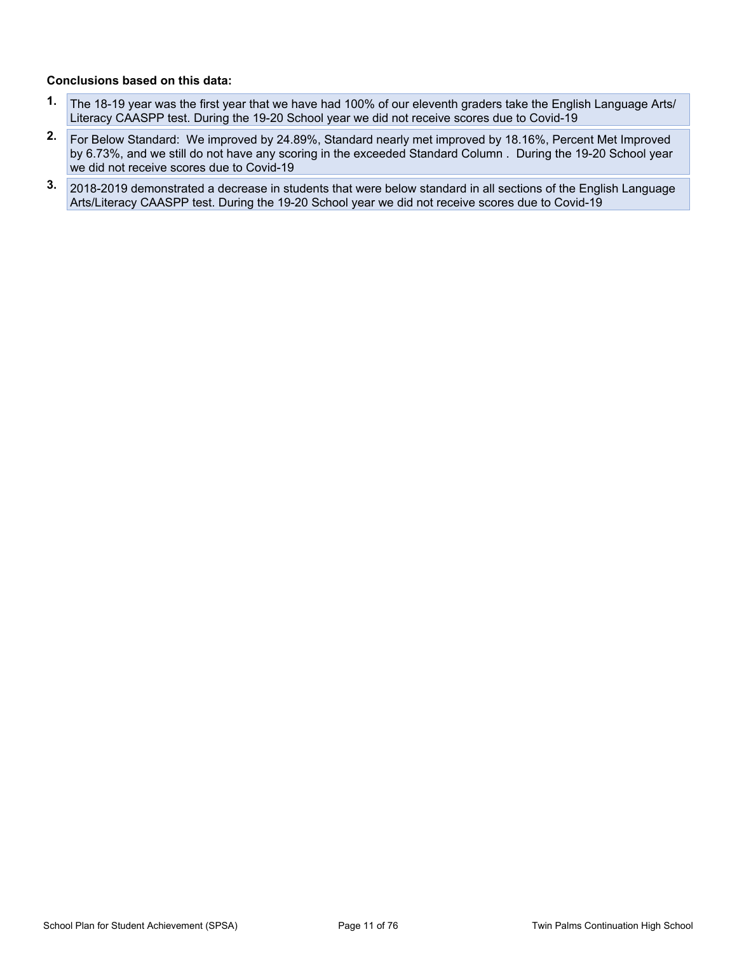#### **Conclusions based on this data:**

- **1.** The 18-19 year was the first year that we have had 100% of our eleventh graders take the English Language Arts/ Literacy CAASPP test. During the 19-20 School year we did not receive scores due to Covid-19
- **2.** For Below Standard: We improved by 24.89%, Standard nearly met improved by 18.16%, Percent Met Improved by 6.73%, and we still do not have any scoring in the exceeded Standard Column . During the 19-20 School year we did not receive scores due to Covid-19
- **3.** 2018-2019 demonstrated a decrease in students that were below standard in all sections of the English Language Arts/Literacy CAASPP test. During the 19-20 School year we did not receive scores due to Covid-19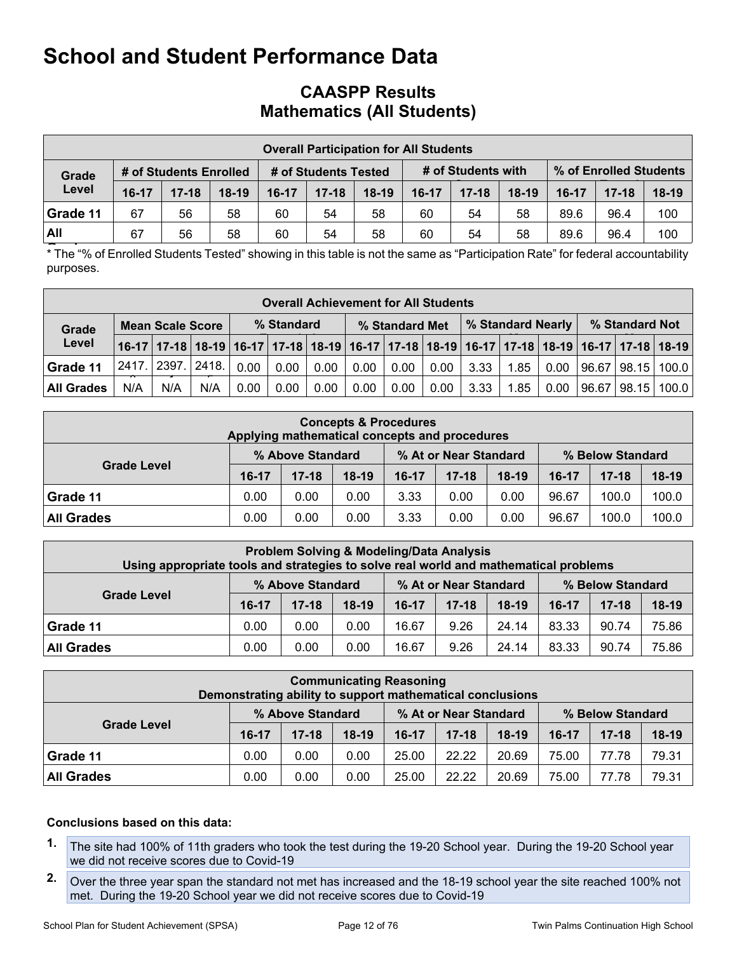## **CAASPP Results Mathematics (All Students)**

|            |       |                        |         |                      |           | <b>Overall Participation for All Students</b> |           |                    |         |                        |           |         |
|------------|-------|------------------------|---------|----------------------|-----------|-----------------------------------------------|-----------|--------------------|---------|------------------------|-----------|---------|
| Grade      |       | # of Students Enrolled |         | # of Students Tested |           |                                               |           | # of Students with |         | % of Enrolled Students |           |         |
| Level      | 16-17 | $17 - 18$              | $18-19$ | $16-17$              | $17 - 18$ | $18-19$                                       | $16 - 17$ | $17 - 18$          | $18-19$ | $16-17$                | $17 - 18$ | $18-19$ |
| Grade 11   | 67    | 56                     | 58      | 60                   | 54        | 58                                            | 60        | 54                 | 58      | 89.6                   | 96.4      | 100     |
| <b>All</b> | 67    | 56                     | 58      | 60                   | 54        | 58                                            | 60        | 54                 | 58      | 89.6                   | 96.4      | 100     |

**Grades** \* The "% of Enrolled Students Tested" showing in this table is not the same as "Participation Rate" for federal accountability purposes.

|                   | <b>Overall Achievement for All Students</b> |     |               |            |      |      |                |      |      |                   |      |        |                |                                                                                                                       |  |
|-------------------|---------------------------------------------|-----|---------------|------------|------|------|----------------|------|------|-------------------|------|--------|----------------|-----------------------------------------------------------------------------------------------------------------------|--|
| Grade             | <b>Mean Scale Score</b>                     |     |               | % Standard |      |      | % Standard Met |      |      | % Standard Nearly |      |        | % Standard Not |                                                                                                                       |  |
| Level             |                                             |     |               |            |      |      |                |      |      |                   |      |        |                | 16-17   17-18   18-19   16-17   17-18   18-19   16-17   17-18   18-19   16-17   17-18   18-19   16-17   17-18   18-19 |  |
| Grade 11          | 2417.                                       |     | 2397.   2418. | 0.00       | 0.00 | 0.00 | 0.00           | 0.00 | 0.00 | 3.33              | 1.85 |        |                | $0.00$   96.67   98.15   100.0                                                                                        |  |
| <b>All Grades</b> | N/A                                         | N/A | N/A           | 0.00       | 0.00 | 0.00 | 0.00           | 0.00 | 0.00 | 3.33              | 1.85 | $0.00$ |                | 96.67   98.15   100.0                                                                                                 |  |

| <b>Concepts &amp; Procedures</b><br>Applying mathematical concepts and procedures |         |                  |         |         |                       |         |         |                  |         |  |  |  |
|-----------------------------------------------------------------------------------|---------|------------------|---------|---------|-----------------------|---------|---------|------------------|---------|--|--|--|
|                                                                                   |         | % Above Standard |         |         | % At or Near Standard |         |         | % Below Standard |         |  |  |  |
| <b>Grade Level</b>                                                                | $16-17$ | $17 - 18$        | $18-19$ | $16-17$ | $17 - 18$             | $18-19$ | $16-17$ | $17 - 18$        | $18-19$ |  |  |  |
| Grade 11                                                                          | 0.00    | 0.00             | 0.00    | 3.33    | 0.00                  | 0.00    | 96.67   | 100.0            | 100.0   |  |  |  |
| <b>All Grades</b>                                                                 | 0.00    | 0.00             | 0.00    | 3.33    | 0.00                  | 0.00    | 96.67   | 100.0            | 100.0   |  |  |  |

| <b>Problem Solving &amp; Modeling/Data Analysis</b><br>Using appropriate tools and strategies to solve real world and mathematical problems |         |                  |         |         |                       |         |                  |           |         |  |  |
|---------------------------------------------------------------------------------------------------------------------------------------------|---------|------------------|---------|---------|-----------------------|---------|------------------|-----------|---------|--|--|
|                                                                                                                                             |         | % Above Standard |         |         | % At or Near Standard |         | % Below Standard |           |         |  |  |
| <b>Grade Level</b>                                                                                                                          | $16-17$ | $17 - 18$        | $18-19$ | $16-17$ | $17 - 18$             | $18-19$ | 16-17            | $17 - 18$ | $18-19$ |  |  |
| Grade 11                                                                                                                                    | 0.00    | 0.00             | 0.00    | 16.67   | 9.26                  | 24.14   | 83.33            | 90.74     | 75.86   |  |  |
| <b>All Grades</b>                                                                                                                           | 0.00    | 0.00             | 0.00    | 16.67   | 9.26                  | 24.14   | 83.33            | 90.74     | 75.86   |  |  |

| <b>Communicating Reasoning</b><br>Demonstrating ability to support mathematical conclusions |         |                  |         |         |                       |         |         |                  |         |  |  |  |
|---------------------------------------------------------------------------------------------|---------|------------------|---------|---------|-----------------------|---------|---------|------------------|---------|--|--|--|
|                                                                                             |         | % Above Standard |         |         | % At or Near Standard |         |         | % Below Standard |         |  |  |  |
| <b>Grade Level</b>                                                                          | $16-17$ | $17 - 18$        | $18-19$ | $16-17$ | $17 - 18$             | $18-19$ | $16-17$ | $17 - 18$        | $18-19$ |  |  |  |
| Grade 11                                                                                    | 0.00    | 0.00             | 0.00    | 25.00   | 22.22                 | 20.69   | 75.00   | 77.78            | 79.31   |  |  |  |
| <b>All Grades</b>                                                                           | 0.00    | 0.00             | 0.00    | 25.00   | 22.22                 | 20.69   | 75.00   | 77.78            | 79.31   |  |  |  |

#### **Conclusions based on this data:**

- **1.** The site had 100% of 11th graders who took the test during the 19-20 School year. During the 19-20 School year we did not receive scores due to Covid-19
- **2.** Over the three year span the standard not met has increased and the 18-19 school year the site reached 100% not met. During the 19-20 School year we did not receive scores due to Covid-19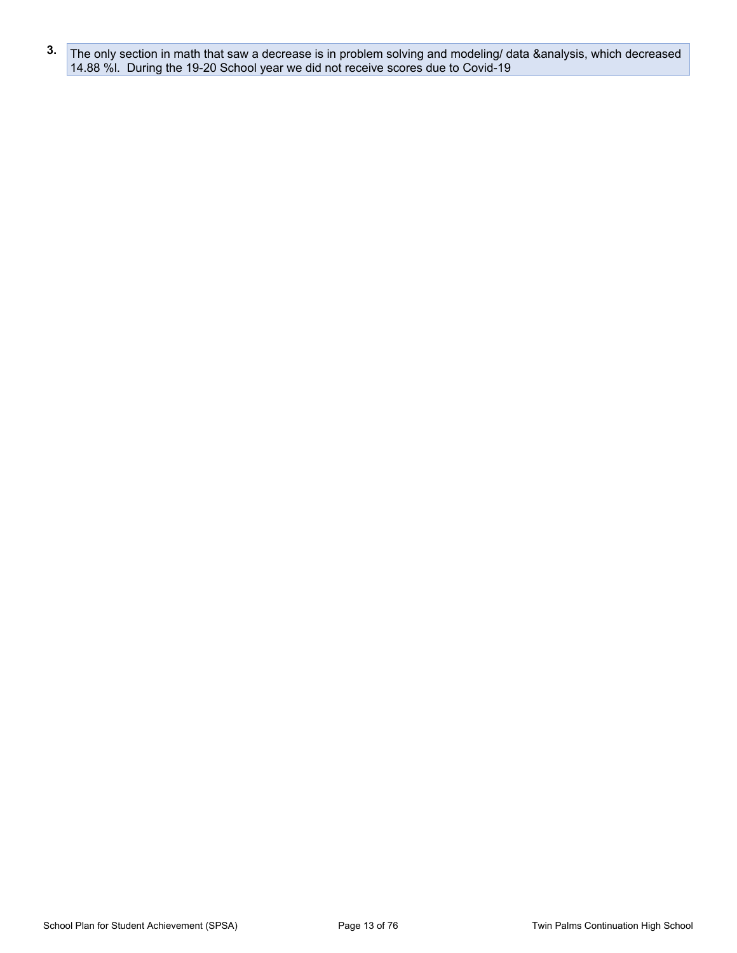**3.** The only section in math that saw a decrease is in problem solving and modeling/ data &analysis, which decreased 14.88 %l. During the 19-20 School year we did not receive scores due to Covid-19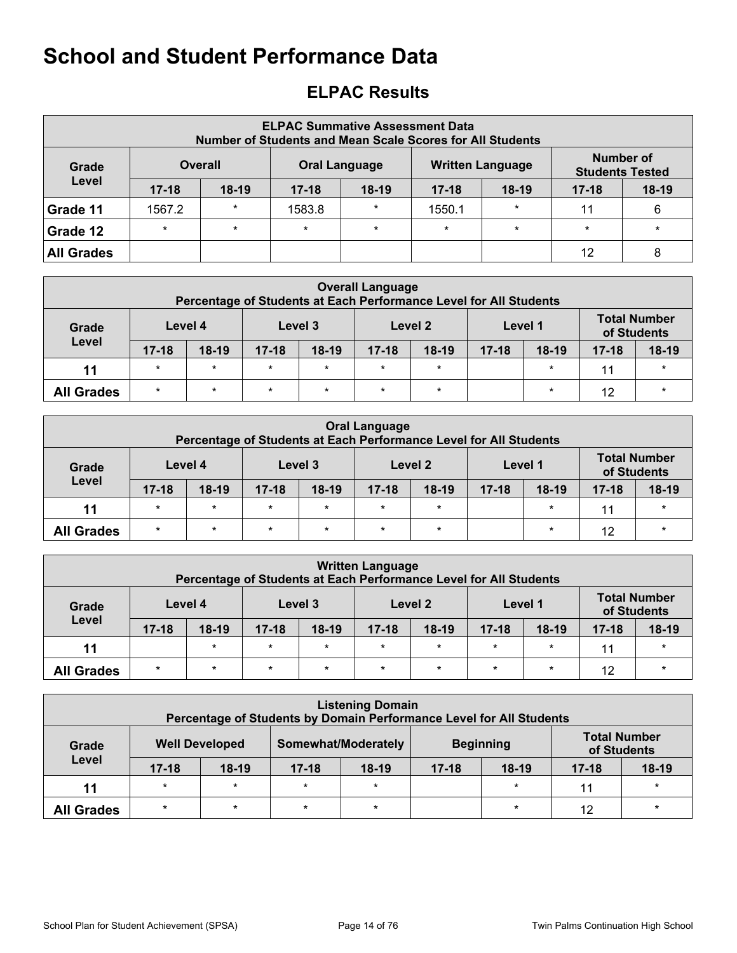# <span id="page-13-0"></span>**ELPAC Results**

| <b>ELPAC Summative Assessment Data</b><br><b>Number of Students and Mean Scale Scores for All Students</b> |                |         |           |                      |           |                         |                                     |         |  |  |  |  |  |
|------------------------------------------------------------------------------------------------------------|----------------|---------|-----------|----------------------|-----------|-------------------------|-------------------------------------|---------|--|--|--|--|--|
| Grade                                                                                                      | <b>Overall</b> |         |           | <b>Oral Language</b> |           | <b>Written Language</b> | Number of<br><b>Students Tested</b> |         |  |  |  |  |  |
| Level                                                                                                      | $17 - 18$      | $18-19$ | $17 - 18$ | $18-19$              | $17 - 18$ | $18-19$                 | $17 - 18$                           | $18-19$ |  |  |  |  |  |
| Grade 11                                                                                                   | 1567.2         | $\star$ | 1583.8    | $\star$              | 1550.1    | $\star$                 | 11                                  | 6       |  |  |  |  |  |
| Grade 12                                                                                                   | $\star$        | $\star$ | $\star$   | $\star$              | $\star$   | $\star$                 | $\star$                             | $\star$ |  |  |  |  |  |
| <b>All Grades</b>                                                                                          |                |         |           |                      |           |                         | 12                                  |         |  |  |  |  |  |

|                   | <b>Overall Language</b><br>Percentage of Students at Each Performance Level for All Students |         |           |                                                         |         |         |         |         |                                    |         |  |  |  |  |
|-------------------|----------------------------------------------------------------------------------------------|---------|-----------|---------------------------------------------------------|---------|---------|---------|---------|------------------------------------|---------|--|--|--|--|
| Grade             |                                                                                              | Level 4 |           | Level 3                                                 |         | Level 2 | Level 1 |         | <b>Total Number</b><br>of Students |         |  |  |  |  |
| Level             | $17 - 18$                                                                                    | $18-19$ | $17 - 18$ | $18-19$<br>$18-19$<br>$17 - 18$<br>$18-19$<br>$17 - 18$ |         |         |         |         | $17 - 18$                          | $18-19$ |  |  |  |  |
| 11                | $\star$                                                                                      | $\star$ | $\star$   | $\star$                                                 | $\star$ | $\star$ |         | $\star$ | 11                                 | $\star$ |  |  |  |  |
| <b>All Grades</b> | $\star$                                                                                      | $\star$ | $\star$   | $\star$                                                 | $\star$ | $\star$ |         | $\star$ | 12                                 | $\star$ |  |  |  |  |

|                   | <b>Oral Language</b><br>Percentage of Students at Each Performance Level for All Students |         |           |         |           |         |           |         |                                    |         |  |  |  |  |
|-------------------|-------------------------------------------------------------------------------------------|---------|-----------|---------|-----------|---------|-----------|---------|------------------------------------|---------|--|--|--|--|
| Grade             |                                                                                           | Level 4 |           | Level 3 |           | Level 2 | Level 1   |         | <b>Total Number</b><br>of Students |         |  |  |  |  |
| Level             | $17 - 18$                                                                                 | $18-19$ | $17 - 18$ | $18-19$ | $17 - 18$ | $18-19$ | $17 - 18$ | $18-19$ | $17 - 18$                          | 18-19   |  |  |  |  |
| 11                | $\star$                                                                                   | $\star$ | $\star$   | $\star$ | $\star$   | $\star$ |           | $\star$ | 11                                 | $\star$ |  |  |  |  |
| <b>All Grades</b> | $\star$                                                                                   | $\star$ | $\star$   | $\star$ | $\star$   | $\star$ |           | $\star$ | 12                                 | $\star$ |  |  |  |  |

|                   | <b>Written Language</b><br>Percentage of Students at Each Performance Level for All Students |         |           |           |           |         |           |         |                                    |         |  |  |  |  |
|-------------------|----------------------------------------------------------------------------------------------|---------|-----------|-----------|-----------|---------|-----------|---------|------------------------------------|---------|--|--|--|--|
| Grade             |                                                                                              | Level 4 |           | Level 3   |           | Level 2 | Level 1   |         | <b>Total Number</b><br>of Students |         |  |  |  |  |
| Level             | $17 - 18$                                                                                    | $18-19$ | $17 - 18$ | $18 - 19$ | $17 - 18$ | $18-19$ | $17 - 18$ | $18-19$ | $17 - 18$                          | $18-19$ |  |  |  |  |
| 11                |                                                                                              | $\star$ | $\star$   | $\star$   | $\star$   | $\star$ | $\star$   | $\star$ | 11                                 | $\star$ |  |  |  |  |
| <b>All Grades</b> | $\star$                                                                                      | $\star$ | $\star$   | $\star$   | $\star$   | $\star$ | $\star$   | $\star$ | 12                                 | $\star$ |  |  |  |  |

|                   | <b>Listening Domain</b><br>Percentage of Students by Domain Performance Level for All Students |                       |           |                                 |  |                  |                                    |         |  |  |  |  |  |
|-------------------|------------------------------------------------------------------------------------------------|-----------------------|-----------|---------------------------------|--|------------------|------------------------------------|---------|--|--|--|--|--|
| Grade<br>Level    |                                                                                                | <b>Well Developed</b> |           | Somewhat/Moderately             |  | <b>Beginning</b> | <b>Total Number</b><br>of Students |         |  |  |  |  |  |
|                   | $17 - 18$                                                                                      | $18-19$               | $17 - 18$ | $18-19$<br>$17 - 18$<br>$18-19$ |  | $17 - 18$        | $18-19$                            |         |  |  |  |  |  |
| 11                | $\star$                                                                                        | $\star$               | $\star$   | $\star$                         |  | $\star$          | 11                                 | $\star$ |  |  |  |  |  |
| <b>All Grades</b> | $\star$                                                                                        | $\star$               | $\star$   | $\star$                         |  | $\star$          | 12                                 | $\star$ |  |  |  |  |  |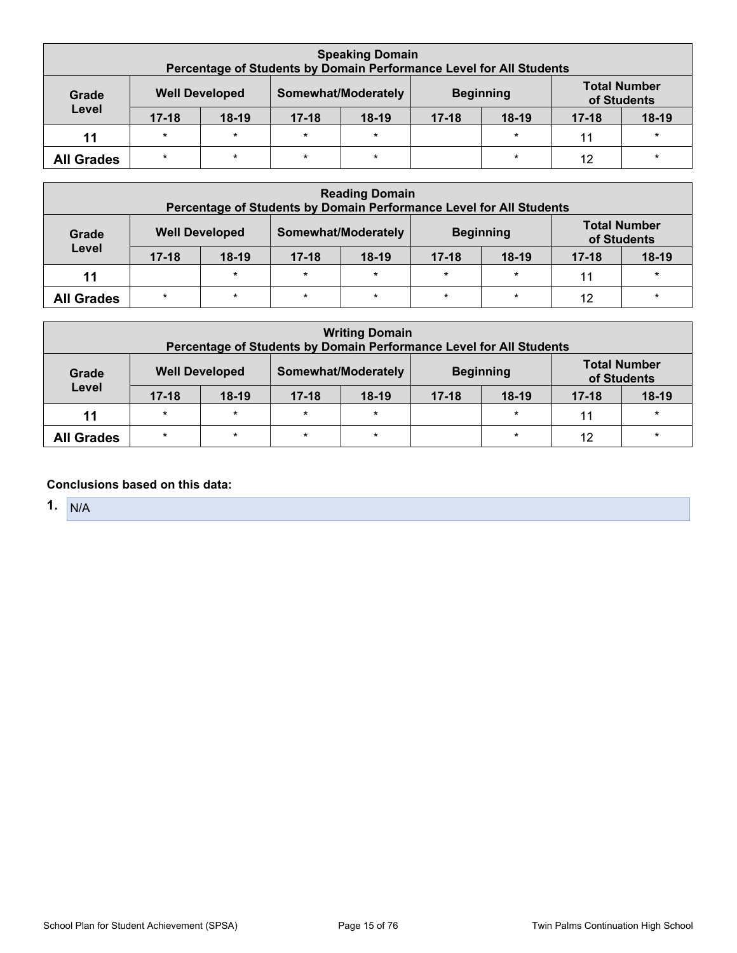|                   | <b>Speaking Domain</b><br>Percentage of Students by Domain Performance Level for All Students |                       |           |                     |                      |                  |                                    |         |  |  |  |  |  |
|-------------------|-----------------------------------------------------------------------------------------------|-----------------------|-----------|---------------------|----------------------|------------------|------------------------------------|---------|--|--|--|--|--|
| Grade<br>Level    |                                                                                               | <b>Well Developed</b> |           | Somewhat/Moderately |                      | <b>Beginning</b> | <b>Total Number</b><br>of Students |         |  |  |  |  |  |
|                   | $17 - 18$                                                                                     | $18-19$               | $17 - 18$ | $18-19$             | $18-19$<br>$17 - 18$ |                  |                                    | $18-19$ |  |  |  |  |  |
| 11                | $\star$                                                                                       | $\star$               | $\star$   | $\star$             |                      | $\ast$           | 11                                 | $\star$ |  |  |  |  |  |
| <b>All Grades</b> | $\star$                                                                                       | $\star$               | $\star$   | $\star$             |                      | $\star$          | 12                                 | $\star$ |  |  |  |  |  |

|                   | <b>Reading Domain</b><br>Percentage of Students by Domain Performance Level for All Students |         |           |                     |           |                  |                                    |         |  |  |  |  |  |
|-------------------|----------------------------------------------------------------------------------------------|---------|-----------|---------------------|-----------|------------------|------------------------------------|---------|--|--|--|--|--|
| Grade<br>Level    | <b>Well Developed</b>                                                                        |         |           | Somewhat/Moderately |           | <b>Beginning</b> | <b>Total Number</b><br>of Students |         |  |  |  |  |  |
|                   | $17 - 18$                                                                                    | $18-19$ | $17 - 18$ | $18-19$             | $17 - 18$ | $18-19$          | $17 - 18$                          | $18-19$ |  |  |  |  |  |
| 11                |                                                                                              | $\star$ | $\star$   | $\star$             | $\star$   | $\star$          | 11                                 | $\star$ |  |  |  |  |  |
| <b>All Grades</b> | $\star$                                                                                      | $\star$ | $\star$   | $\star$             | $\ast$    | $\star$          | 12                                 | $\star$ |  |  |  |  |  |

| <b>Writing Domain</b><br>Percentage of Students by Domain Performance Level for All Students |           |         |                     |         |                  |         |                                    |         |
|----------------------------------------------------------------------------------------------|-----------|---------|---------------------|---------|------------------|---------|------------------------------------|---------|
| <b>Well Developed</b><br>Grade                                                               |           |         | Somewhat/Moderately |         | <b>Beginning</b> |         | <b>Total Number</b><br>of Students |         |
| Level                                                                                        | $17 - 18$ | $18-19$ | $17 - 18$           | $18-19$ | $17 - 18$        | $18-19$ | $17 - 18$                          | $18-19$ |
| 11                                                                                           | $\star$   | $\star$ | $\star$             | $\star$ |                  | $\star$ | 11                                 | $\star$ |
| <b>All Grades</b>                                                                            | $\star$   | $\star$ | $\star$             | $\star$ |                  | $\star$ | 12                                 | $\star$ |

## **Conclusions based on this data:**

**1.** N/A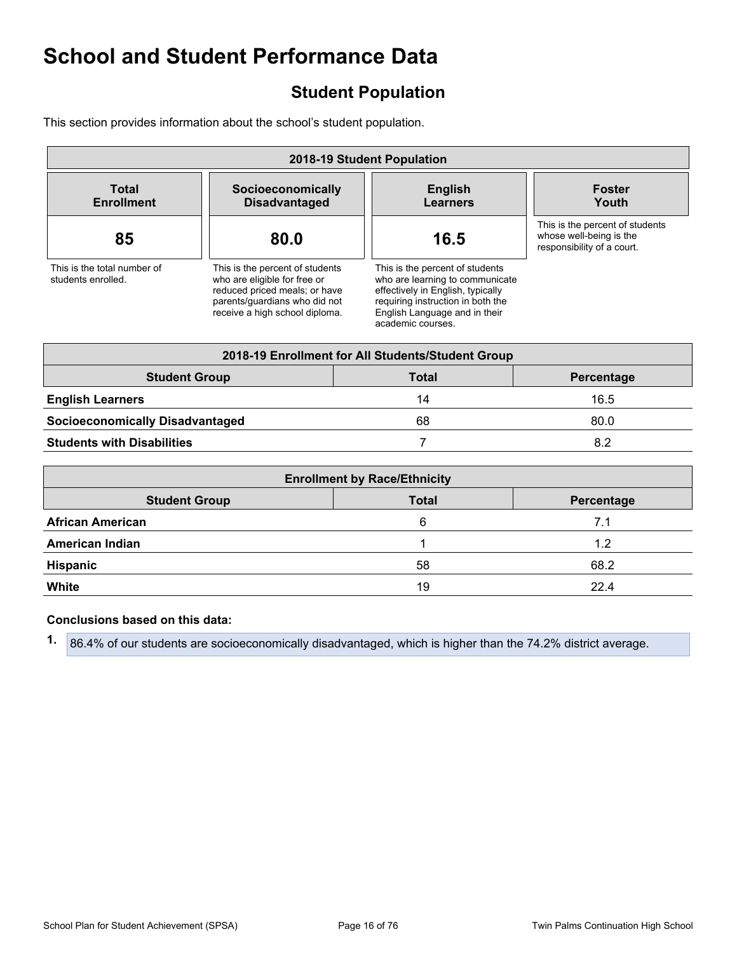# <span id="page-15-0"></span>**Student Population**

This section provides information about the school's student population.

| 2018-19 Student Population                        |                                                                                                                                                                     |  |                                                                                                                                                                                                    |                                                                                          |  |  |  |  |
|---------------------------------------------------|---------------------------------------------------------------------------------------------------------------------------------------------------------------------|--|----------------------------------------------------------------------------------------------------------------------------------------------------------------------------------------------------|------------------------------------------------------------------------------------------|--|--|--|--|
| <b>Total</b><br><b>Enrollment</b>                 | Socioeconomically<br><b>Disadvantaged</b>                                                                                                                           |  | <b>English</b><br><b>Learners</b>                                                                                                                                                                  | <b>Foster</b><br>Youth                                                                   |  |  |  |  |
| 85                                                | 80.0                                                                                                                                                                |  | 16.5                                                                                                                                                                                               | This is the percent of students<br>whose well-being is the<br>responsibility of a court. |  |  |  |  |
| This is the total number of<br>students enrolled. | This is the percent of students<br>who are eligible for free or<br>reduced priced meals; or have<br>parents/guardians who did not<br>receive a high school diploma. |  | This is the percent of students<br>who are learning to communicate<br>effectively in English, typically<br>requiring instruction in both the<br>English Language and in their<br>academic courses. |                                                                                          |  |  |  |  |
|                                                   |                                                                                                                                                                     |  | 2018-19 Enrollment for All Students/Student Group                                                                                                                                                  |                                                                                          |  |  |  |  |
| <b>Student Group</b>                              |                                                                                                                                                                     |  | <b>Total</b>                                                                                                                                                                                       | Percentage                                                                               |  |  |  |  |
| <b>English Learners</b>                           |                                                                                                                                                                     |  | 14                                                                                                                                                                                                 | 16.5                                                                                     |  |  |  |  |
| <b>Socioeconomically Disadvantaged</b>            |                                                                                                                                                                     |  | 68                                                                                                                                                                                                 | 80.0                                                                                     |  |  |  |  |
| <b>Students with Disabilities</b>                 |                                                                                                                                                                     |  | 7                                                                                                                                                                                                  | 8.2                                                                                      |  |  |  |  |
|                                                   |                                                                                                                                                                     |  |                                                                                                                                                                                                    |                                                                                          |  |  |  |  |

| <b>Enrollment by Race/Ethnicity</b> |              |            |  |  |  |
|-------------------------------------|--------------|------------|--|--|--|
| <b>Student Group</b>                | <b>Total</b> | Percentage |  |  |  |
| <b>African American</b>             | 6            | 7.1        |  |  |  |
| <b>American Indian</b>              |              | 1.2        |  |  |  |
| <b>Hispanic</b>                     | 58           | 68.2       |  |  |  |
| White                               | 19           | 22.4       |  |  |  |

#### **Conclusions based on this data:**

**1.** 86.4% of our students are socioeconomically disadvantaged, which is higher than the 74.2% district average.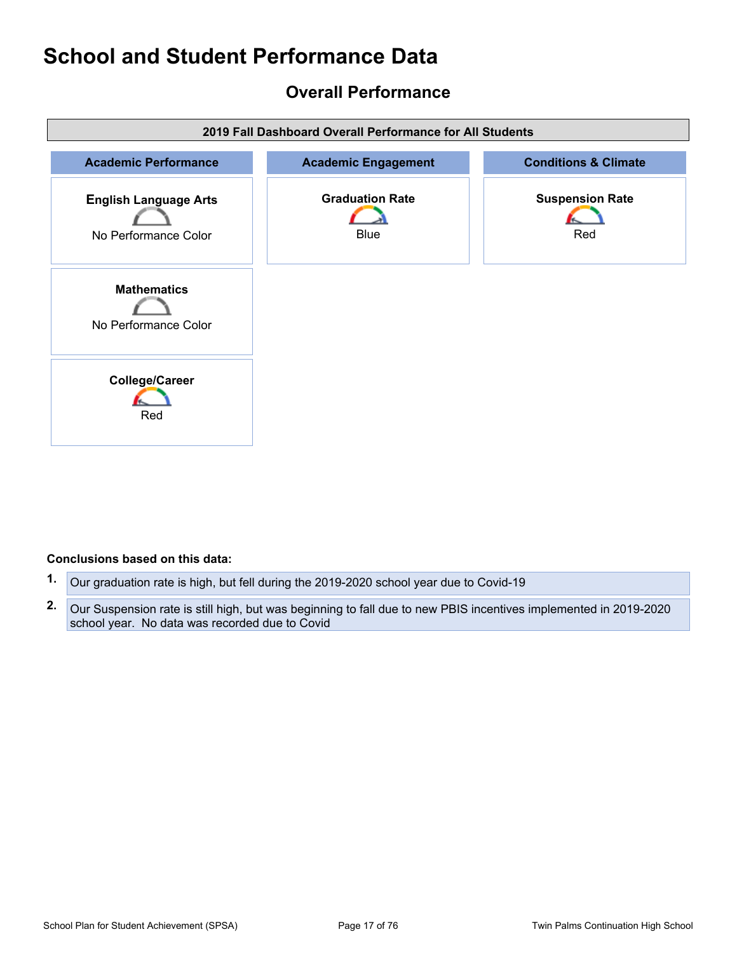## <span id="page-16-0"></span>**Overall Performance**



#### **Conclusions based on this data:**

- **1.** Our graduation rate is high, but fell during the 2019-2020 school year due to Covid-19
- **2.** Our Suspension rate is still high, but was beginning to fall due to new PBIS incentives implemented in 2019-2020 school year. No data was recorded due to Covid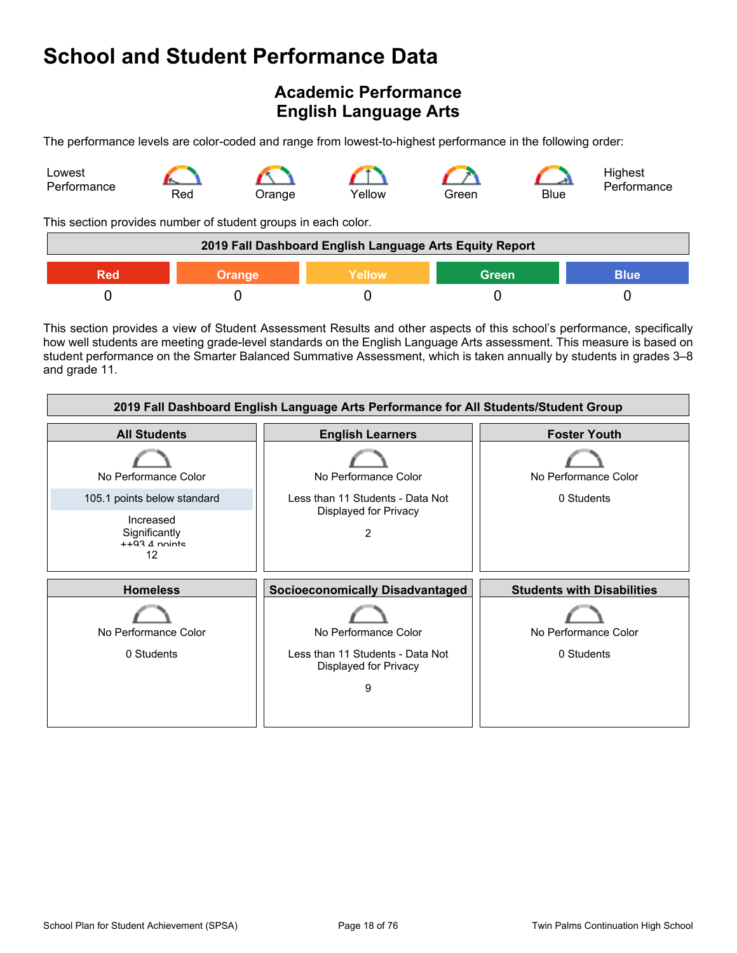# <span id="page-17-0"></span>**Academic Performance English Language Arts**

The performance levels are color-coded and range from lowest-to-highest performance in the following order:



This section provides number of student groups in each color.

| 2019 Fall Dashboard English Language Arts Equity Report       |  |  |  |  |  |  |
|---------------------------------------------------------------|--|--|--|--|--|--|
| <b>Green</b><br>Yellow<br><b>Blue</b><br><b>Orange</b><br>Red |  |  |  |  |  |  |
|                                                               |  |  |  |  |  |  |

This section provides a view of Student Assessment Results and other aspects of this school's performance, specifically how well students are meeting grade-level standards on the English Language Arts assessment. This measure is based on student performance on the Smarter Balanced Summative Assessment, which is taken annually by students in grades 3–8 and grade 11.

| 2019 Fall Dashboard English Language Arts Performance for All Students/Student Group |                                                                                        |                                    |  |  |  |  |
|--------------------------------------------------------------------------------------|----------------------------------------------------------------------------------------|------------------------------------|--|--|--|--|
| <b>All Students</b>                                                                  | <b>English Learners</b>                                                                | <b>Foster Youth</b>                |  |  |  |  |
| No Performance Color                                                                 | No Performance Color                                                                   | No Performance Color               |  |  |  |  |
| 105.1 points below standard                                                          | Less than 11 Students - Data Not                                                       | 0 Students                         |  |  |  |  |
| Increased<br>Significantly<br>$+403$ $\Delta$ nointe<br>12                           | Displayed for Privacy<br>2                                                             |                                    |  |  |  |  |
| <b>Homeless</b>                                                                      | <b>Socioeconomically Disadvantaged</b>                                                 | <b>Students with Disabilities</b>  |  |  |  |  |
| No Performance Color<br>0 Students                                                   | No Performance Color<br>Less than 11 Students - Data Not<br>Displayed for Privacy<br>9 | No Performance Color<br>0 Students |  |  |  |  |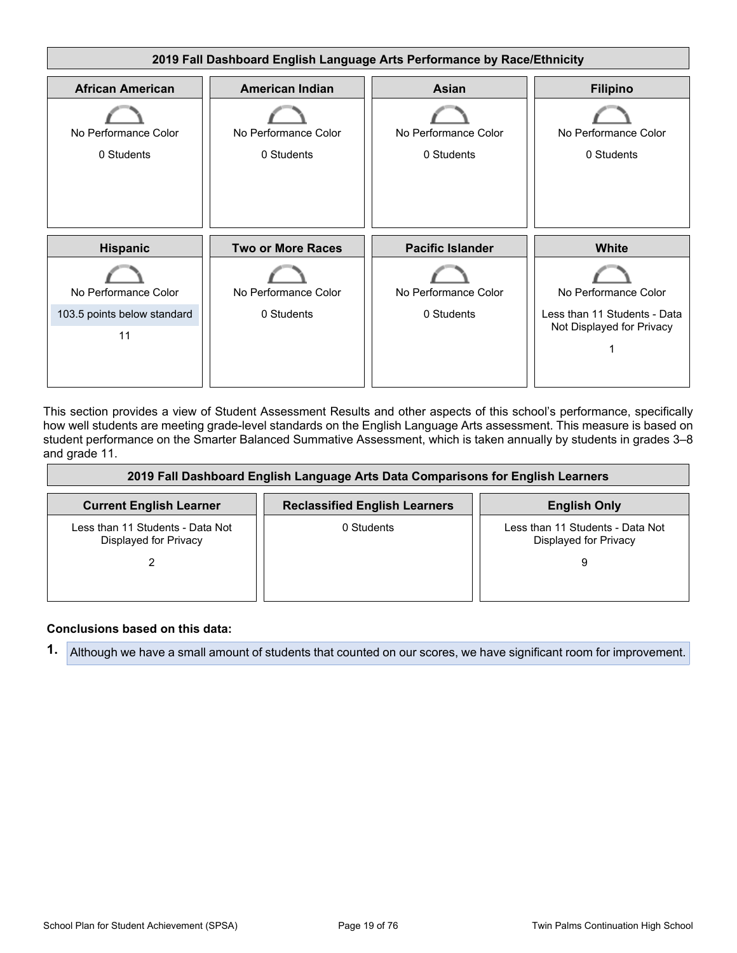

This section provides a view of Student Assessment Results and other aspects of this school's performance, specifically how well students are meeting grade-level standards on the English Language Arts assessment. This measure is based on student performance on the Smarter Balanced Summative Assessment, which is taken annually by students in grades 3–8 and grade 11.

| 2019 Fall Dashboard English Language Arts Data Comparisons for English Learners |                                      |                                                           |  |  |  |  |  |
|---------------------------------------------------------------------------------|--------------------------------------|-----------------------------------------------------------|--|--|--|--|--|
| <b>Current English Learner</b>                                                  | <b>Reclassified English Learners</b> | <b>English Only</b>                                       |  |  |  |  |  |
| Less than 11 Students - Data Not<br>Displayed for Privacy                       | 0 Students                           | Less than 11 Students - Data Not<br>Displayed for Privacy |  |  |  |  |  |
|                                                                                 |                                      | 9                                                         |  |  |  |  |  |

### **Conclusions based on this data:**

**1.** Although we have a small amount of students that counted on our scores, we have significant room for improvement.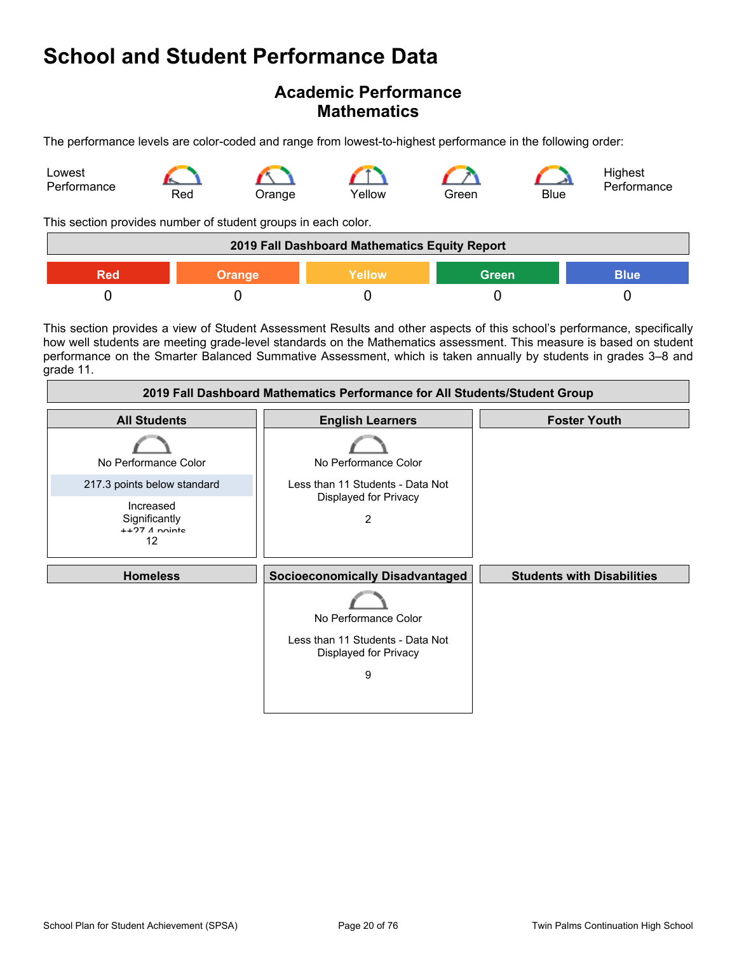## **Academic Performance Mathematics**

The performance levels are color-coded and range from lowest-to-highest performance in the following order:



This section provides number of student groups in each color.

| 2019 Fall Dashboard Mathematics Equity Report                 |  |  |  |  |  |
|---------------------------------------------------------------|--|--|--|--|--|
| <b>Green</b><br>Yellow<br><b>Blue</b><br>Red<br><b>Orange</b> |  |  |  |  |  |
|                                                               |  |  |  |  |  |

This section provides a view of Student Assessment Results and other aspects of this school's performance, specifically how well students are meeting grade-level standards on the Mathematics assessment. This measure is based on student performance on the Smarter Balanced Summative Assessment, which is taken annually by students in grades 3–8 and grade 11.

| 2019 Fall Dashboard Mathematics Performance for All Students/Student Group |                                                                                   |                                   |  |  |  |  |
|----------------------------------------------------------------------------|-----------------------------------------------------------------------------------|-----------------------------------|--|--|--|--|
| <b>All Students</b>                                                        | <b>English Learners</b>                                                           | <b>Foster Youth</b>               |  |  |  |  |
| No Performance Color                                                       | No Performance Color                                                              |                                   |  |  |  |  |
| 217.3 points below standard                                                | Less than 11 Students - Data Not                                                  |                                   |  |  |  |  |
| Increased<br>Significantly<br>$+$ +27 $\Lambda$ nointe<br>12               | Displayed for Privacy<br>2                                                        |                                   |  |  |  |  |
| <b>Homeless</b>                                                            | <b>Socioeconomically Disadvantaged</b>                                            | <b>Students with Disabilities</b> |  |  |  |  |
|                                                                            | No Performance Color<br>Less than 11 Students - Data Not<br>Displayed for Privacy |                                   |  |  |  |  |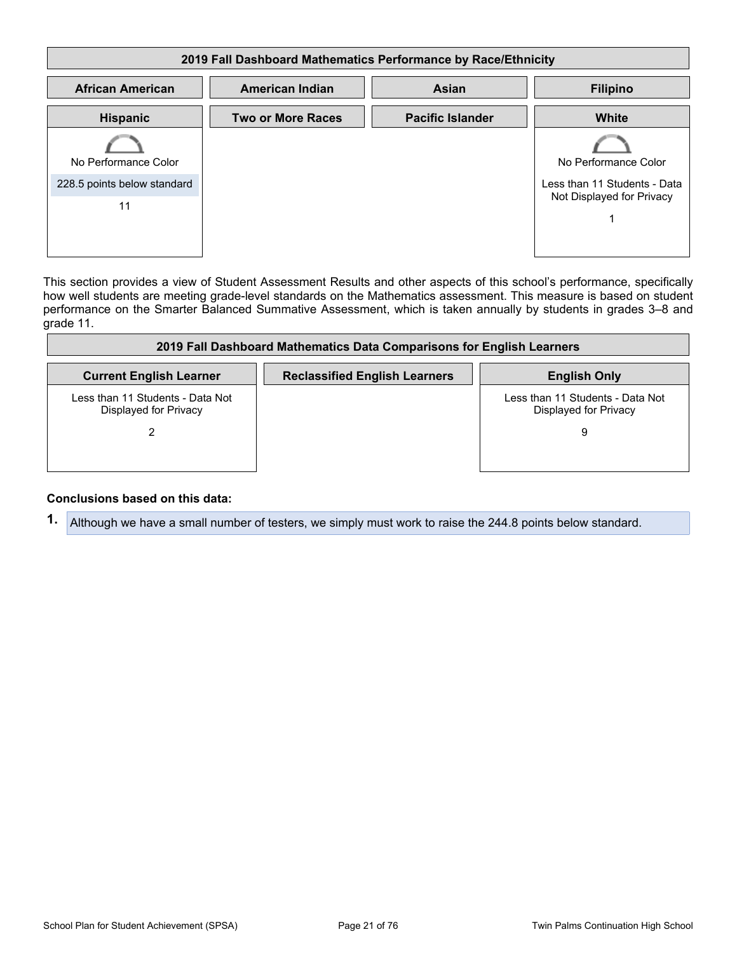| 2019 Fall Dashboard Mathematics Performance by Race/Ethnicity |                          |                         |                                                           |  |  |  |  |
|---------------------------------------------------------------|--------------------------|-------------------------|-----------------------------------------------------------|--|--|--|--|
| <b>African American</b>                                       | <b>American Indian</b>   | <b>Asian</b>            | <b>Filipino</b>                                           |  |  |  |  |
| <b>Hispanic</b>                                               | <b>Two or More Races</b> | <b>Pacific Islander</b> | White                                                     |  |  |  |  |
| No Performance Color                                          |                          |                         | No Performance Color                                      |  |  |  |  |
| 228.5 points below standard                                   |                          |                         | Less than 11 Students - Data<br>Not Displayed for Privacy |  |  |  |  |
| 11                                                            |                          |                         |                                                           |  |  |  |  |

This section provides a view of Student Assessment Results and other aspects of this school's performance, specifically how well students are meeting grade-level standards on the Mathematics assessment. This measure is based on student performance on the Smarter Balanced Summative Assessment, which is taken annually by students in grades 3–8 and grade 11.

| 2019 Fall Dashboard Mathematics Data Comparisons for English Learners |                                      |                                                           |  |  |  |  |  |
|-----------------------------------------------------------------------|--------------------------------------|-----------------------------------------------------------|--|--|--|--|--|
| <b>Current English Learner</b>                                        | <b>Reclassified English Learners</b> | <b>English Only</b>                                       |  |  |  |  |  |
| Less than 11 Students - Data Not<br>Displayed for Privacy             |                                      | Less than 11 Students - Data Not<br>Displayed for Privacy |  |  |  |  |  |
|                                                                       |                                      | 9                                                         |  |  |  |  |  |

#### **Conclusions based on this data:**

**1.** Although we have a small number of testers, we simply must work to raise the 244.8 points below standard.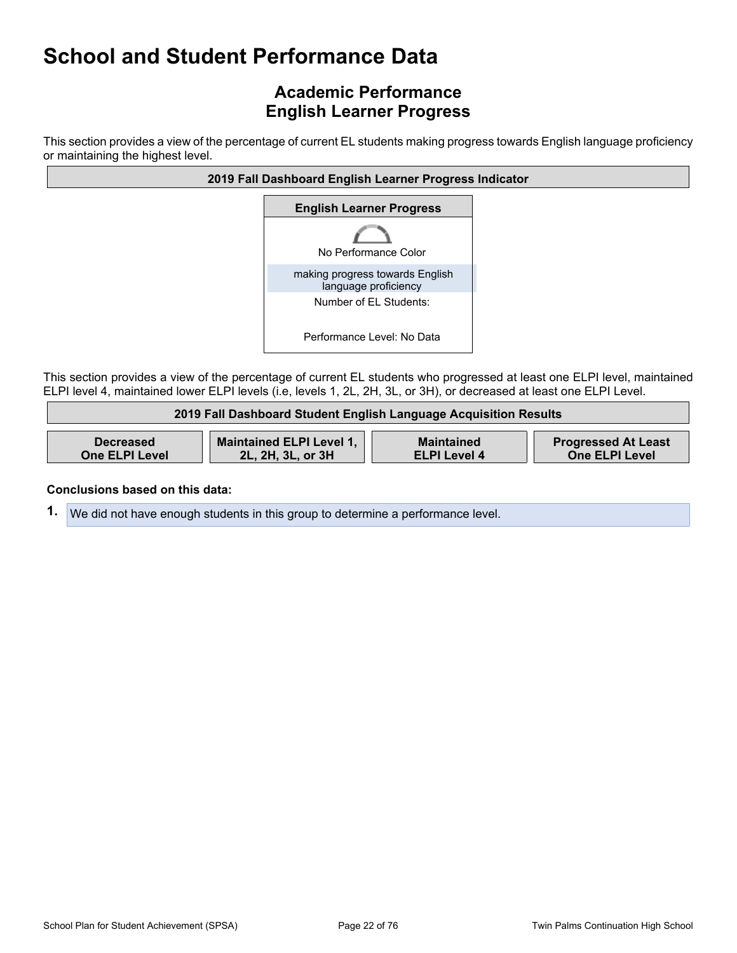# **Academic Performance English Learner Progress**

This section provides a view of the percentage of current EL students making progress towards English language proficiency or maintaining the highest level.



This section provides a view of the percentage of current EL students who progressed at least one ELPI level, maintained ELPI level 4, maintained lower ELPI levels (i.e, levels 1, 2L, 2H, 3L, or 3H), or decreased at least one ELPI Level.

| 2019 Fall Dashboard Student English Language Acquisition Results |                                 |                     |                            |  |  |  |  |
|------------------------------------------------------------------|---------------------------------|---------------------|----------------------------|--|--|--|--|
| <b>Decreased</b>                                                 | <b>Maintained ELPI Level 1,</b> | <b>Maintained</b>   | <b>Progressed At Least</b> |  |  |  |  |
| <b>One ELPI Level</b>                                            | 2L, 2H, 3L, or 3H               | <b>ELPI Level 4</b> | <b>One ELPI Level</b>      |  |  |  |  |

#### **Conclusions based on this data:**

**1.** We did not have enough students in this group to determine a performance level.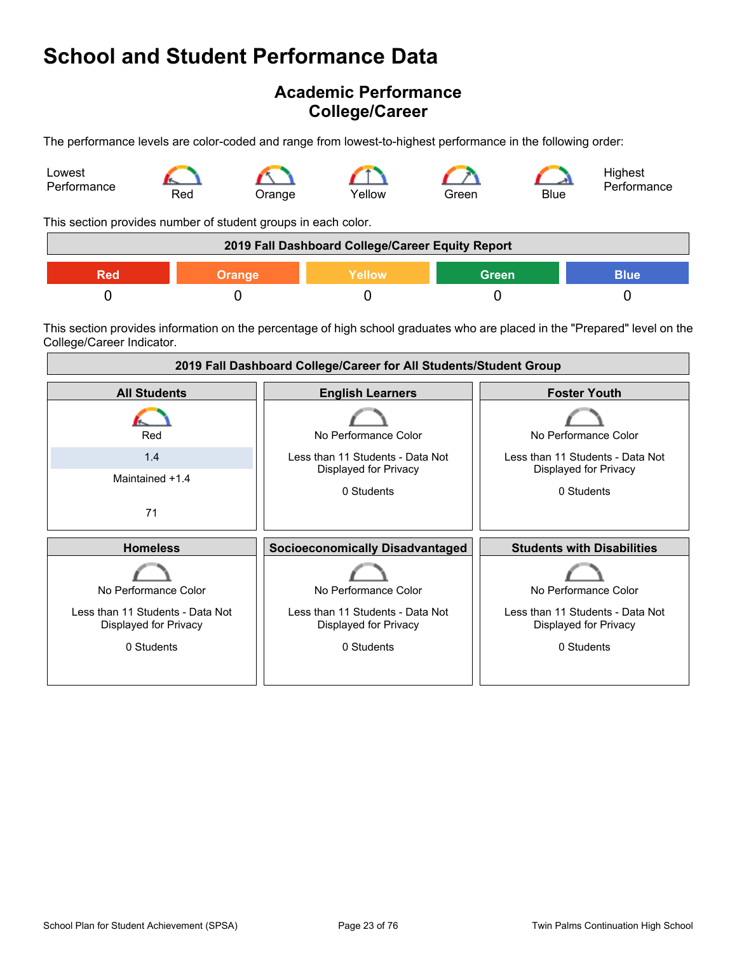## **Academic Performance College/Career**

The performance levels are color-coded and range from lowest-to-highest performance in the following order:



This section provides number of student groups in each color.

| 2019 Fall Dashboard College/Career Equity Report                     |  |  |  |  |  |
|----------------------------------------------------------------------|--|--|--|--|--|
| <b>Blue</b><br><b>Green</b><br><b>Yellow</b><br><b>Orange</b><br>Red |  |  |  |  |  |
|                                                                      |  |  |  |  |  |

This section provides information on the percentage of high school graduates who are placed in the "Prepared" level on the College/Career Indicator.

| 2019 Fall Dashboard College/Career for All Students/Student Group                               |                                                                                                 |                                                                                                 |  |
|-------------------------------------------------------------------------------------------------|-------------------------------------------------------------------------------------------------|-------------------------------------------------------------------------------------------------|--|
| <b>All Students</b>                                                                             | <b>English Learners</b>                                                                         | <b>Foster Youth</b>                                                                             |  |
| Red                                                                                             | No Performance Color                                                                            | No Performance Color                                                                            |  |
| 1.4                                                                                             | Less than 11 Students - Data Not<br>Displayed for Privacy                                       | Less than 11 Students - Data Not<br>Displayed for Privacy                                       |  |
| Maintained +1.4                                                                                 | 0 Students                                                                                      | 0 Students                                                                                      |  |
| 71                                                                                              |                                                                                                 |                                                                                                 |  |
| <b>Homeless</b>                                                                                 | <b>Socioeconomically Disadvantaged</b>                                                          | <b>Students with Disabilities</b>                                                               |  |
| No Performance Color<br>Less than 11 Students - Data Not<br>Displayed for Privacy<br>0 Students | No Performance Color<br>Less than 11 Students - Data Not<br>Displayed for Privacy<br>0 Students | No Performance Color<br>Less than 11 Students - Data Not<br>Displayed for Privacy<br>0 Students |  |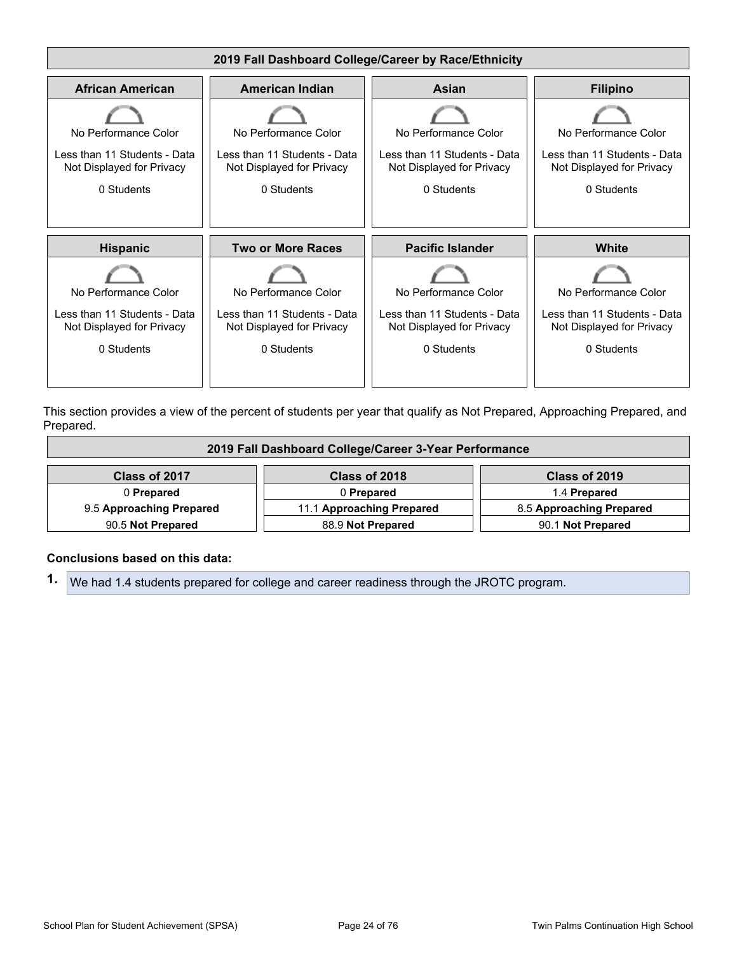

This section provides a view of the percent of students per year that qualify as Not Prepared, Approaching Prepared, and Prepared.

| 2019 Fall Dashboard College/Career 3-Year Performance |                           |                          |  |
|-------------------------------------------------------|---------------------------|--------------------------|--|
| Class of 2017                                         | Class of 2018             | Class of 2019            |  |
| 0 Prepared                                            | 0 Prepared                | 1.4 Prepared             |  |
| 9.5 Approaching Prepared                              | 11.1 Approaching Prepared | 8.5 Approaching Prepared |  |
| 90.5 Not Prepared                                     | 88.9 Not Prepared         | 90.1 Not Prepared        |  |

#### **Conclusions based on this data:**

**1.** We had 1.4 students prepared for college and career readiness through the JROTC program.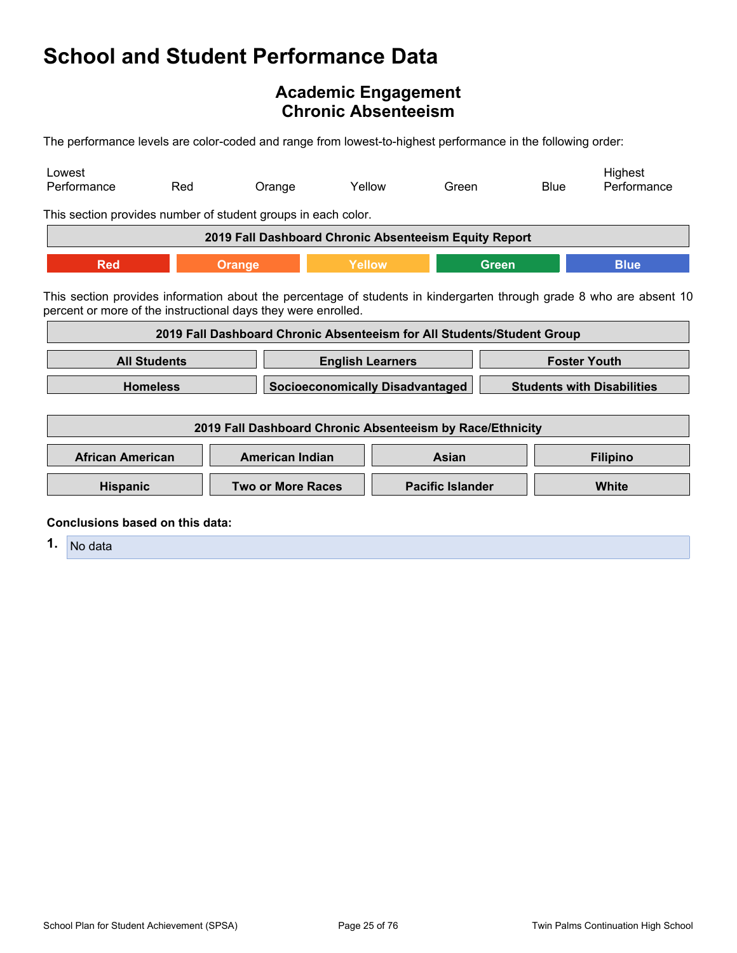## <span id="page-24-0"></span>**Academic Engagement Chronic Absenteeism**

The performance levels are color-coded and range from lowest-to-highest performance in the following order:

| Lowest<br>Performance                                                                                                                                                                                                                                                | Red                                            | Orange                                                                 | Yellow                                 | Green                   | <b>Blue</b>         | Highest<br>Performance                                                                                               |
|----------------------------------------------------------------------------------------------------------------------------------------------------------------------------------------------------------------------------------------------------------------------|------------------------------------------------|------------------------------------------------------------------------|----------------------------------------|-------------------------|---------------------|----------------------------------------------------------------------------------------------------------------------|
|                                                                                                                                                                                                                                                                      |                                                | This section provides number of student groups in each color.          |                                        |                         |                     |                                                                                                                      |
|                                                                                                                                                                                                                                                                      |                                                | 2019 Fall Dashboard Chronic Absenteeism Equity Report                  |                                        |                         |                     |                                                                                                                      |
| <b>Red</b>                                                                                                                                                                                                                                                           |                                                | <b>Orange</b>                                                          | Yellow                                 |                         | <b>Green</b>        | <b>Blue</b>                                                                                                          |
|                                                                                                                                                                                                                                                                      |                                                | percent or more of the instructional days they were enrolled.          |                                        |                         |                     | This section provides information about the percentage of students in kindergarten through grade 8 who are absent 10 |
|                                                                                                                                                                                                                                                                      |                                                | 2019 Fall Dashboard Chronic Absenteeism for All Students/Student Group |                                        |                         |                     |                                                                                                                      |
|                                                                                                                                                                                                                                                                      | <b>All Students</b><br><b>English Learners</b> |                                                                        |                                        |                         | <b>Foster Youth</b> |                                                                                                                      |
|                                                                                                                                                                                                                                                                      | <b>Homeless</b>                                |                                                                        | <b>Socioeconomically Disadvantaged</b> |                         |                     | <b>Students with Disabilities</b>                                                                                    |
|                                                                                                                                                                                                                                                                      |                                                | 2019 Fall Dashboard Chronic Absenteeism by Race/Ethnicity              |                                        |                         |                     |                                                                                                                      |
| <b>African American</b>                                                                                                                                                                                                                                              |                                                | <b>American Indian</b>                                                 |                                        | <b>Asian</b>            |                     | <b>Filipino</b>                                                                                                      |
| <b>Hispanic</b>                                                                                                                                                                                                                                                      |                                                | <b>Two or More Races</b>                                               |                                        | <b>Pacific Islander</b> |                     | <b>White</b>                                                                                                         |
| Conclusions based on this data:<br><b>A Britain</b> Service Contract Contract Contract Contract Contract Contract Contract Contract Contract Contract Contract Contract Contract Contract Contract Contract Contract Contract Contract Contract Contract Contract Co |                                                |                                                                        |                                        |                         |                     |                                                                                                                      |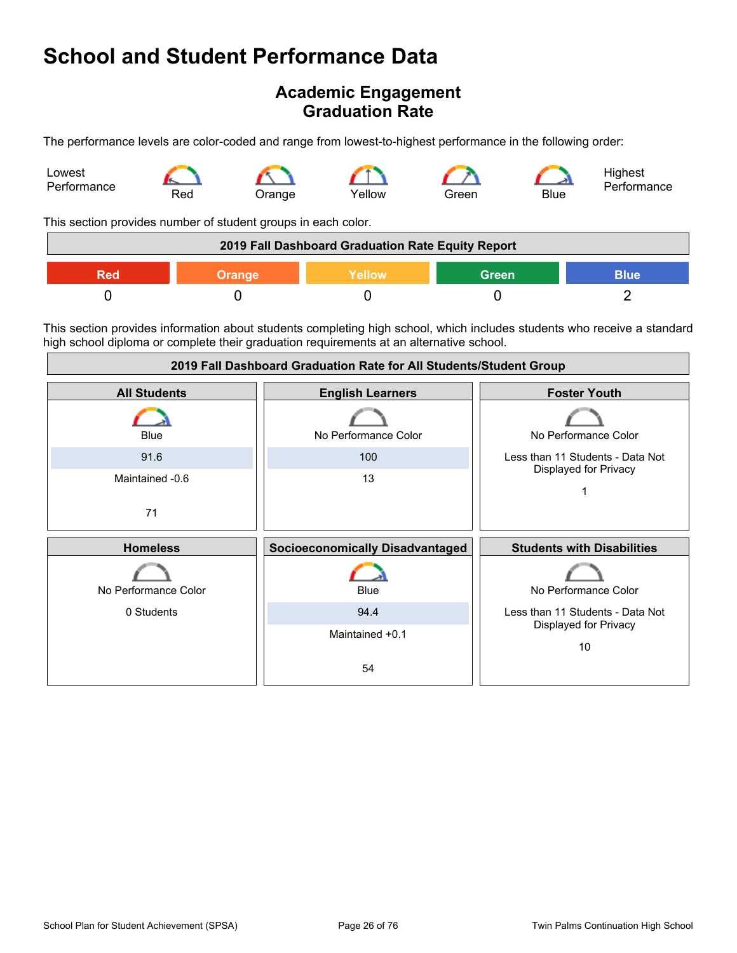## **Academic Engagement Graduation Rate**

The performance levels are color-coded and range from lowest-to-highest performance in the following order:



This section provides number of student groups in each color.

| 2019 Fall Dashboard Graduation Rate Equity Report |               |               |              |             |
|---------------------------------------------------|---------------|---------------|--------------|-------------|
| RAU                                               | <b>Orange</b> | <b>Yellow</b> | <b>Green</b> | <b>Blue</b> |
|                                                   |               |               |              |             |

This section provides information about students completing high school, which includes students who receive a standard high school diploma or complete their graduation requirements at an alternative school.

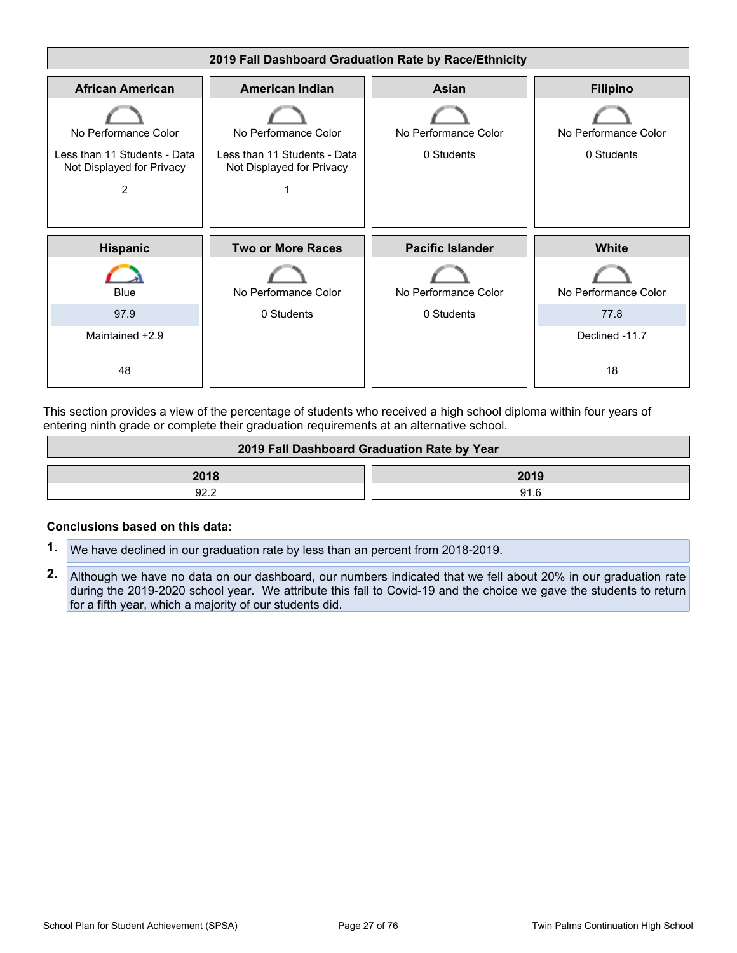

This section provides a view of the percentage of students who received a high school diploma within four years of entering ninth grade or complete their graduation requirements at an alternative school.

| 2019 Fall Dashboard Graduation Rate by Year |      |  |
|---------------------------------------------|------|--|
| 2018                                        | 2019 |  |
| 92.2                                        | 91.6 |  |

#### **Conclusions based on this data:**

- **1.** We have declined in our graduation rate by less than an percent from 2018-2019.
- **2.** Although we have no data on our dashboard, our numbers indicated that we fell about 20% in our graduation rate during the 2019-2020 school year. We attribute this fall to Covid-19 and the choice we gave the students to return for a fifth year, which a majority of our students did.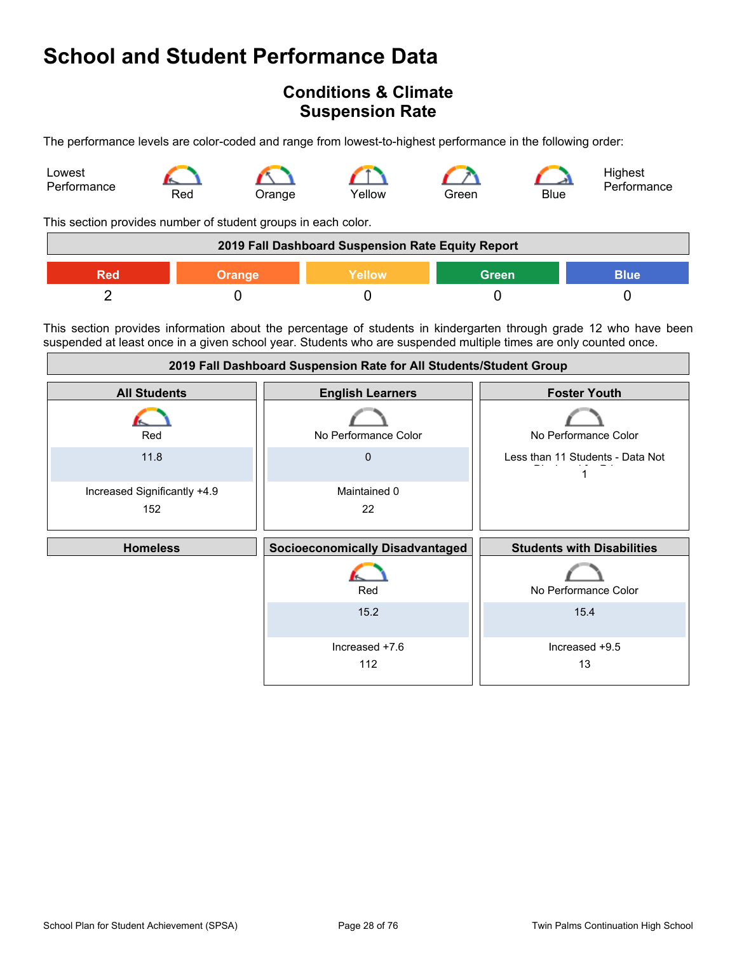## <span id="page-27-0"></span>**Conditions & Climate Suspension Rate**

The performance levels are color-coded and range from lowest-to-highest performance in the following order:



This section provides number of student groups in each color.

| 2019 Fall Dashboard Suspension Rate Equity Report |               |        |              |             |
|---------------------------------------------------|---------------|--------|--------------|-------------|
| Red                                               | <b>Orange</b> | Yellow | <b>Green</b> | <b>Blue</b> |
|                                                   |               |        |              |             |

This section provides information about the percentage of students in kindergarten through grade 12 who have been suspended at least once in a given school year. Students who are suspended multiple times are only counted once.

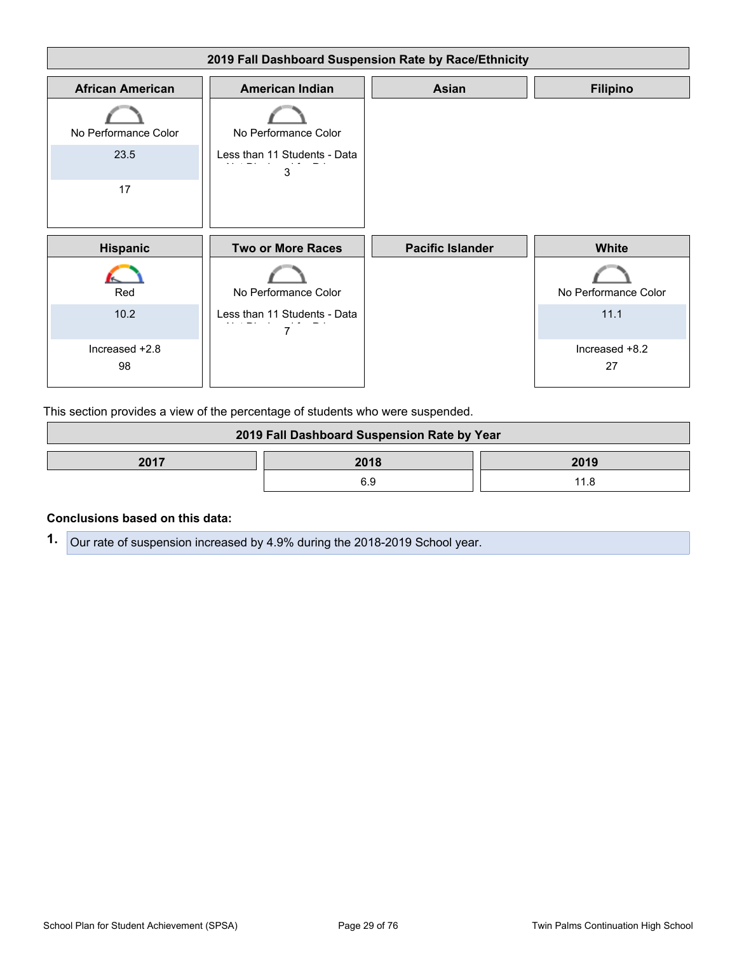

This section provides a view of the percentage of students who were suspended.

| 2019 Fall Dashboard Suspension Rate by Year |      |      |  |
|---------------------------------------------|------|------|--|
| 2017                                        | 2018 | 2019 |  |
|                                             | ĸч   |      |  |

#### **Conclusions based on this data:**

**1.** Our rate of suspension increased by 4.9% during the 2018-2019 School year.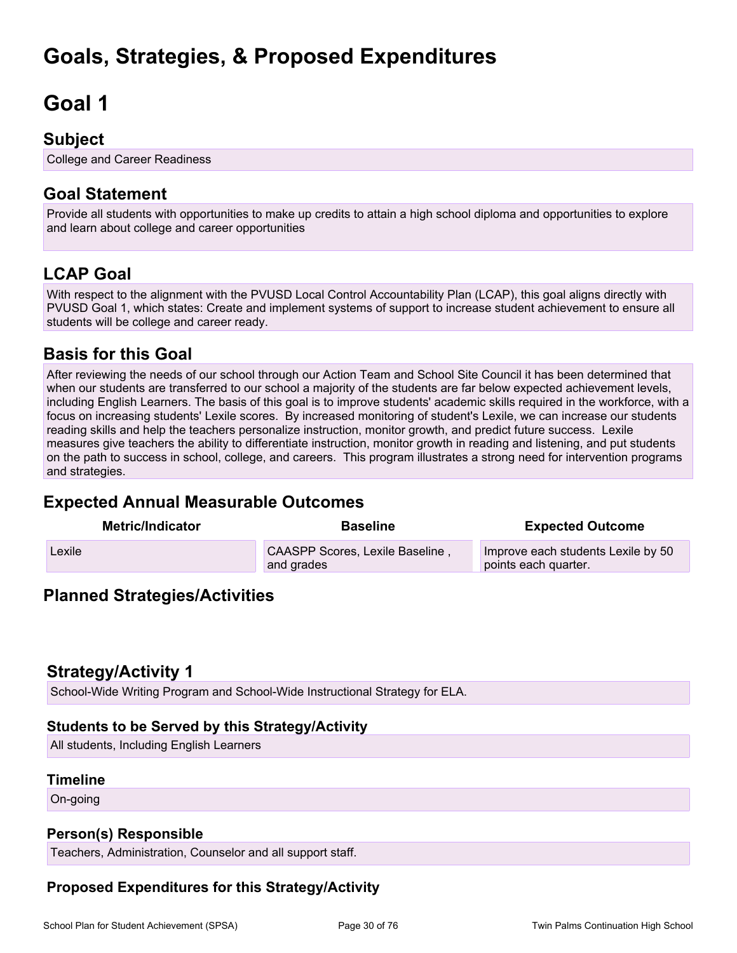# <span id="page-29-0"></span>**Goals, Strategies, & Proposed Expenditures**

# <span id="page-29-1"></span>**Goal 1**

## **Subject**

College and Career Readiness

# **Goal Statement**

Provide all students with opportunities to make up credits to attain a high school diploma and opportunities to explore and learn about college and career opportunities

# **LCAP Goal**

With respect to the alignment with the PVUSD Local Control Accountability Plan (LCAP), this goal aligns directly with PVUSD Goal 1, which states: Create and implement systems of support to increase student achievement to ensure all students will be college and career ready.

## **Basis for this Goal**

After reviewing the needs of our school through our Action Team and School Site Council it has been determined that when our students are transferred to our school a majority of the students are far below expected achievement levels, including English Learners. The basis of this goal is to improve students' academic skills required in the workforce, with a focus on increasing students' Lexile scores. By increased monitoring of student's Lexile, we can increase our students reading skills and help the teachers personalize instruction, monitor growth, and predict future success. Lexile measures give teachers the ability to differentiate instruction, monitor growth in reading and listening, and put students on the path to success in school, college, and careers. This program illustrates a strong need for intervention programs and strategies.

# **Expected Annual Measurable Outcomes**

| <b>Metric/Indicator</b> | <b>Baseline</b>                               | <b>Expected Outcome</b>                                    |
|-------------------------|-----------------------------------------------|------------------------------------------------------------|
| Lexile                  | CAASPP Scores, Lexile Baseline,<br>and grades | Improve each students Lexile by 50<br>points each quarter. |

## **Planned Strategies/Activities**

## **Strategy/Activity 1**

School-Wide Writing Program and School-Wide Instructional Strategy for ELA.

## **Students to be Served by this Strategy/Activity**

All students, Including English Learners

### **Timeline**

On-going

## **Person(s) Responsible**

Teachers, Administration, Counselor and all support staff.

## **Proposed Expenditures for this Strategy/Activity**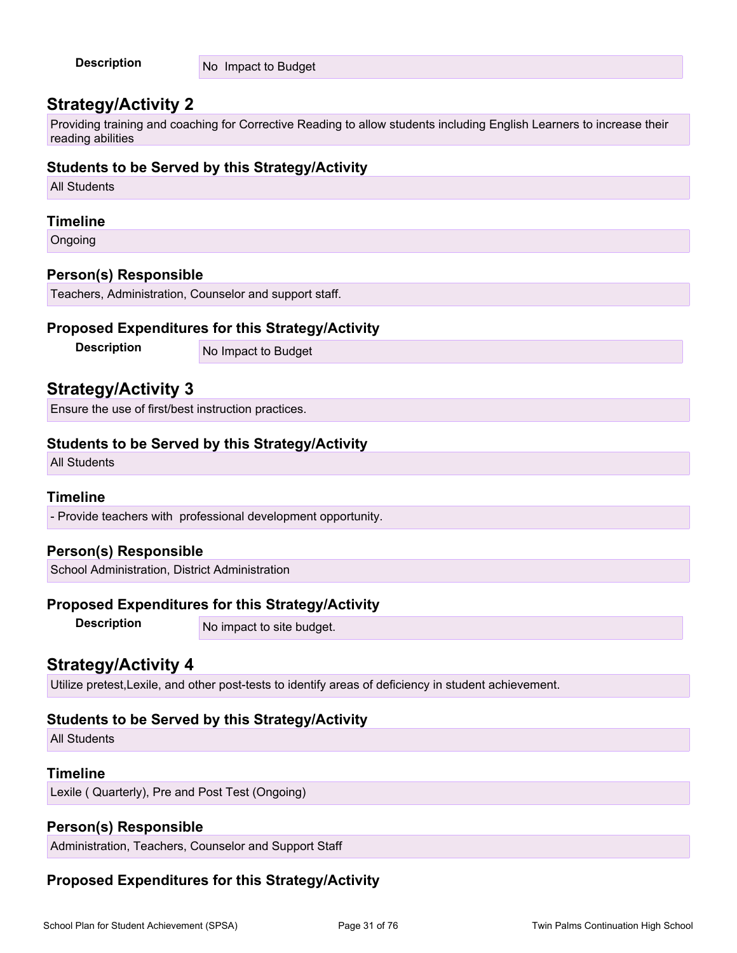| <b>Description</b> | No Impact to Budget |
|--------------------|---------------------|
|                    |                     |

## **Strategy/Activity 2**

Providing training and coaching for Corrective Reading to allow students including English Learners to increase their reading abilities

## **Students to be Served by this Strategy/Activity**

All Students

#### **Timeline**

Ongoing

### **Person(s) Responsible**

Teachers, Administration, Counselor and support staff.

### **Proposed Expenditures for this Strategy/Activity**

**Description** No Impact to Budget

## **Strategy/Activity 3**

Ensure the use of first/best instruction practices.

## **Students to be Served by this Strategy/Activity**

All Students

### **Timeline**

- Provide teachers with professional development opportunity.

## **Person(s) Responsible**

School Administration, District Administration

### **Proposed Expenditures for this Strategy/Activity**

**Description** No impact to site budget.

## **Strategy/Activity 4**

Utilize pretest,Lexile, and other post-tests to identify areas of deficiency in student achievement.

## **Students to be Served by this Strategy/Activity**

All Students

## **Timeline**

Lexile ( Quarterly), Pre and Post Test (Ongoing)

## **Person(s) Responsible**

Administration, Teachers, Counselor and Support Staff

## **Proposed Expenditures for this Strategy/Activity**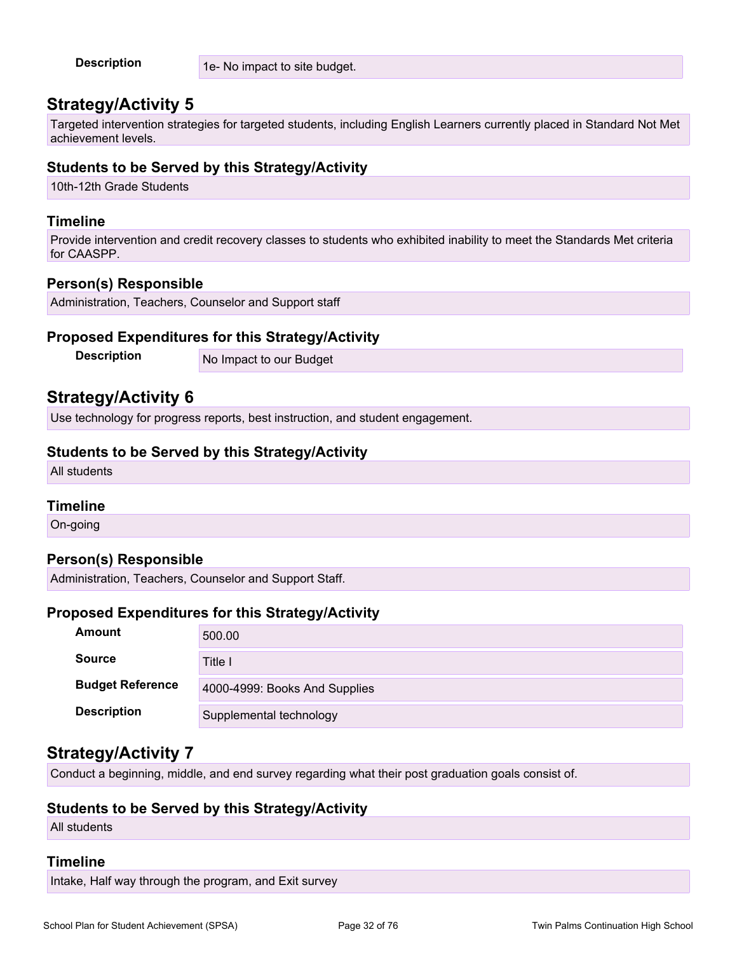| <b>Description</b> | 1e- No impact to site budget. |
|--------------------|-------------------------------|
|--------------------|-------------------------------|

## **Strategy/Activity 5**

Targeted intervention strategies for targeted students, including English Learners currently placed in Standard Not Met achievement levels.

## **Students to be Served by this Strategy/Activity**

10th-12th Grade Students

#### **Timeline**

Provide intervention and credit recovery classes to students who exhibited inability to meet the Standards Met criteria for CAASPP.

## **Person(s) Responsible**

Administration, Teachers, Counselor and Support staff

### **Proposed Expenditures for this Strategy/Activity**

**Description** No Impact to our Budget

## **Strategy/Activity 6**

Use technology for progress reports, best instruction, and student engagement.

#### **Students to be Served by this Strategy/Activity**

All students

### **Timeline**

On-going

### **Person(s) Responsible**

Administration, Teachers, Counselor and Support Staff.

### **Proposed Expenditures for this Strategy/Activity**

| Amount                  | 500.00                        |
|-------------------------|-------------------------------|
| <b>Source</b>           | Title I                       |
| <b>Budget Reference</b> | 4000-4999: Books And Supplies |
| <b>Description</b>      | Supplemental technology       |

## **Strategy/Activity 7**

Conduct a beginning, middle, and end survey regarding what their post graduation goals consist of.

### **Students to be Served by this Strategy/Activity**

All students

#### **Timeline**

Intake, Half way through the program, and Exit survey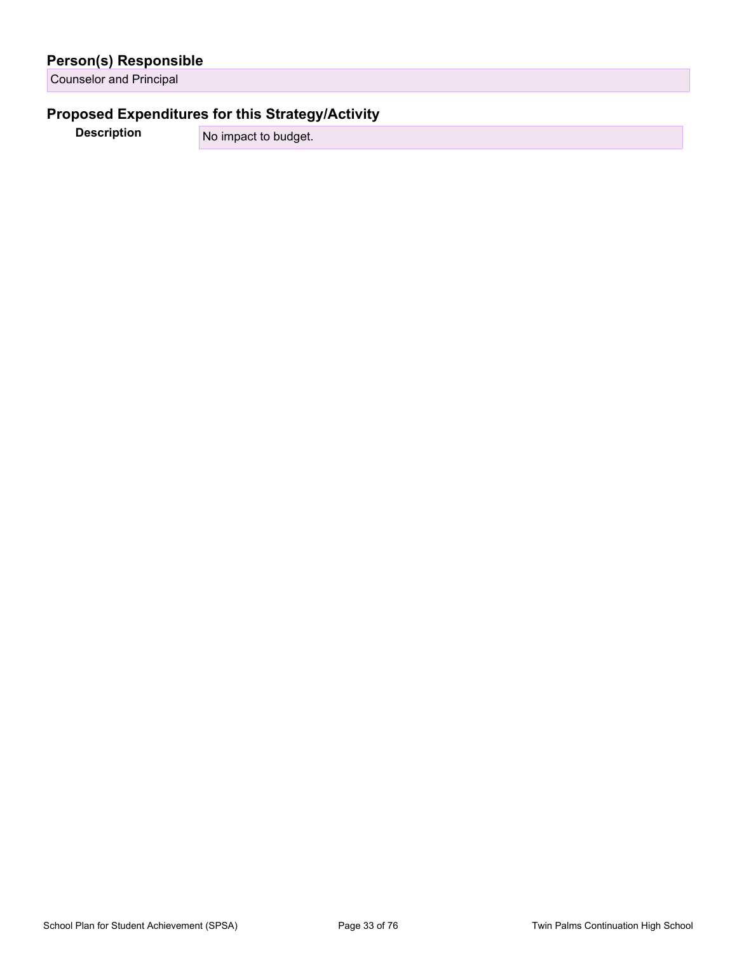|  | <b>Person(s) Responsible</b> |
|--|------------------------------|
|  |                              |

Counselor and Principal

## **Proposed Expenditures for this Strategy/Activity**

**Description** No impact to budget.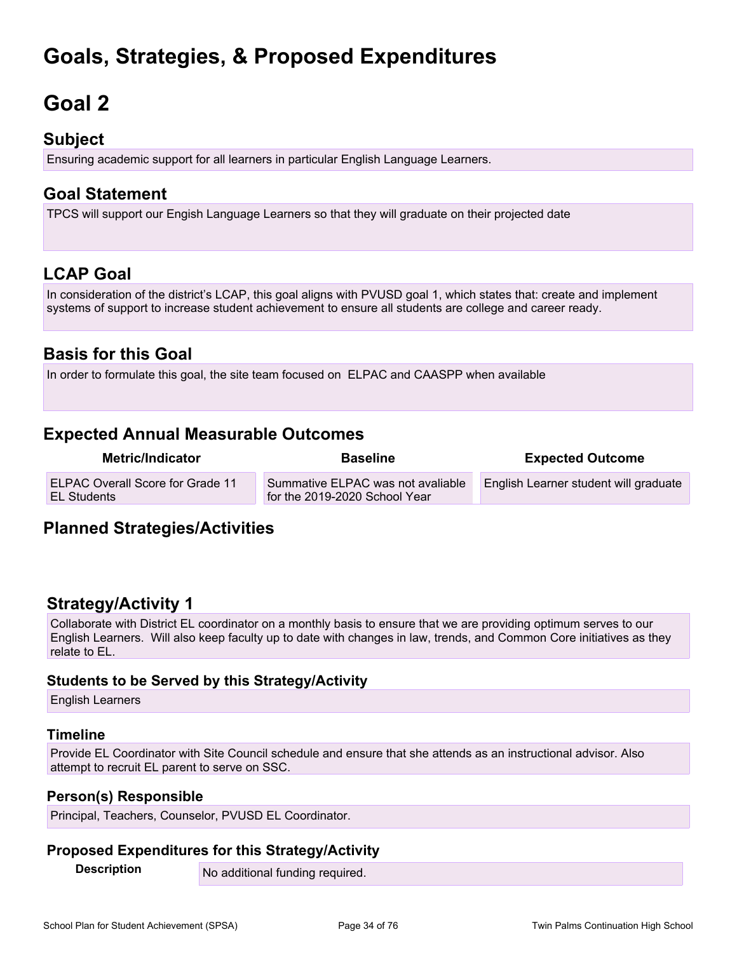# **Goals, Strategies, & Proposed Expenditures**

# <span id="page-33-0"></span>**Goal 2**

## **Subject**

Ensuring academic support for all learners in particular English Language Learners.

# **Goal Statement**

TPCS will support our Engish Language Learners so that they will graduate on their projected date

# **LCAP Goal**

In consideration of the district's LCAP, this goal aligns with PVUSD goal 1, which states that: create and implement systems of support to increase student achievement to ensure all students are college and career ready.

## **Basis for this Goal**

In order to formulate this goal, the site team focused on ELPAC and CAASPP when available

# **Expected Annual Measurable Outcomes**

| <b>Metric/Indicator</b>                                       | <b>Baseline</b>                                                    | <b>Expected Outcome</b>               |
|---------------------------------------------------------------|--------------------------------------------------------------------|---------------------------------------|
| <b>ELPAC Overall Score for Grade 11</b><br><b>EL Students</b> | Summative ELPAC was not avaliable<br>for the 2019-2020 School Year | English Learner student will graduate |

## **Planned Strategies/Activities**

## **Strategy/Activity 1**

Collaborate with District EL coordinator on a monthly basis to ensure that we are providing optimum serves to our English Learners. Will also keep faculty up to date with changes in law, trends, and Common Core initiatives as they relate to EL.

## **Students to be Served by this Strategy/Activity**

English Learners

## **Timeline**

Provide EL Coordinator with Site Council schedule and ensure that she attends as an instructional advisor. Also attempt to recruit EL parent to serve on SSC.

## **Person(s) Responsible**

Principal, Teachers, Counselor, PVUSD EL Coordinator.

## **Proposed Expenditures for this Strategy/Activity**

**Description** No additional funding required.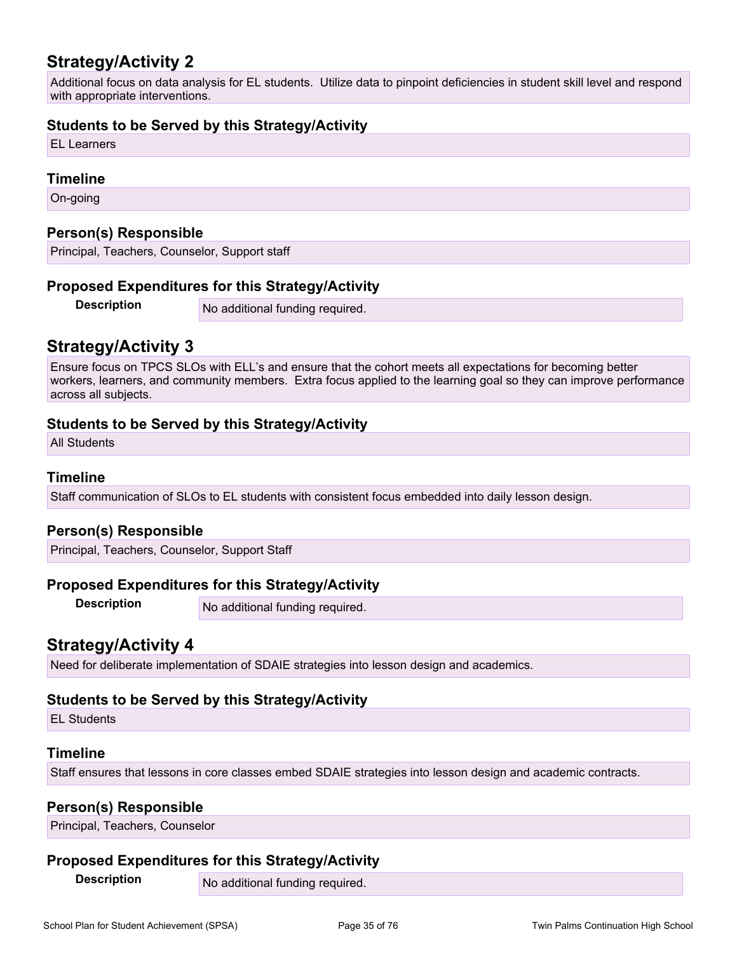# **Strategy/Activity 2**

Additional focus on data analysis for EL students. Utilize data to pinpoint deficiencies in student skill level and respond with appropriate interventions.

## **Students to be Served by this Strategy/Activity**

EL Learners

#### **Timeline**

On-going

### **Person(s) Responsible**

Principal, Teachers, Counselor, Support staff

### **Proposed Expenditures for this Strategy/Activity**

**Description** No additional funding required.

## **Strategy/Activity 3**

Ensure focus on TPCS SLOs with ELL's and ensure that the cohort meets all expectations for becoming better workers, learners, and community members. Extra focus applied to the learning goal so they can improve performance across all subjects.

## **Students to be Served by this Strategy/Activity**

All Students

#### **Timeline**

Staff communication of SLOs to EL students with consistent focus embedded into daily lesson design.

### **Person(s) Responsible**

Principal, Teachers, Counselor, Support Staff

### **Proposed Expenditures for this Strategy/Activity**

**Description** No additional funding required.

## **Strategy/Activity 4**

Need for deliberate implementation of SDAIE strategies into lesson design and academics.

### **Students to be Served by this Strategy/Activity**

EL Students

### **Timeline**

Staff ensures that lessons in core classes embed SDAIE strategies into lesson design and academic contracts.

## **Person(s) Responsible**

Principal, Teachers, Counselor

### **Proposed Expenditures for this Strategy/Activity**

**Description** No additional funding required.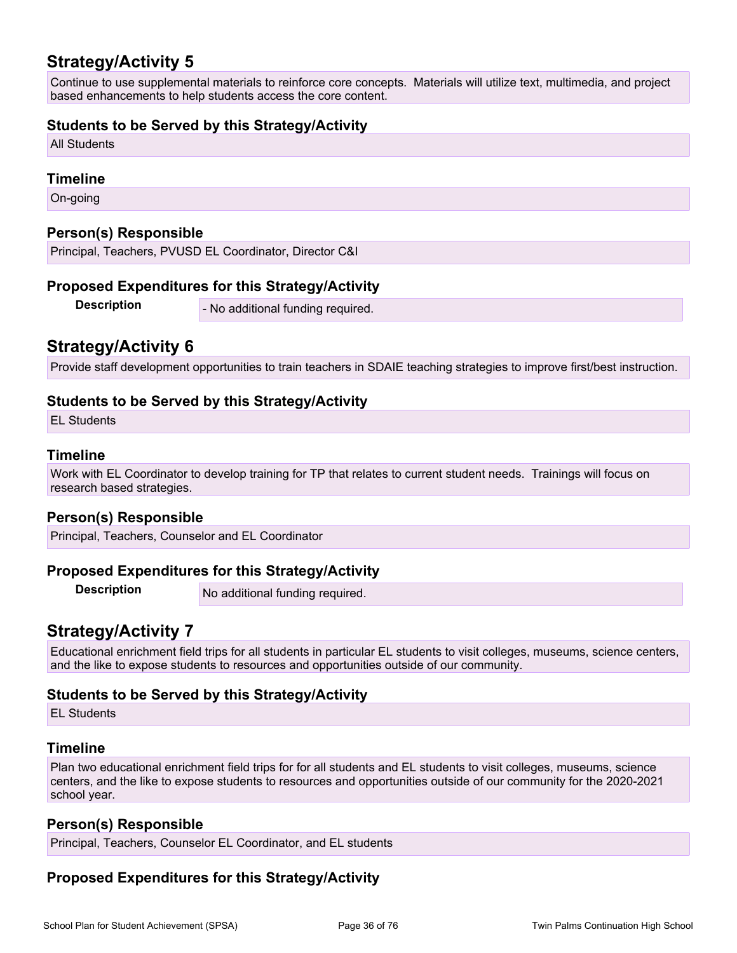## **Strategy/Activity 5**

Continue to use supplemental materials to reinforce core concepts. Materials will utilize text, multimedia, and project based enhancements to help students access the core content.

## **Students to be Served by this Strategy/Activity**

All Students

#### **Timeline**

On-going

### **Person(s) Responsible**

Principal, Teachers, PVUSD EL Coordinator, Director C&I

### **Proposed Expenditures for this Strategy/Activity**

**Description** - No additional funding required.

## **Strategy/Activity 6**

Provide staff development opportunities to train teachers in SDAIE teaching strategies to improve first/best instruction.

## **Students to be Served by this Strategy/Activity**

EL Students

### **Timeline**

Work with EL Coordinator to develop training for TP that relates to current student needs. Trainings will focus on research based strategies.

### **Person(s) Responsible**

Principal, Teachers, Counselor and EL Coordinator

### **Proposed Expenditures for this Strategy/Activity**

**Description** No additional funding required.

## **Strategy/Activity 7**

Educational enrichment field trips for all students in particular EL students to visit colleges, museums, science centers, and the like to expose students to resources and opportunities outside of our community.

### **Students to be Served by this Strategy/Activity**

EL Students

## **Timeline**

Plan two educational enrichment field trips for for all students and EL students to visit colleges, museums, science centers, and the like to expose students to resources and opportunities outside of our community for the 2020-2021 school year.

### **Person(s) Responsible**

Principal, Teachers, Counselor EL Coordinator, and EL students

## **Proposed Expenditures for this Strategy/Activity**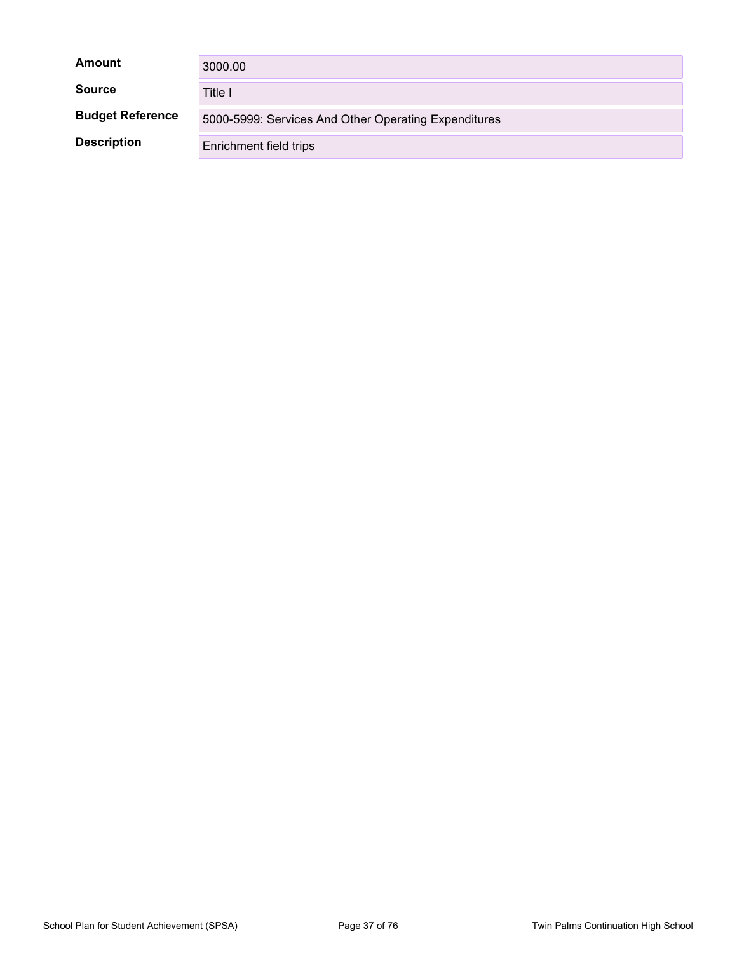| Amount                  | 3000.00                                              |
|-------------------------|------------------------------------------------------|
| <b>Source</b>           | Title I                                              |
| <b>Budget Reference</b> | 5000-5999: Services And Other Operating Expenditures |
| <b>Description</b>      | Enrichment field trips                               |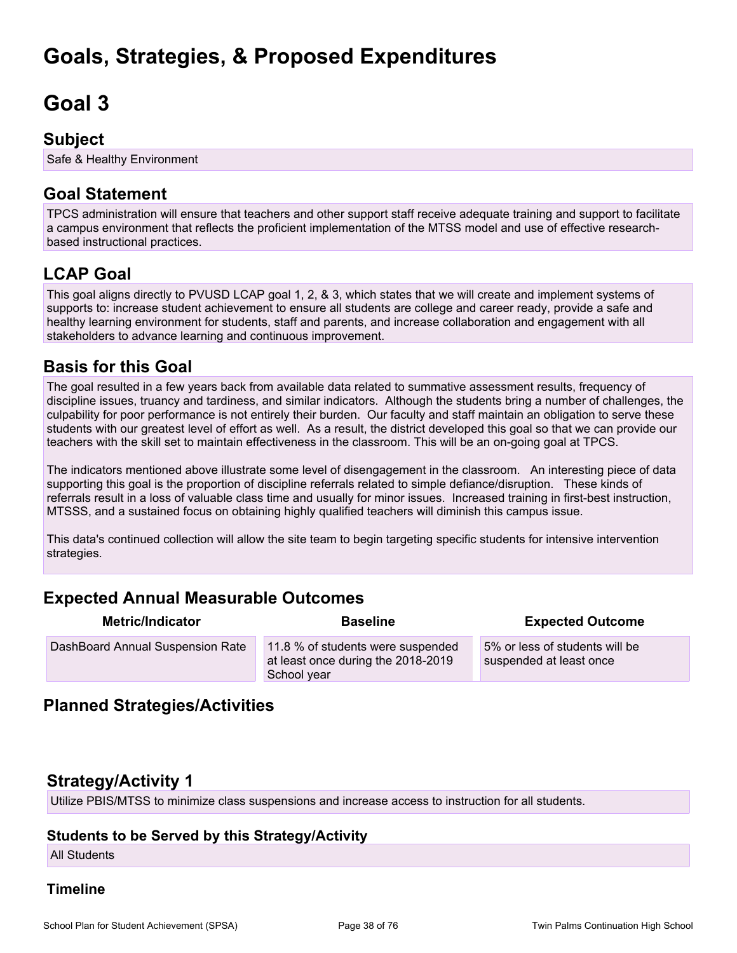# **Goals, Strategies, & Proposed Expenditures**

# **Goal 3**

## **Subject**

Safe & Healthy Environment

## **Goal Statement**

TPCS administration will ensure that teachers and other support staff receive adequate training and support to facilitate a campus environment that reflects the proficient implementation of the MTSS model and use of effective researchbased instructional practices.

## **LCAP Goal**

This goal aligns directly to PVUSD LCAP goal 1, 2, & 3, which states that we will create and implement systems of supports to: increase student achievement to ensure all students are college and career ready, provide a safe and healthy learning environment for students, staff and parents, and increase collaboration and engagement with all stakeholders to advance learning and continuous improvement.

## **Basis for this Goal**

The goal resulted in a few years back from available data related to summative assessment results, frequency of discipline issues, truancy and tardiness, and similar indicators. Although the students bring a number of challenges, the culpability for poor performance is not entirely their burden. Our faculty and staff maintain an obligation to serve these students with our greatest level of effort as well. As a result, the district developed this goal so that we can provide our teachers with the skill set to maintain effectiveness in the classroom. This will be an on-going goal at TPCS.

The indicators mentioned above illustrate some level of disengagement in the classroom. An interesting piece of data supporting this goal is the proportion of discipline referrals related to simple defiance/disruption. These kinds of referrals result in a loss of valuable class time and usually for minor issues. Increased training in first-best instruction, MTSSS, and a sustained focus on obtaining highly qualified teachers will diminish this campus issue.

This data's continued collection will allow the site team to begin targeting specific students for intensive intervention strategies.

## **Expected Annual Measurable Outcomes**

| <b>Metric/Indicator</b>          | <b>Baseline</b>                                                                        | <b>Expected Outcome</b>                                   |
|----------------------------------|----------------------------------------------------------------------------------------|-----------------------------------------------------------|
| DashBoard Annual Suspension Rate | 11.8 % of students were suspended<br>at least once during the 2018-2019<br>School year | 5% or less of students will be<br>suspended at least once |

## **Planned Strategies/Activities**

## **Strategy/Activity 1**

Utilize PBIS/MTSS to minimize class suspensions and increase access to instruction for all students.

### **Students to be Served by this Strategy/Activity**

All Students

### **Timeline**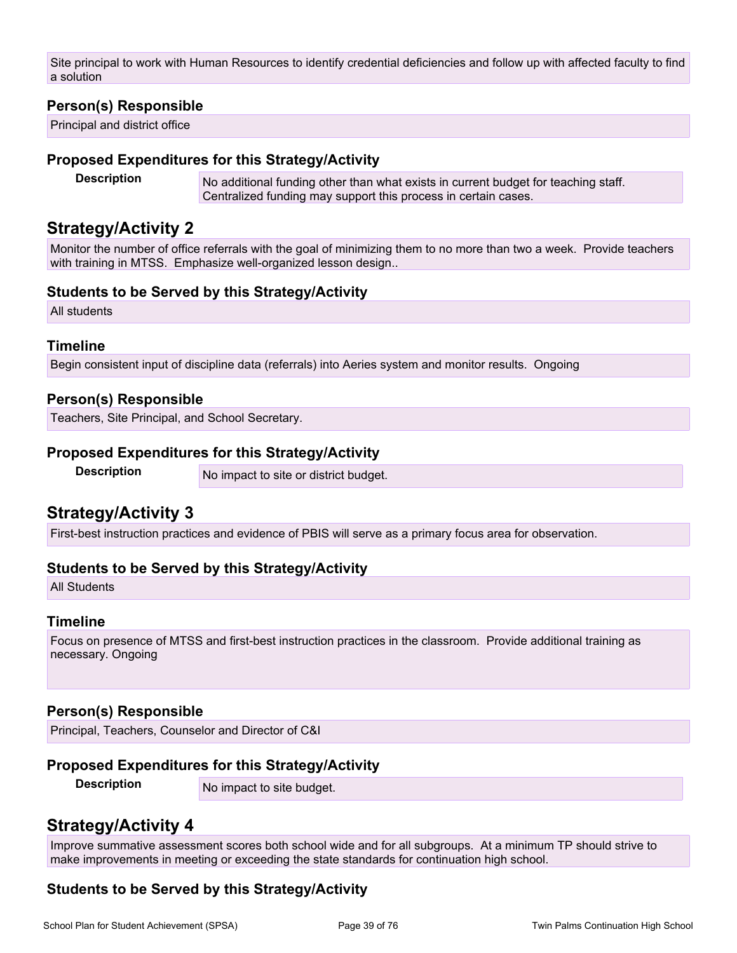Site principal to work with Human Resources to identify credential deficiencies and follow up with affected faculty to find a solution

### **Person(s) Responsible**

Principal and district office

#### **Proposed Expenditures for this Strategy/Activity**

**Description** No additional funding other than what exists in current budget for teaching staff. Centralized funding may support this process in certain cases.

### **Strategy/Activity 2**

Monitor the number of office referrals with the goal of minimizing them to no more than two a week. Provide teachers with training in MTSS. Emphasize well-organized lesson design..

### **Students to be Served by this Strategy/Activity**

All students

### **Timeline**

Begin consistent input of discipline data (referrals) into Aeries system and monitor results. Ongoing

### **Person(s) Responsible**

Teachers, Site Principal, and School Secretary.

### **Proposed Expenditures for this Strategy/Activity**

**Description** No impact to site or district budget.

### **Strategy/Activity 3**

First-best instruction practices and evidence of PBIS will serve as a primary focus area for observation.

### **Students to be Served by this Strategy/Activity**

All Students

### **Timeline**

Focus on presence of MTSS and first-best instruction practices in the classroom. Provide additional training as necessary. Ongoing

### **Person(s) Responsible**

Principal, Teachers, Counselor and Director of C&I

### **Proposed Expenditures for this Strategy/Activity**

**Description** No impact to site budget.

## **Strategy/Activity 4**

Improve summative assessment scores both school wide and for all subgroups. At a minimum TP should strive to make improvements in meeting or exceeding the state standards for continuation high school.

### **Students to be Served by this Strategy/Activity**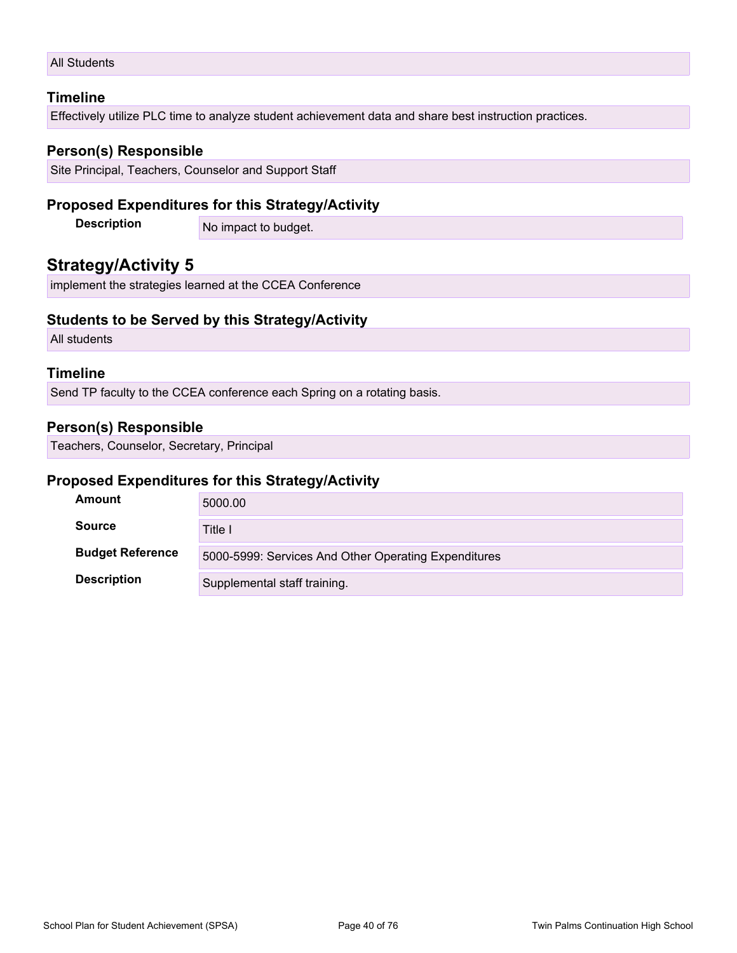### All Students

### **Timeline**

Effectively utilize PLC time to analyze student achievement data and share best instruction practices.

### **Person(s) Responsible**

Site Principal, Teachers, Counselor and Support Staff

### **Proposed Expenditures for this Strategy/Activity**

**Description** No impact to budget.

### **Strategy/Activity 5**

implement the strategies learned at the CCEA Conference

### **Students to be Served by this Strategy/Activity**

All students

### **Timeline**

Send TP faculty to the CCEA conference each Spring on a rotating basis.

### **Person(s) Responsible**

Teachers, Counselor, Secretary, Principal

### **Proposed Expenditures for this Strategy/Activity**

| <b>Amount</b>           | 5000.00                                              |
|-------------------------|------------------------------------------------------|
| <b>Source</b>           | Title I                                              |
| <b>Budget Reference</b> | 5000-5999: Services And Other Operating Expenditures |
| <b>Description</b>      | Supplemental staff training.                         |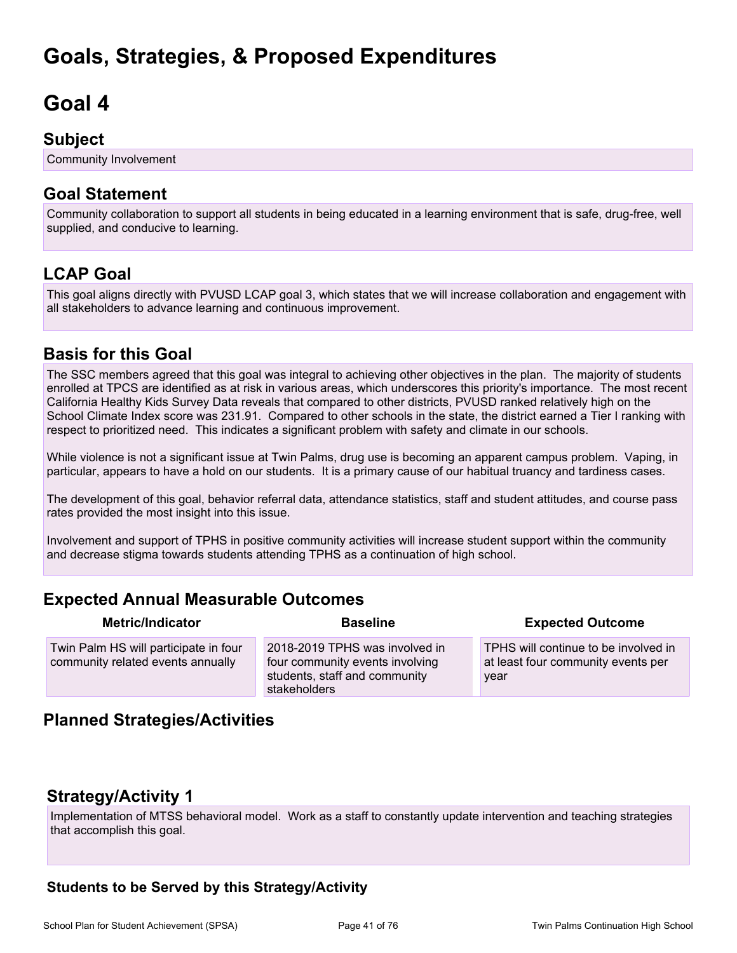# **Goals, Strategies, & Proposed Expenditures**

# **Goal 4**

## **Subject**

Community Involvement

## **Goal Statement**

Community collaboration to support all students in being educated in a learning environment that is safe, drug-free, well supplied, and conducive to learning.

## **LCAP Goal**

This goal aligns directly with PVUSD LCAP goal 3, which states that we will increase collaboration and engagement with all stakeholders to advance learning and continuous improvement.

## **Basis for this Goal**

The SSC members agreed that this goal was integral to achieving other objectives in the plan. The majority of students enrolled at TPCS are identified as at risk in various areas, which underscores this priority's importance. The most recent California Healthy Kids Survey Data reveals that compared to other districts, PVUSD ranked relatively high on the School Climate Index score was 231.91. Compared to other schools in the state, the district earned a Tier I ranking with respect to prioritized need. This indicates a significant problem with safety and climate in our schools.

While violence is not a significant issue at Twin Palms, drug use is becoming an apparent campus problem. Vaping, in particular, appears to have a hold on our students. It is a primary cause of our habitual truancy and tardiness cases.

The development of this goal, behavior referral data, attendance statistics, staff and student attitudes, and course pass rates provided the most insight into this issue.

Involvement and support of TPHS in positive community activities will increase student support within the community and decrease stigma towards students attending TPHS as a continuation of high school.

## **Expected Annual Measurable Outcomes**

| <b>Metric/Indicator</b>                                                    | <b>Baseline</b>                                                                                                    | <b>Expected Outcome</b>                                                            |
|----------------------------------------------------------------------------|--------------------------------------------------------------------------------------------------------------------|------------------------------------------------------------------------------------|
| Twin Palm HS will participate in four<br>community related events annually | 2018-2019 TPHS was involved in<br>four community events involving<br>students, staff and community<br>stakeholders | TPHS will continue to be involved in<br>at least four community events per<br>year |

## **Planned Strategies/Activities**

## **Strategy/Activity 1**

Implementation of MTSS behavioral model. Work as a staff to constantly update intervention and teaching strategies that accomplish this goal.

### **Students to be Served by this Strategy/Activity**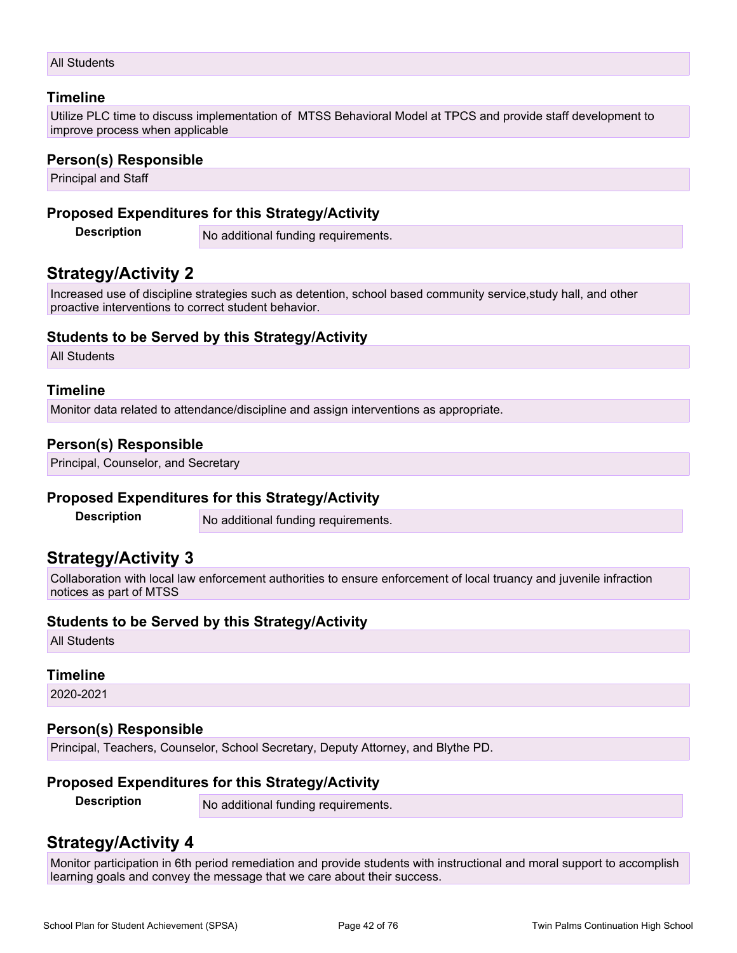### **Timeline**

Utilize PLC time to discuss implementation of MTSS Behavioral Model at TPCS and provide staff development to improve process when applicable

### **Person(s) Responsible**

Principal and Staff

### **Proposed Expenditures for this Strategy/Activity**

**Description** No additional funding requirements.

## **Strategy/Activity 2**

Increased use of discipline strategies such as detention, school based community service,study hall, and other proactive interventions to correct student behavior.

### **Students to be Served by this Strategy/Activity**

All Students

### **Timeline**

Monitor data related to attendance/discipline and assign interventions as appropriate.

### **Person(s) Responsible**

Principal, Counselor, and Secretary

### **Proposed Expenditures for this Strategy/Activity**

**Description** No additional funding requirements.

## **Strategy/Activity 3**

Collaboration with local law enforcement authorities to ensure enforcement of local truancy and juvenile infraction notices as part of MTSS

### **Students to be Served by this Strategy/Activity**

All Students

### **Timeline**

2020-2021

### **Person(s) Responsible**

Principal, Teachers, Counselor, School Secretary, Deputy Attorney, and Blythe PD.

### **Proposed Expenditures for this Strategy/Activity**

**Description** No additional funding requirements.

## **Strategy/Activity 4**

Monitor participation in 6th period remediation and provide students with instructional and moral support to accomplish learning goals and convey the message that we care about their success.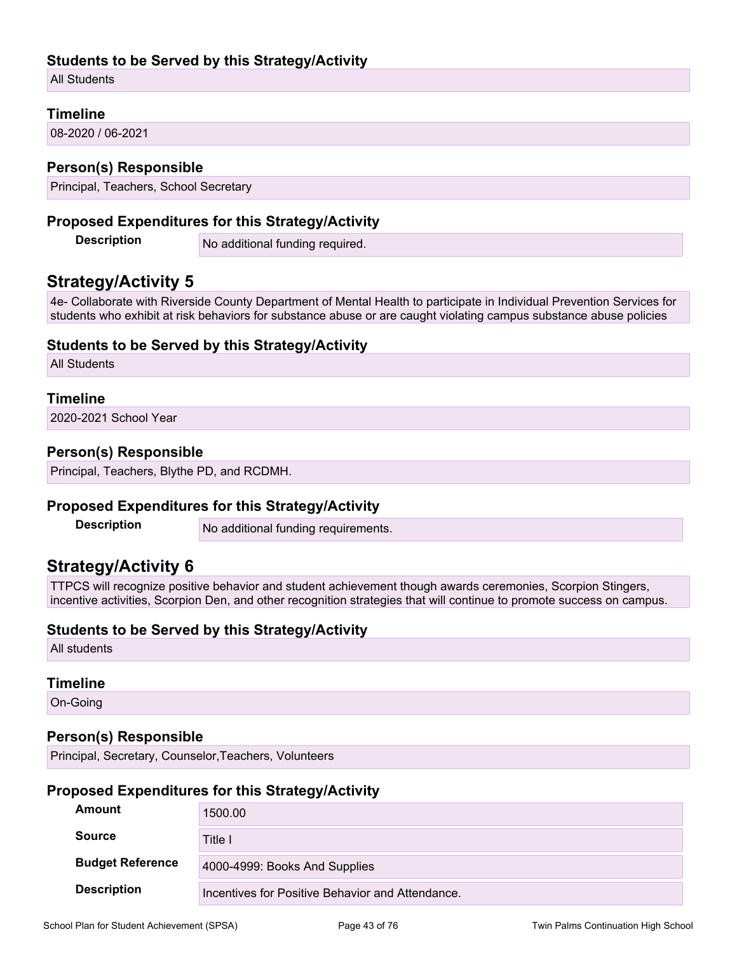### **Students to be Served by this Strategy/Activity**

All Students

### **Timeline**

08-2020 / 06-2021

### **Person(s) Responsible**

Principal, Teachers, School Secretary

### **Proposed Expenditures for this Strategy/Activity**

**Description** No additional funding required.

### **Strategy/Activity 5**

4e- Collaborate with Riverside County Department of Mental Health to participate in Individual Prevention Services for students who exhibit at risk behaviors for substance abuse or are caught violating campus substance abuse policies

### **Students to be Served by this Strategy/Activity**

All Students

### **Timeline**

2020-2021 School Year

### **Person(s) Responsible**

Principal, Teachers, Blythe PD, and RCDMH.

### **Proposed Expenditures for this Strategy/Activity**

**Description** No additional funding requirements.

## **Strategy/Activity 6**

TTPCS will recognize positive behavior and student achievement though awards ceremonies, Scorpion Stingers, incentive activities, Scorpion Den, and other recognition strategies that will continue to promote success on campus.

### **Students to be Served by this Strategy/Activity**

All students

### **Timeline**

On-Going

### **Person(s) Responsible**

Principal, Secretary, Counselor,Teachers, Volunteers

### **Proposed Expenditures for this Strategy/Activity**

| <b>Amount</b>           | 1500.00                                          |
|-------------------------|--------------------------------------------------|
| <b>Source</b>           | Title I                                          |
| <b>Budget Reference</b> | 4000-4999: Books And Supplies                    |
| <b>Description</b>      | Incentives for Positive Behavior and Attendance. |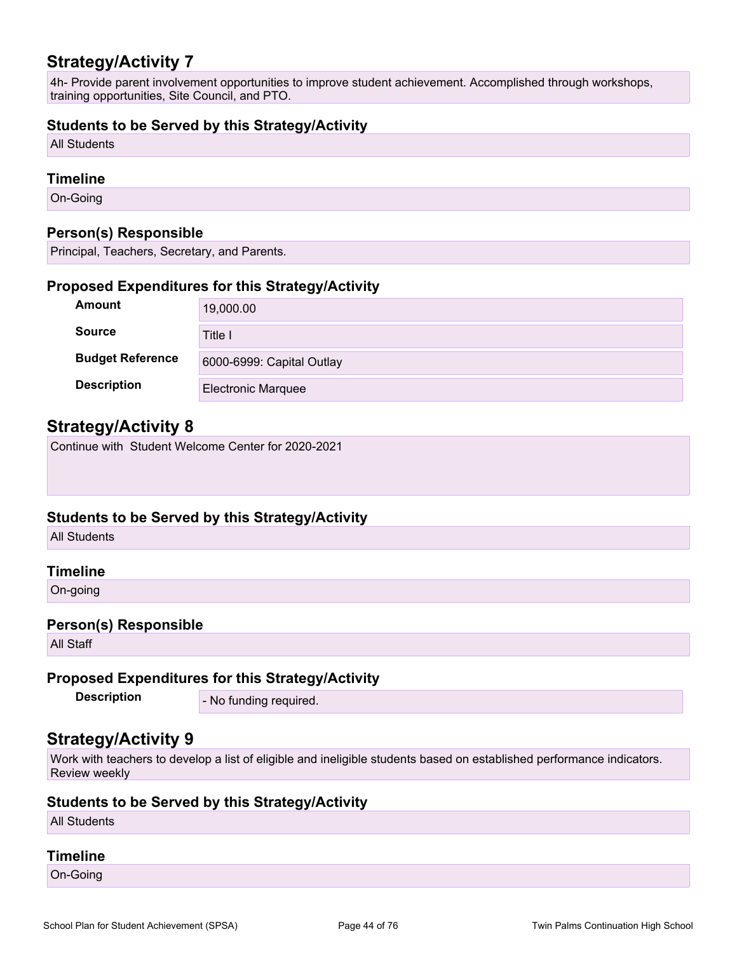## **Strategy/Activity 7**

4h- Provide parent involvement opportunities to improve student achievement. Accomplished through workshops, training opportunities, Site Council, and PTO.

### **Students to be Served by this Strategy/Activity**

All Students

### **Timeline**

On-Going

### **Person(s) Responsible**

Principal, Teachers, Secretary, and Parents.

### **Proposed Expenditures for this Strategy/Activity**

| Amount                  | 19,000.00                 |
|-------------------------|---------------------------|
| <b>Source</b>           | Title I                   |
| <b>Budget Reference</b> | 6000-6999: Capital Outlay |
| <b>Description</b>      | <b>Electronic Marquee</b> |

## **Strategy/Activity 8**

Continue with Student Welcome Center for 2020-2021

### **Students to be Served by this Strategy/Activity**

All Students

### **Timeline**

On-going

### **Person(s) Responsible**

All Staff

### **Proposed Expenditures for this Strategy/Activity**

**Description** - No funding required.

## **Strategy/Activity 9**

Work with teachers to develop a list of eligible and ineligible students based on established performance indicators. Review weekly

### **Students to be Served by this Strategy/Activity**

All Students

### **Timeline**

On-Going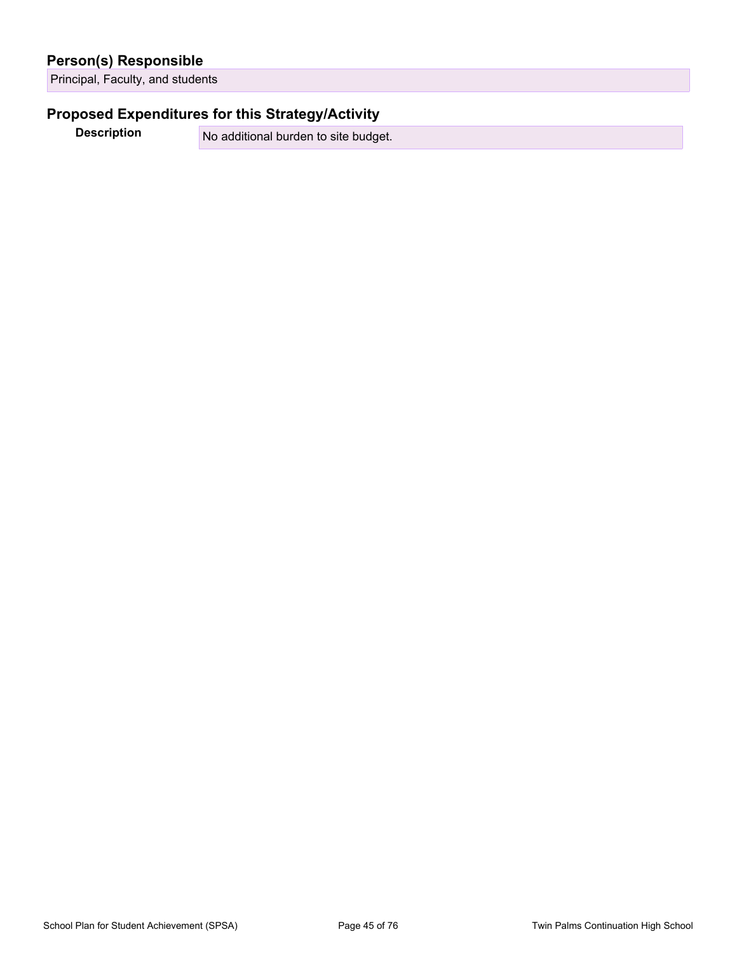### **Person(s) Responsible**

Principal, Faculty, and students

### **Proposed Expenditures for this Strategy/Activity**

**Description** No additional burden to site budget.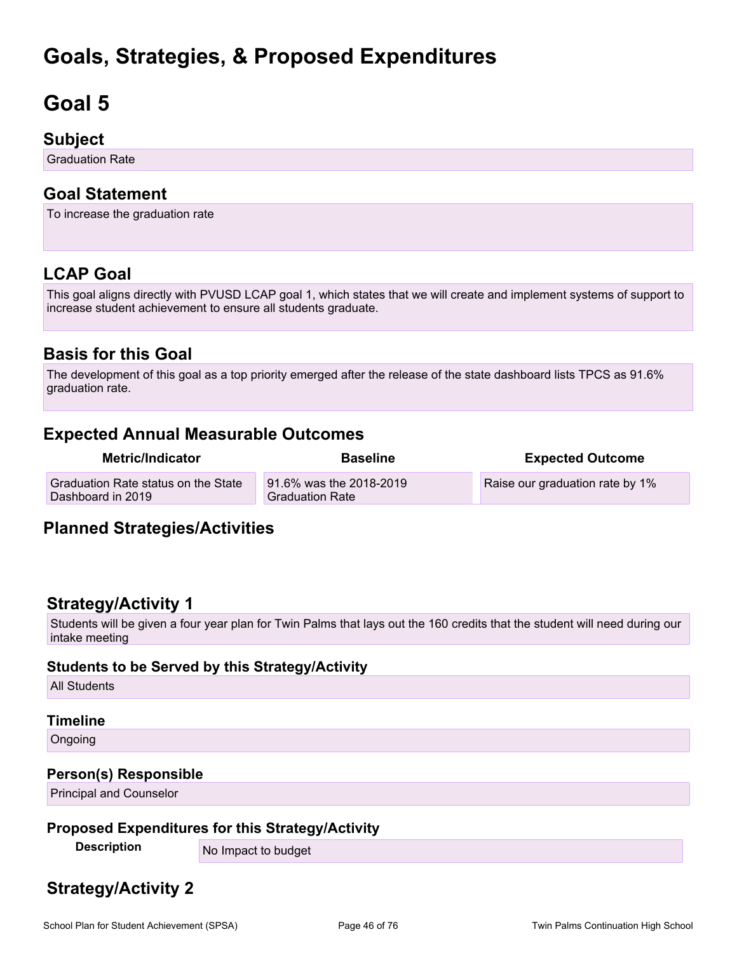# **Goals, Strategies, & Proposed Expenditures**

# **Goal 5**

## **Subject**

Graduation Rate

## **Goal Statement**

To increase the graduation rate

## **LCAP Goal**

This goal aligns directly with PVUSD LCAP goal 1, which states that we will create and implement systems of support to increase student achievement to ensure all students graduate.

## **Basis for this Goal**

The development of this goal as a top priority emerged after the release of the state dashboard lists TPCS as 91.6% graduation rate.

## **Expected Annual Measurable Outcomes**

| Metric/Indicator                                         | <b>Baseline</b>                                   | <b>Expected Outcome</b>         |
|----------------------------------------------------------|---------------------------------------------------|---------------------------------|
| Graduation Rate status on the State<br>Dashboard in 2019 | 91.6% was the 2018-2019<br><b>Graduation Rate</b> | Raise our graduation rate by 1% |

## **Planned Strategies/Activities**

## **Strategy/Activity 1**

Students will be given a four year plan for Twin Palms that lays out the 160 credits that the student will need during our intake meeting

### **Students to be Served by this Strategy/Activity**

All Students

### **Timeline**

Ongoing

### **Person(s) Responsible**

Principal and Counselor

### **Proposed Expenditures for this Strategy/Activity**

**Description** No Impact to budget

## **Strategy/Activity 2**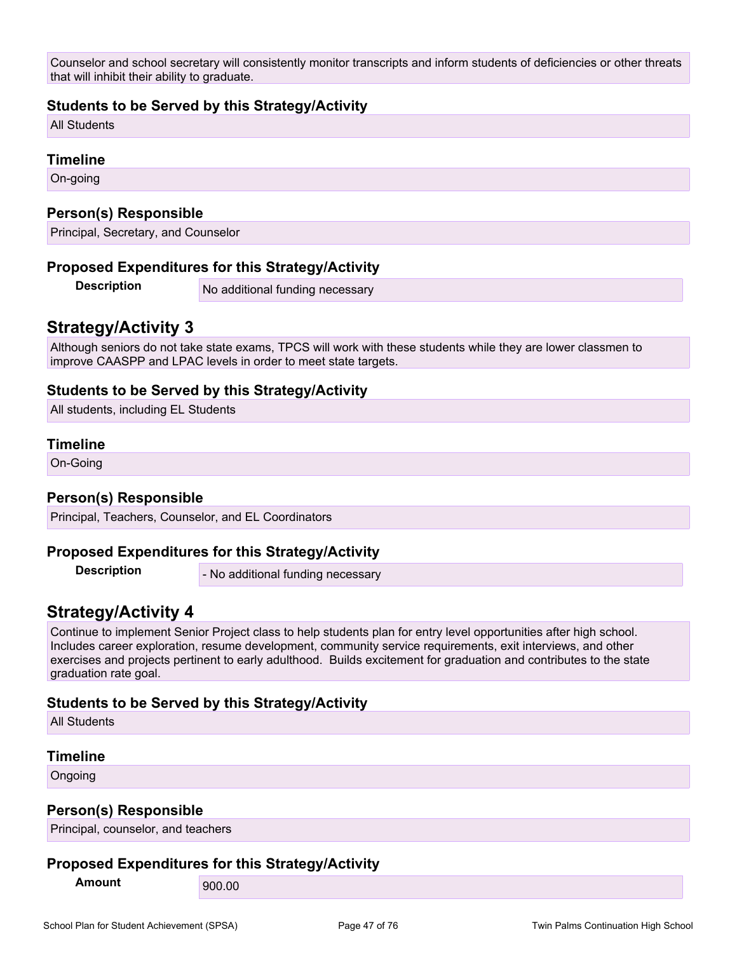Counselor and school secretary will consistently monitor transcripts and inform students of deficiencies or other threats that will inhibit their ability to graduate.

### **Students to be Served by this Strategy/Activity**

All Students

#### **Timeline**

On-going

#### **Person(s) Responsible**

Principal, Secretary, and Counselor

#### **Proposed Expenditures for this Strategy/Activity**

**Description** No additional funding necessary

### **Strategy/Activity 3**

Although seniors do not take state exams, TPCS will work with these students while they are lower classmen to improve CAASPP and LPAC levels in order to meet state targets.

### **Students to be Served by this Strategy/Activity**

All students, including EL Students

#### **Timeline**

On-Going

#### **Person(s) Responsible**

Principal, Teachers, Counselor, and EL Coordinators

#### **Proposed Expenditures for this Strategy/Activity**

**Description** - No additional funding necessary

### **Strategy/Activity 4**

Continue to implement Senior Project class to help students plan for entry level opportunities after high school. Includes career exploration, resume development, community service requirements, exit interviews, and other exercises and projects pertinent to early adulthood. Builds excitement for graduation and contributes to the state graduation rate goal.

### **Students to be Served by this Strategy/Activity**

All Students

#### **Timeline**

Ongoing

### **Person(s) Responsible**

Principal, counselor, and teachers

### **Proposed Expenditures for this Strategy/Activity**

**Amount** 900.00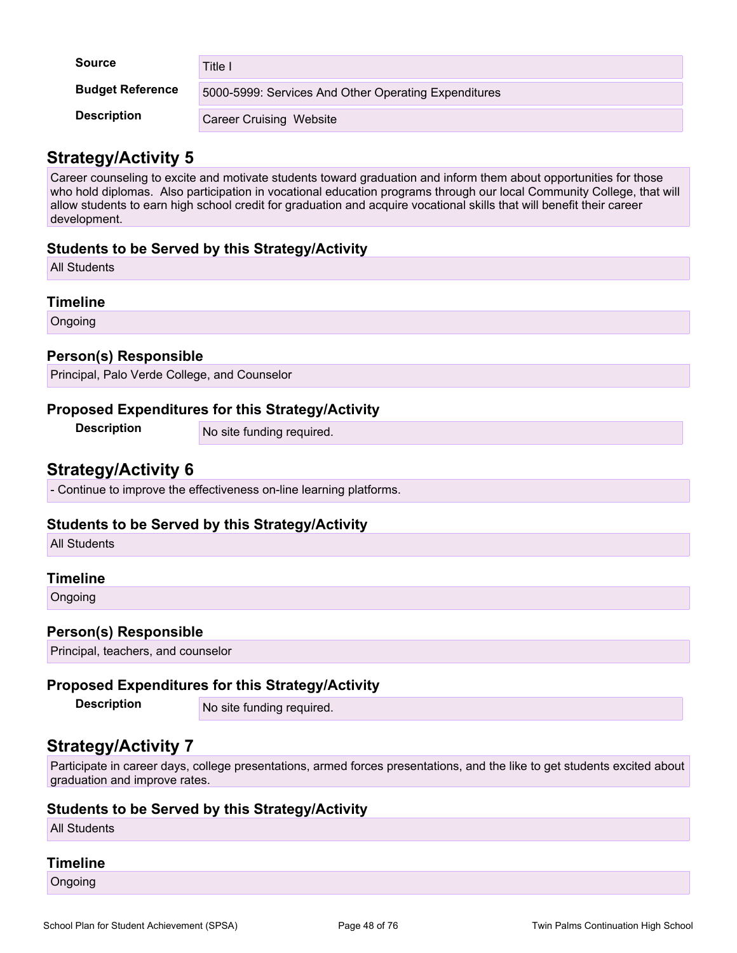| <b>Source</b>           | Title I                                              |
|-------------------------|------------------------------------------------------|
| <b>Budget Reference</b> | 5000-5999: Services And Other Operating Expenditures |
| <b>Description</b>      | <b>Career Cruising Website</b>                       |

## **Strategy/Activity 5**

Career counseling to excite and motivate students toward graduation and inform them about opportunities for those who hold diplomas. Also participation in vocational education programs through our local Community College, that will allow students to earn high school credit for graduation and acquire vocational skills that will benefit their career development.

### **Students to be Served by this Strategy/Activity**

All Students

### **Timeline**

**Ongoing** 

### **Person(s) Responsible**

Principal, Palo Verde College, and Counselor

### **Proposed Expenditures for this Strategy/Activity**

**Description** No site funding required.

## **Strategy/Activity 6**

- Continue to improve the effectiveness on-line learning platforms.

### **Students to be Served by this Strategy/Activity**

All Students

### **Timeline**

Ongoing

### **Person(s) Responsible**

Principal, teachers, and counselor

## **Proposed Expenditures for this Strategy/Activity**

**Description** No site funding required.

## **Strategy/Activity 7**

Participate in career days, college presentations, armed forces presentations, and the like to get students excited about graduation and improve rates.

### **Students to be Served by this Strategy/Activity**

All Students

### **Timeline**

**Ongoing**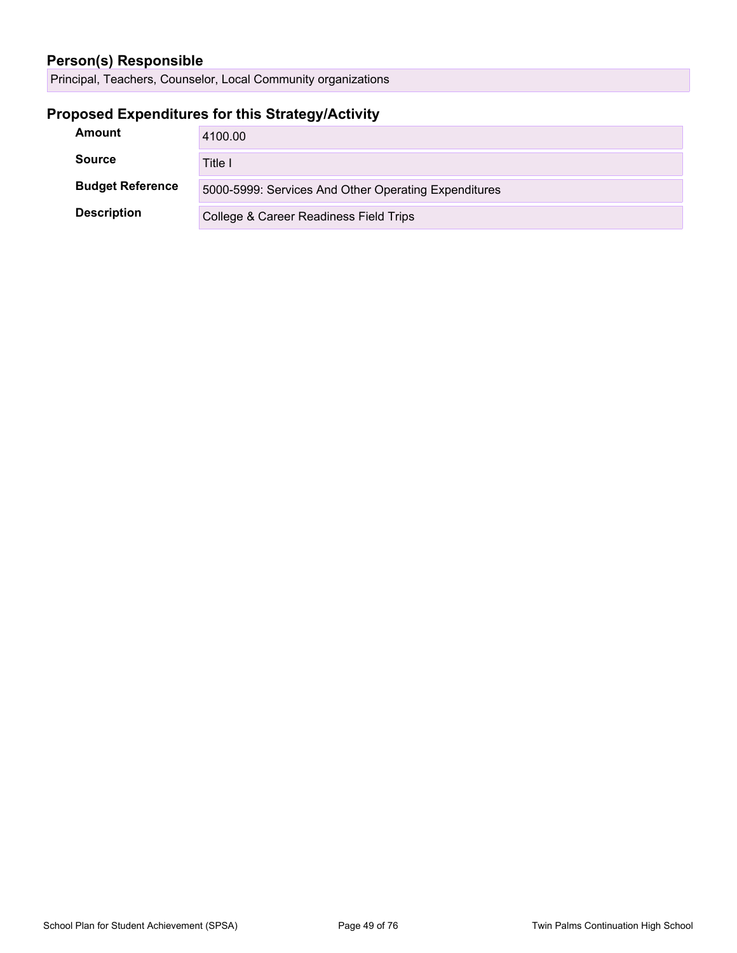## **Person(s) Responsible**

Principal, Teachers, Counselor, Local Community organizations

## **Proposed Expenditures for this Strategy/Activity**

| Amount                  | 4100.00                                              |
|-------------------------|------------------------------------------------------|
| <b>Source</b>           | Title I                                              |
| <b>Budget Reference</b> | 5000-5999: Services And Other Operating Expenditures |
| <b>Description</b>      | College & Career Readiness Field Trips               |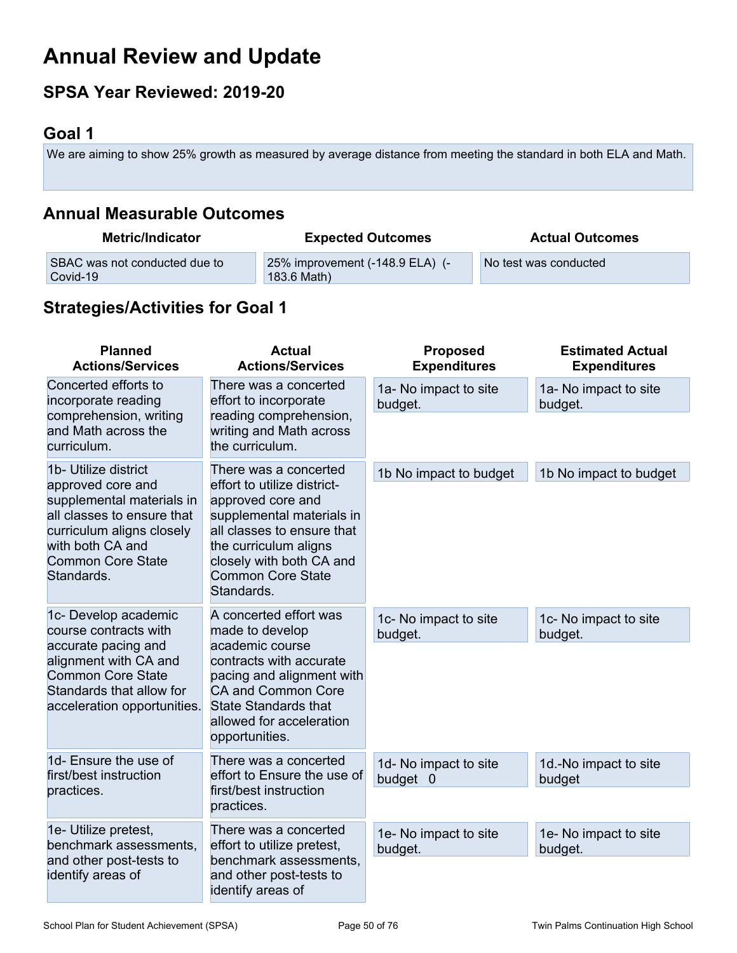# **Annual Review and Update**

## **SPSA Year Reviewed: 2019-20**

## **Goal 1**

We are aiming to show 25% growth as measured by average distance from meeting the standard in both ELA and Math.

## **Annual Measurable Outcomes**

| <b>Metric/Indicator</b>       | <b>Expected Outcomes</b>        | <b>Actual Outcomes</b> |
|-------------------------------|---------------------------------|------------------------|
| SBAC was not conducted due to | 25% improvement (-148.9 ELA) (- | No test was conducted  |
| Covid-19                      | 183.6 Math)                     |                        |

## **Strategies/Activities for Goal 1**

| <b>Planned</b><br><b>Actions/Services</b>                                                                                                                                                       | <b>Actual</b><br><b>Actions/Services</b>                                                                                                                                                                                            | <b>Proposed</b><br><b>Expenditures</b> | <b>Estimated Actual</b><br><b>Expenditures</b> |
|-------------------------------------------------------------------------------------------------------------------------------------------------------------------------------------------------|-------------------------------------------------------------------------------------------------------------------------------------------------------------------------------------------------------------------------------------|----------------------------------------|------------------------------------------------|
| Concerted efforts to<br>incorporate reading                                                                                                                                                     | There was a concerted<br>effort to incorporate<br>reading comprehension,<br>writing and Math across<br>the curriculum.                                                                                                              | 1a- No impact to site<br>budget.       | 1a- No impact to site<br>budget.               |
| comprehension, writing<br>and Math across the<br>curriculum.                                                                                                                                    |                                                                                                                                                                                                                                     |                                        |                                                |
| 1b- Utilize district<br>approved core and<br>supplemental materials in<br>all classes to ensure that<br>curriculum aligns closely<br>with both CA and<br><b>Common Core State</b><br>Standards. | There was a concerted<br>effort to utilize district-<br>approved core and<br>supplemental materials in<br>all classes to ensure that<br>the curriculum aligns<br>closely with both CA and<br><b>Common Core State</b><br>Standards. | 1b No impact to budget                 | 1b No impact to budget                         |
| 1c- Develop academic<br>course contracts with<br>accurate pacing and<br>alignment with CA and<br><b>Common Core State</b><br>Standards that allow for<br>acceleration opportunities.            | A concerted effort was<br>made to develop<br>academic course<br>contracts with accurate<br>pacing and alignment with<br><b>CA and Common Core</b><br><b>State Standards that</b><br>allowed for acceleration                        | 1c- No impact to site<br>budget.       | 1c- No impact to site<br>budget.               |
| 1d- Ensure the use of<br>first/best instruction<br>practices.                                                                                                                                   | opportunities.<br>There was a concerted<br>effort to Ensure the use of<br>first/best instruction<br>practices.                                                                                                                      | 1d- No impact to site<br>budget 0      | 1d.-No impact to site<br>budget                |
| 1e- Utilize pretest,<br>benchmark assessments.<br>and other post-tests to<br>identify areas of                                                                                                  | There was a concerted<br>effort to utilize pretest,<br>benchmark assessments.<br>and other post-tests to<br>identify areas of                                                                                                       | 1e- No impact to site<br>budget.       | 1e- No impact to site<br>budget.               |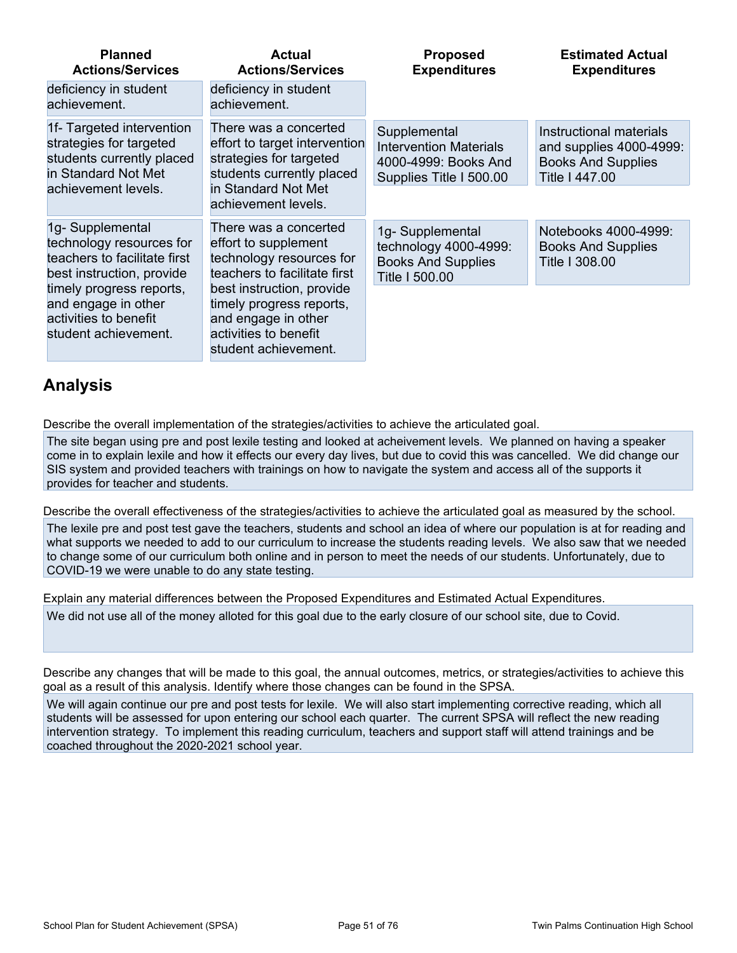| <b>Planned</b><br><b>Actions/Services</b>                                                                                            | <b>Actual</b><br><b>Actions/Services</b>                                                                                                                     | <b>Proposed</b><br><b>Expenditures</b>                                                           | <b>Estimated Actual</b><br><b>Expenditures</b>                                                    |
|--------------------------------------------------------------------------------------------------------------------------------------|--------------------------------------------------------------------------------------------------------------------------------------------------------------|--------------------------------------------------------------------------------------------------|---------------------------------------------------------------------------------------------------|
| deficiency in student<br>achievement.                                                                                                | deficiency in student<br>achievement.                                                                                                                        |                                                                                                  |                                                                                                   |
| 1f- Targeted intervention<br>strategies for targeted<br>students currently placed<br>in Standard Not Met<br>achievement levels.      | There was a concerted<br>effort to target intervention<br>strategies for targeted<br>students currently placed<br>in Standard Not Met<br>achievement levels. | Supplemental<br><b>Intervention Materials</b><br>4000-4999: Books And<br>Supplies Title I 500.00 | Instructional materials<br>and supplies 4000-4999:<br><b>Books And Supplies</b><br>Title I 447.00 |
| 1g-Supplemental<br>technology resources for<br>teachers to facilitate first<br>best instruction, provide<br>timely progress reports. | There was a concerted<br>effort to supplement<br>technology resources for<br>teachers to facilitate first<br>best instruction, provide                       | 1g-Supplemental<br>technology 4000-4999:<br><b>Books And Supplies</b><br>Title I 500.00          | Notebooks 4000-4999:<br><b>Books And Supplies</b><br>Title I 308.00                               |
| and engage in other<br>activities to benefit<br>student achievement.                                                                 | timely progress reports,<br>and engage in other<br>activities to benefit<br>student achievement.                                                             |                                                                                                  |                                                                                                   |

## **Analysis**

Describe the overall implementation of the strategies/activities to achieve the articulated goal.

The site began using pre and post lexile testing and looked at acheivement levels. We planned on having a speaker come in to explain lexile and how it effects our every day lives, but due to covid this was cancelled. We did change our SIS system and provided teachers with trainings on how to navigate the system and access all of the supports it provides for teacher and students.

Describe the overall effectiveness of the strategies/activities to achieve the articulated goal as measured by the school.

The lexile pre and post test gave the teachers, students and school an idea of where our population is at for reading and what supports we needed to add to our curriculum to increase the students reading levels. We also saw that we needed to change some of our curriculum both online and in person to meet the needs of our students. Unfortunately, due to COVID-19 we were unable to do any state testing.

Explain any material differences between the Proposed Expenditures and Estimated Actual Expenditures. We did not use all of the money alloted for this goal due to the early closure of our school site, due to Covid.

Describe any changes that will be made to this goal, the annual outcomes, metrics, or strategies/activities to achieve this goal as a result of this analysis. Identify where those changes can be found in the SPSA.

We will again continue our pre and post tests for lexile. We will also start implementing corrective reading, which all students will be assessed for upon entering our school each quarter. The current SPSA will reflect the new reading intervention strategy. To implement this reading curriculum, teachers and support staff will attend trainings and be coached throughout the 2020-2021 school year.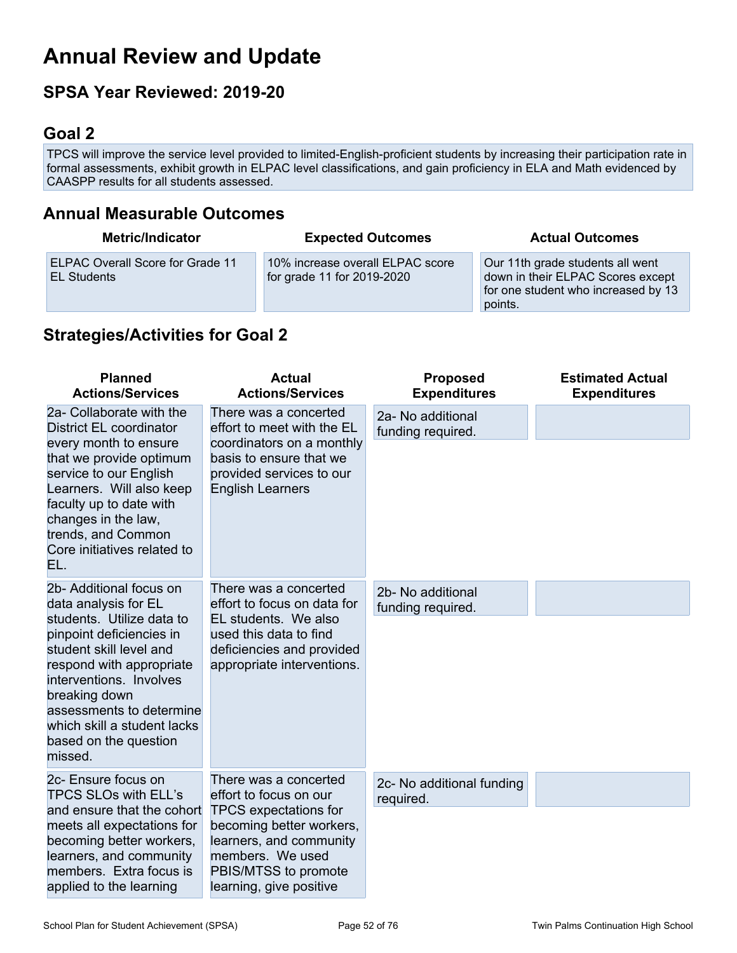# **Annual Review and Update**

## **SPSA Year Reviewed: 2019-20**

## **Goal 2**

TPCS will improve the service level provided to limited-English-proficient students by increasing their participation rate in formal assessments, exhibit growth in ELPAC level classifications, and gain proficiency in ELA and Math evidenced by CAASPP results for all students assessed.

## **Annual Measurable Outcomes**

| <b>Metric/Indicator</b>                                | <b>Expected Outcomes</b>                                       | <b>Actual Outcomes</b>                                                                                                  |
|--------------------------------------------------------|----------------------------------------------------------------|-------------------------------------------------------------------------------------------------------------------------|
| ELPAC Overall Score for Grade 11<br><b>EL Students</b> | 10% increase overall ELPAC score<br>for grade 11 for 2019-2020 | Our 11th grade students all went<br>down in their ELPAC Scores except<br>for one student who increased by 13<br>points. |

## **Strategies/Activities for Goal 2**

| <b>Planned</b><br><b>Actions/Services</b>                                                                                                                                                                                                                                                                  | <b>Actual</b><br><b>Actions/Services</b>                                                                                                                                                                      | <b>Proposed</b><br><b>Expenditures</b> | <b>Estimated Actual</b><br><b>Expenditures</b> |
|------------------------------------------------------------------------------------------------------------------------------------------------------------------------------------------------------------------------------------------------------------------------------------------------------------|---------------------------------------------------------------------------------------------------------------------------------------------------------------------------------------------------------------|----------------------------------------|------------------------------------------------|
| 2a- Collaborate with the<br><b>District EL coordinator</b><br>every month to ensure<br>that we provide optimum<br>service to our English<br>Learners. Will also keep<br>faculty up to date with<br>changes in the law,<br>trends, and Common<br>Core initiatives related to<br>EL.                         | There was a concerted<br>effort to meet with the EL<br>coordinators on a monthly<br>basis to ensure that we<br>provided services to our<br><b>English Learners</b>                                            | 2a- No additional<br>funding required. |                                                |
| 2b- Additional focus on<br>data analysis for EL<br>students. Utilize data to<br>pinpoint deficiencies in<br>student skill level and<br>respond with appropriate<br>interventions. Involves<br>breaking down<br>assessments to determine<br>which skill a student lacks<br>based on the question<br>missed. | There was a concerted<br>effort to focus on data for<br>EL students. We also<br>used this data to find<br>deficiencies and provided<br>appropriate interventions.                                             | 2b- No additional<br>funding required. |                                                |
| 2c- Ensure focus on<br><b>TPCS SLOs with ELL's</b><br>and ensure that the cohort<br>meets all expectations for<br>becoming better workers,<br>learners, and community<br>members. Extra focus is<br>applied to the learning                                                                                | There was a concerted<br>effort to focus on our<br><b>TPCS</b> expectations for<br>becoming better workers,<br>learners, and community<br>members. We used<br>PBIS/MTSS to promote<br>learning, give positive | 2c- No additional funding<br>required. |                                                |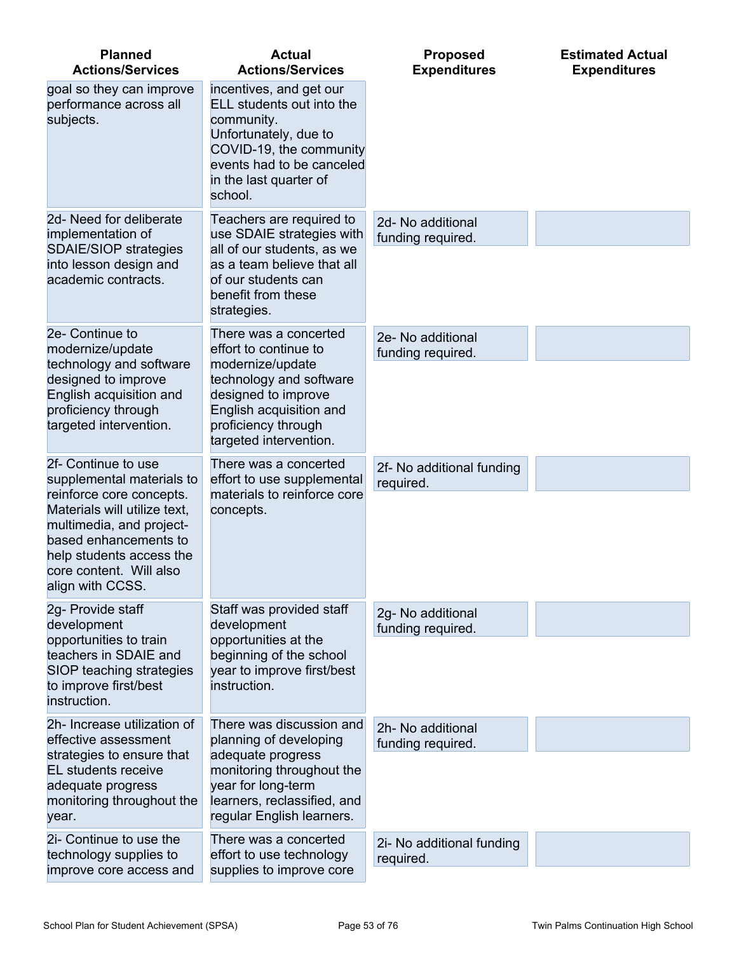| <b>Planned</b><br><b>Actions/Services</b>                                                                                                                                                                                                    | <b>Actual</b><br><b>Actions/Services</b>                                                                                                                                                         | <b>Proposed</b><br><b>Expenditures</b> | <b>Estimated Actual</b><br><b>Expenditures</b> |
|----------------------------------------------------------------------------------------------------------------------------------------------------------------------------------------------------------------------------------------------|--------------------------------------------------------------------------------------------------------------------------------------------------------------------------------------------------|----------------------------------------|------------------------------------------------|
| goal so they can improve<br>performance across all<br>subjects.                                                                                                                                                                              | incentives, and get our<br>ELL students out into the<br>community.<br>Unfortunately, due to<br>COVID-19, the community<br>events had to be canceled<br>in the last quarter of<br>school.         |                                        |                                                |
| 2d- Need for deliberate<br>implementation of<br><b>SDAIE/SIOP strategies</b><br>into lesson design and<br>academic contracts.                                                                                                                | Teachers are required to<br>use SDAIE strategies with<br>all of our students, as we<br>as a team believe that all<br>of our students can<br>benefit from these<br>strategies.                    | 2d- No additional<br>funding required. |                                                |
| 2e- Continue to<br>modernize/update<br>technology and software<br>designed to improve<br>English acquisition and<br>proficiency through<br>targeted intervention.                                                                            | There was a concerted<br>effort to continue to<br>modernize/update<br>technology and software<br>designed to improve<br>English acquisition and<br>proficiency through<br>targeted intervention. | 2e- No additional<br>funding required. |                                                |
| 2f- Continue to use<br>supplemental materials to<br>reinforce core concepts.<br>Materials will utilize text,<br>multimedia, and project-<br>based enhancements to<br>help students access the<br>core content. Will also<br>align with CCSS. | There was a concerted<br>effort to use supplemental<br>materials to reinforce core<br>concepts.                                                                                                  | 2f- No additional funding<br>required. |                                                |
| 2g- Provide staff<br>development<br>opportunities to train<br>teachers in SDAIE and<br>SIOP teaching strategies<br>to improve first/best<br>instruction.                                                                                     | Staff was provided staff<br>development<br>opportunities at the<br>beginning of the school<br>year to improve first/best<br>instruction.                                                         | 2g- No additional<br>funding required. |                                                |
| 2h- Increase utilization of<br>effective assessment<br>strategies to ensure that<br>EL students receive<br>adequate progress<br>monitoring throughout the<br>year.                                                                           | There was discussion and<br>planning of developing<br>adequate progress<br>monitoring throughout the<br>year for long-term<br>learners, reclassified, and<br>regular English learners.           | 2h- No additional<br>funding required. |                                                |
| 2i- Continue to use the<br>technology supplies to<br>improve core access and                                                                                                                                                                 | There was a concerted<br>effort to use technology<br>supplies to improve core                                                                                                                    | 2i- No additional funding<br>required. |                                                |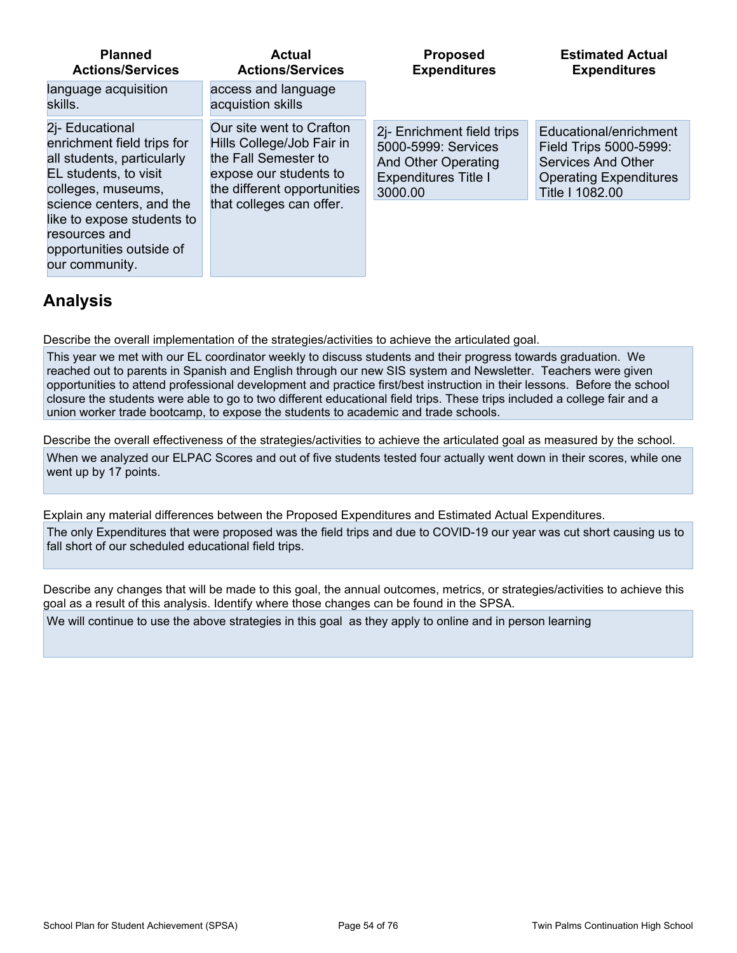| <b>Planned</b>                                                                                                        | Actual                                   | <b>Proposed</b>             | <b>Estimated Actual</b>       |
|-----------------------------------------------------------------------------------------------------------------------|------------------------------------------|-----------------------------|-------------------------------|
| <b>Actions/Services</b>                                                                                               | <b>Actions/Services</b>                  | <b>Expenditures</b>         | <b>Expenditures</b>           |
| language acquisition<br>skills.                                                                                       | access and language<br>acquistion skills |                             |                               |
| 2i- Educational                                                                                                       | Our site went to Crafton                 | 2j- Enrichment field trips  | Educational/enrichment        |
| enrichment field trips for                                                                                            | Hills College/Job Fair in                | 5000-5999: Services         | Field Trips 5000-5999:        |
| all students, particularly                                                                                            | the Fall Semester to                     | <b>And Other Operating</b>  | <b>Services And Other</b>     |
| EL students, to visit                                                                                                 | expose our students to                   | <b>Expenditures Title I</b> | <b>Operating Expenditures</b> |
| colleges, museums,                                                                                                    | the different opportunities              | 3000.00                     | Title I 1082.00               |
| science centers, and the<br>like to expose students to<br>resources and<br>opportunities outside of<br>our community. | that colleges can offer.                 |                             |                               |

## **Analysis**

Describe the overall implementation of the strategies/activities to achieve the articulated goal.

This year we met with our EL coordinator weekly to discuss students and their progress towards graduation. We reached out to parents in Spanish and English through our new SIS system and Newsletter. Teachers were given opportunities to attend professional development and practice first/best instruction in their lessons. Before the school closure the students were able to go to two different educational field trips. These trips included a college fair and a union worker trade bootcamp, to expose the students to academic and trade schools.

Describe the overall effectiveness of the strategies/activities to achieve the articulated goal as measured by the school. When we analyzed our ELPAC Scores and out of five students tested four actually went down in their scores, while one went up by 17 points.

Explain any material differences between the Proposed Expenditures and Estimated Actual Expenditures.

The only Expenditures that were proposed was the field trips and due to COVID-19 our year was cut short causing us to fall short of our scheduled educational field trips.

Describe any changes that will be made to this goal, the annual outcomes, metrics, or strategies/activities to achieve this goal as a result of this analysis. Identify where those changes can be found in the SPSA.

We will continue to use the above strategies in this goal as they apply to online and in person learning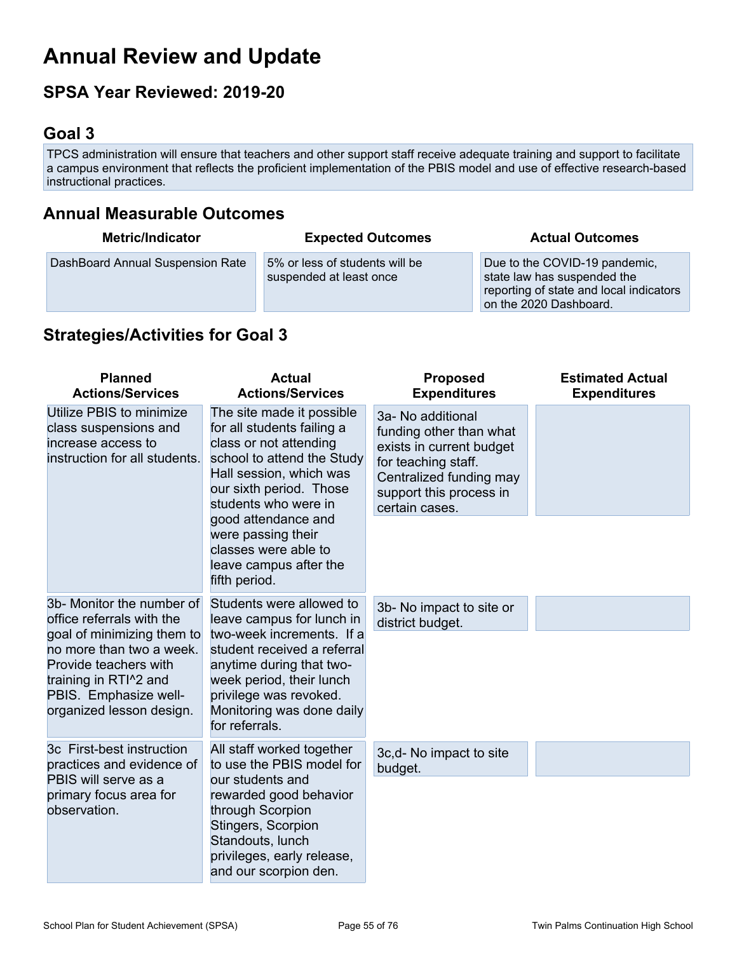# **Annual Review and Update**

## **SPSA Year Reviewed: 2019-20**

## **Goal 3**

TPCS administration will ensure that teachers and other support staff receive adequate training and support to facilitate a campus environment that reflects the proficient implementation of the PBIS model and use of effective research-based instructional practices.

## **Annual Measurable Outcomes**

| <b>Metric/Indicator</b>          | <b>Expected Outcomes</b>                                  | <b>Actual Outcomes</b>                                                                                                            |
|----------------------------------|-----------------------------------------------------------|-----------------------------------------------------------------------------------------------------------------------------------|
| DashBoard Annual Suspension Rate | 5% or less of students will be<br>suspended at least once | Due to the COVID-19 pandemic,<br>state law has suspended the<br>reporting of state and local indicators<br>on the 2020 Dashboard. |

## **Strategies/Activities for Goal 3**

| <b>Planned</b><br><b>Actions/Services</b>                                                                                                                                                                               | <b>Actual</b><br><b>Actions/Services</b>                                                                                                                                                                                                           | <b>Proposed</b><br><b>Expenditures</b>                                                                                                                                  | <b>Estimated Actual</b><br><b>Expenditures</b> |
|-------------------------------------------------------------------------------------------------------------------------------------------------------------------------------------------------------------------------|----------------------------------------------------------------------------------------------------------------------------------------------------------------------------------------------------------------------------------------------------|-------------------------------------------------------------------------------------------------------------------------------------------------------------------------|------------------------------------------------|
| Utilize PBIS to minimize<br>class suspensions and<br>increase access to<br>instruction for all students.                                                                                                                | The site made it possible<br>for all students failing a<br>class or not attending<br>school to attend the Study<br>Hall session, which was<br>our sixth period. Those<br>students who were in<br>good attendance and                               | 3a- No additional<br>funding other than what<br>exists in current budget<br>for teaching staff.<br>Centralized funding may<br>support this process in<br>certain cases. |                                                |
|                                                                                                                                                                                                                         | were passing their<br>classes were able to<br>leave campus after the<br>fifth period.                                                                                                                                                              |                                                                                                                                                                         |                                                |
| 3b- Monitor the number of<br>office referrals with the<br>goal of minimizing them to<br>no more than two a week.<br>Provide teachers with<br>training in RTI^2 and<br>PBIS. Emphasize well-<br>organized lesson design. | Students were allowed to<br>leave campus for lunch in<br>two-week increments. If a<br>student received a referral<br>anytime during that two-<br>week period, their lunch<br>privilege was revoked.<br>Monitoring was done daily<br>for referrals. | 3b- No impact to site or<br>district budget.                                                                                                                            |                                                |
| 3c First-best instruction<br>practices and evidence of<br>PBIS will serve as a<br>primary focus area for<br>observation.                                                                                                | All staff worked together<br>to use the PBIS model for<br>our students and<br>rewarded good behavior<br>through Scorpion<br>Stingers, Scorpion<br>Standouts, lunch<br>privileges, early release,<br>and our scorpion den.                          | 3c,d- No impact to site<br>budget.                                                                                                                                      |                                                |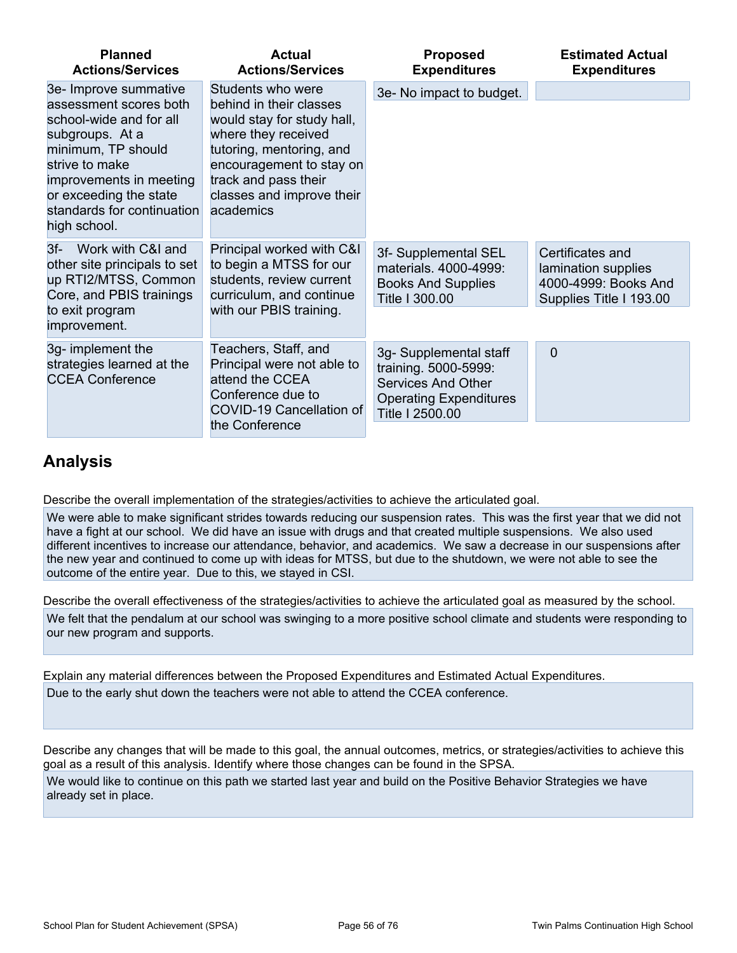| <b>Planned</b><br><b>Actions/Services</b>                                                                                                                                                                                                | <b>Actual</b><br><b>Actions/Services</b>                                                                                                                                                                                    | <b>Proposed</b><br><b>Expenditures</b>                                                                                          | <b>Estimated Actual</b><br><b>Expenditures</b>                                             |
|------------------------------------------------------------------------------------------------------------------------------------------------------------------------------------------------------------------------------------------|-----------------------------------------------------------------------------------------------------------------------------------------------------------------------------------------------------------------------------|---------------------------------------------------------------------------------------------------------------------------------|--------------------------------------------------------------------------------------------|
| 3e- Improve summative<br>assessment scores both<br>school-wide and for all<br>subgroups. At a<br>minimum, TP should<br>strive to make<br>improvements in meeting<br>or exceeding the state<br>standards for continuation<br>high school. | Students who were<br>behind in their classes<br>would stay for study hall,<br>where they received<br>tutoring, mentoring, and<br>encouragement to stay on<br>track and pass their<br>classes and improve their<br>academics | 3e- No impact to budget.                                                                                                        |                                                                                            |
| Work with C&I and<br>$3f-$<br>other site principals to set<br>up RTI2/MTSS, Common<br>Core, and PBIS trainings<br>to exit program<br>improvement.                                                                                        | Principal worked with C&I<br>to begin a MTSS for our<br>students, review current<br>curriculum, and continue<br>with our PBIS training.                                                                                     | 3f- Supplemental SEL<br>materials, 4000-4999:<br><b>Books And Supplies</b><br>Title I 300.00                                    | Certificates and<br>lamination supplies<br>4000-4999: Books And<br>Supplies Title I 193.00 |
| 3g- implement the<br>strategies learned at the<br><b>CCEA Conference</b>                                                                                                                                                                 | Teachers, Staff, and<br>Principal were not able to<br>attend the CCEA<br>Conference due to<br>COVID-19 Cancellation of<br>the Conference                                                                                    | 3g- Supplemental staff<br>training. 5000-5999:<br><b>Services And Other</b><br><b>Operating Expenditures</b><br>Title I 2500.00 | $\Omega$                                                                                   |

## **Analysis**

Describe the overall implementation of the strategies/activities to achieve the articulated goal.

We were able to make significant strides towards reducing our suspension rates. This was the first year that we did not have a fight at our school. We did have an issue with drugs and that created multiple suspensions. We also used different incentives to increase our attendance, behavior, and academics. We saw a decrease in our suspensions after the new year and continued to come up with ideas for MTSS, but due to the shutdown, we were not able to see the outcome of the entire year. Due to this, we stayed in CSI.

Describe the overall effectiveness of the strategies/activities to achieve the articulated goal as measured by the school. We felt that the pendalum at our school was swinging to a more positive school climate and students were responding to our new program and supports.

Explain any material differences between the Proposed Expenditures and Estimated Actual Expenditures. Due to the early shut down the teachers were not able to attend the CCEA conference.

Describe any changes that will be made to this goal, the annual outcomes, metrics, or strategies/activities to achieve this goal as a result of this analysis. Identify where those changes can be found in the SPSA.

We would like to continue on this path we started last year and build on the Positive Behavior Strategies we have already set in place.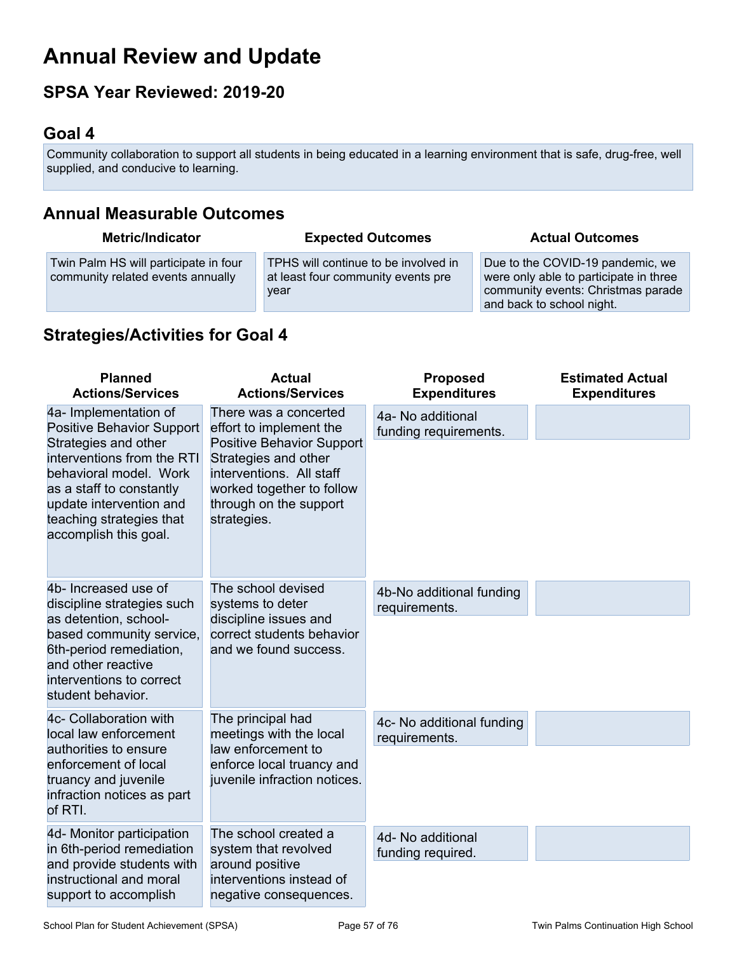# **Annual Review and Update**

## **SPSA Year Reviewed: 2019-20**

## **Goal 4**

Community collaboration to support all students in being educated in a learning environment that is safe, drug-free, well supplied, and conducive to learning.

## **Annual Measurable Outcomes**

| <b>Metric/Indicator</b>                                                    | <b>Expected Outcomes</b>                                                           | <b>Actual Outcomes</b>                                                                                                                        |
|----------------------------------------------------------------------------|------------------------------------------------------------------------------------|-----------------------------------------------------------------------------------------------------------------------------------------------|
| Twin Palm HS will participate in four<br>community related events annually | TPHS will continue to be involved in<br>at least four community events pre<br>year | Due to the COVID-19 pandemic, we<br>were only able to participate in three<br>community events: Christmas parade<br>and back to school night. |

## **Strategies/Activities for Goal 4**

| <b>Planned</b><br><b>Actions/Services</b>                                                                                                                                                                                                             | <b>Actual</b><br><b>Actions/Services</b>                                                                                                                                                                       | <b>Proposed</b><br><b>Expenditures</b>     | <b>Estimated Actual</b><br><b>Expenditures</b> |
|-------------------------------------------------------------------------------------------------------------------------------------------------------------------------------------------------------------------------------------------------------|----------------------------------------------------------------------------------------------------------------------------------------------------------------------------------------------------------------|--------------------------------------------|------------------------------------------------|
| 4a- Implementation of<br><b>Positive Behavior Support</b><br>Strategies and other<br>interventions from the RTI<br>behavioral model. Work<br>as a staff to constantly<br>update intervention and<br>teaching strategies that<br>accomplish this goal. | There was a concerted<br>effort to implement the<br><b>Positive Behavior Support</b><br>Strategies and other<br>interventions. All staff<br>worked together to follow<br>through on the support<br>strategies. | 4a- No additional<br>funding requirements. |                                                |
| 4b- Increased use of<br>discipline strategies such<br>as detention, school-<br>based community service,<br>6th-period remediation,<br>and other reactive<br>interventions to correct<br>student behavior.                                             | The school devised<br>systems to deter<br>discipline issues and<br>correct students behavior<br>and we found success.                                                                                          | 4b-No additional funding<br>requirements.  |                                                |
| 4c- Collaboration with<br>local law enforcement<br>authorities to ensure<br>enforcement of local<br>truancy and juvenile<br>infraction notices as part<br>of RTI.                                                                                     | The principal had<br>meetings with the local<br>law enforcement to<br>enforce local truancy and<br>juvenile infraction notices.                                                                                | 4c- No additional funding<br>requirements. |                                                |
| 4d- Monitor participation<br>in 6th-period remediation<br>and provide students with<br>instructional and moral<br>support to accomplish                                                                                                               | The school created a<br>system that revolved<br>around positive<br>interventions instead of<br>negative consequences.                                                                                          | 4d- No additional<br>funding required.     |                                                |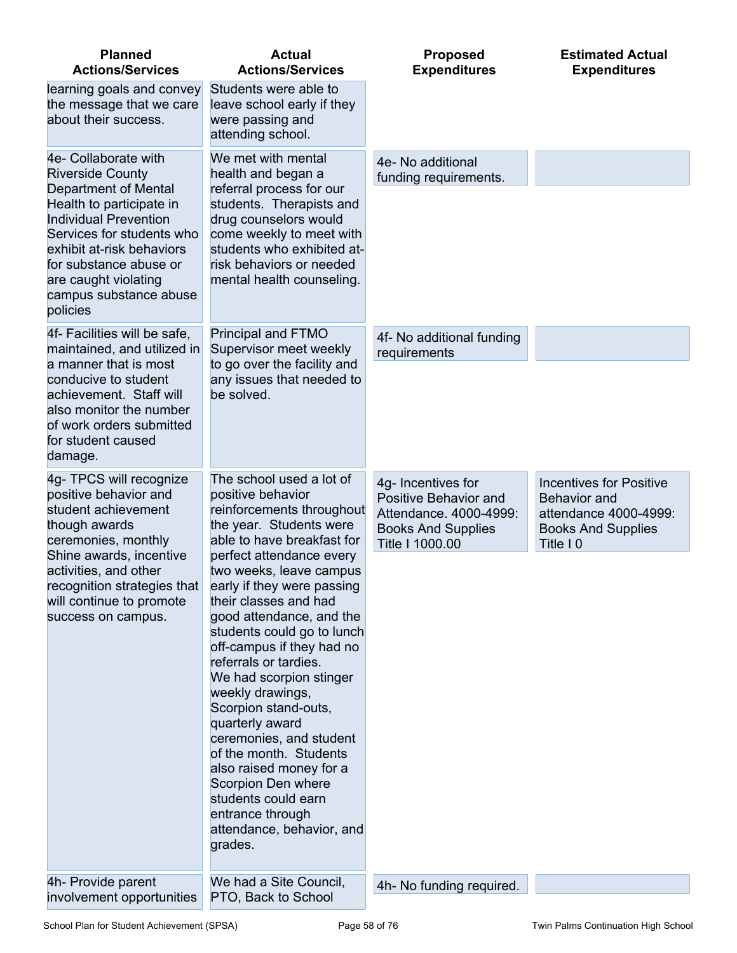| <b>Planned</b><br><b>Actions/Services</b>                                                                                                                                                                                                                                             | <b>Actual</b><br><b>Actions/Services</b>                                                                                                                                                                                                                                                                                                                                                                                                                                                                                                                                                                                                             | <b>Proposed</b><br><b>Expenditures</b>                                                                                | <b>Estimated Actual</b><br><b>Expenditures</b>                                                                           |
|---------------------------------------------------------------------------------------------------------------------------------------------------------------------------------------------------------------------------------------------------------------------------------------|------------------------------------------------------------------------------------------------------------------------------------------------------------------------------------------------------------------------------------------------------------------------------------------------------------------------------------------------------------------------------------------------------------------------------------------------------------------------------------------------------------------------------------------------------------------------------------------------------------------------------------------------------|-----------------------------------------------------------------------------------------------------------------------|--------------------------------------------------------------------------------------------------------------------------|
| learning goals and convey<br>the message that we care<br>about their success.                                                                                                                                                                                                         | Students were able to<br>leave school early if they<br>were passing and<br>attending school.                                                                                                                                                                                                                                                                                                                                                                                                                                                                                                                                                         |                                                                                                                       |                                                                                                                          |
| 4e- Collaborate with<br><b>Riverside County</b><br>Department of Mental<br>Health to participate in<br><b>Individual Prevention</b><br>Services for students who<br>exhibit at-risk behaviors<br>for substance abuse or<br>are caught violating<br>campus substance abuse<br>policies | We met with mental<br>health and began a<br>referral process for our<br>students. Therapists and<br>drug counselors would<br>come weekly to meet with<br>students who exhibited at-<br>risk behaviors or needed<br>mental health counseling.                                                                                                                                                                                                                                                                                                                                                                                                         | 4e- No additional<br>funding requirements.                                                                            |                                                                                                                          |
| 4f- Facilities will be safe,<br>maintained, and utilized in<br>a manner that is most<br>conducive to student<br>achievement. Staff will<br>also monitor the number<br>of work orders submitted<br>for student caused<br>damage.                                                       | Principal and FTMO<br>Supervisor meet weekly<br>to go over the facility and<br>any issues that needed to<br>be solved.                                                                                                                                                                                                                                                                                                                                                                                                                                                                                                                               | 4f- No additional funding<br>requirements                                                                             |                                                                                                                          |
| 4g- TPCS will recognize<br>positive behavior and<br>student achievement<br>though awards<br>ceremonies, monthly<br>Shine awards, incentive<br>activities, and other<br>recognition strategies that<br>will continue to promote<br>success on campus.                                  | The school used a lot of<br>positive behavior<br>reinforcements throughout<br>the year. Students were<br>able to have breakfast for<br>perfect attendance every<br>two weeks, leave campus<br>early if they were passing<br>their classes and had<br>good attendance, and the<br>students could go to lunch<br>off-campus if they had no<br>referrals or tardies.<br>We had scorpion stinger<br>weekly drawings,<br>Scorpion stand-outs,<br>quarterly award<br>ceremonies, and student<br>of the month. Students<br>also raised money for a<br>Scorpion Den where<br>students could earn<br>entrance through<br>attendance, behavior, and<br>grades. | 4g- Incentives for<br>Positive Behavior and<br>Attendance. 4000-4999:<br><b>Books And Supplies</b><br>Title I 1000.00 | <b>Incentives for Positive</b><br><b>Behavior</b> and<br>attendance 4000-4999:<br><b>Books And Supplies</b><br>Title I 0 |
| 4h- Provide parent<br>involvement opportunities                                                                                                                                                                                                                                       | We had a Site Council,<br>PTO, Back to School                                                                                                                                                                                                                                                                                                                                                                                                                                                                                                                                                                                                        | 4h- No funding required.                                                                                              |                                                                                                                          |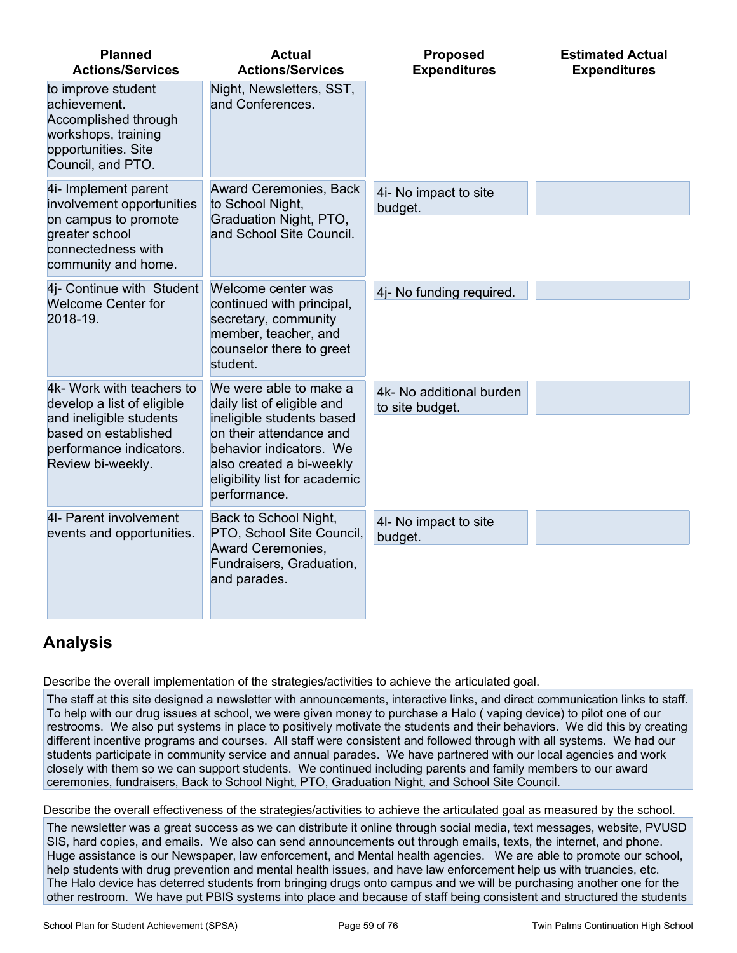| <b>Planned</b><br><b>Actions/Services</b>                                                                                     | <b>Actual</b><br><b>Actions/Services</b>                                                                                                                     | <b>Proposed</b><br><b>Expenditures</b>      | <b>Estimated Actual</b><br><b>Expenditures</b> |
|-------------------------------------------------------------------------------------------------------------------------------|--------------------------------------------------------------------------------------------------------------------------------------------------------------|---------------------------------------------|------------------------------------------------|
| to improve student<br>achievement.<br>Accomplished through<br>workshops, training<br>opportunities. Site<br>Council, and PTO. | Night, Newsletters, SST,<br>and Conferences.                                                                                                                 |                                             |                                                |
| 4i- Implement parent<br>involvement opportunities                                                                             | Award Ceremonies, Back<br>to School Night,                                                                                                                   | 4i- No impact to site<br>budget.            |                                                |
| on campus to promote<br>greater school<br>connectedness with<br>community and home.                                           | Graduation Night, PTO,<br>and School Site Council.                                                                                                           |                                             |                                                |
| 4j- Continue with Student<br><b>Welcome Center for</b>                                                                        | Welcome center was<br>continued with principal,                                                                                                              | 4j- No funding required.                    |                                                |
| 2018-19.                                                                                                                      | secretary, community<br>member, teacher, and<br>counselor there to greet<br>student.                                                                         |                                             |                                                |
| 4k- Work with teachers to<br>develop a list of eligible                                                                       | We were able to make a<br>daily list of eligible and                                                                                                         | 4k- No additional burden<br>to site budget. |                                                |
| and ineligible students<br>based on established<br>performance indicators.<br>Review bi-weekly.                               | ineligible students based<br>on their attendance and<br>behavior indicators. We<br>also created a bi-weekly<br>eligibility list for academic<br>performance. |                                             |                                                |
| 4I- Parent involvement<br>events and opportunities.                                                                           | Back to School Night,<br>PTO, School Site Council,                                                                                                           | 4I- No impact to site<br>budget.            |                                                |
|                                                                                                                               | Award Ceremonies,<br>Fundraisers, Graduation,<br>and parades.                                                                                                |                                             |                                                |

## **Analysis**

Describe the overall implementation of the strategies/activities to achieve the articulated goal.

The staff at this site designed a newsletter with announcements, interactive links, and direct communication links to staff. To help with our drug issues at school, we were given money to purchase a Halo ( vaping device) to pilot one of our restrooms. We also put systems in place to positively motivate the students and their behaviors. We did this by creating different incentive programs and courses. All staff were consistent and followed through with all systems. We had our students participate in community service and annual parades. We have partnered with our local agencies and work closely with them so we can support students. We continued including parents and family members to our award ceremonies, fundraisers, Back to School Night, PTO, Graduation Night, and School Site Council.

Describe the overall effectiveness of the strategies/activities to achieve the articulated goal as measured by the school.

The newsletter was a great success as we can distribute it online through social media, text messages, website, PVUSD SIS, hard copies, and emails. We also can send announcements out through emails, texts, the internet, and phone. Huge assistance is our Newspaper, law enforcement, and Mental health agencies. We are able to promote our school, help students with drug prevention and mental health issues, and have law enforcement help us with truancies, etc. The Halo device has deterred students from bringing drugs onto campus and we will be purchasing another one for the other restroom. We have put PBIS systems into place and because of staff being consistent and structured the students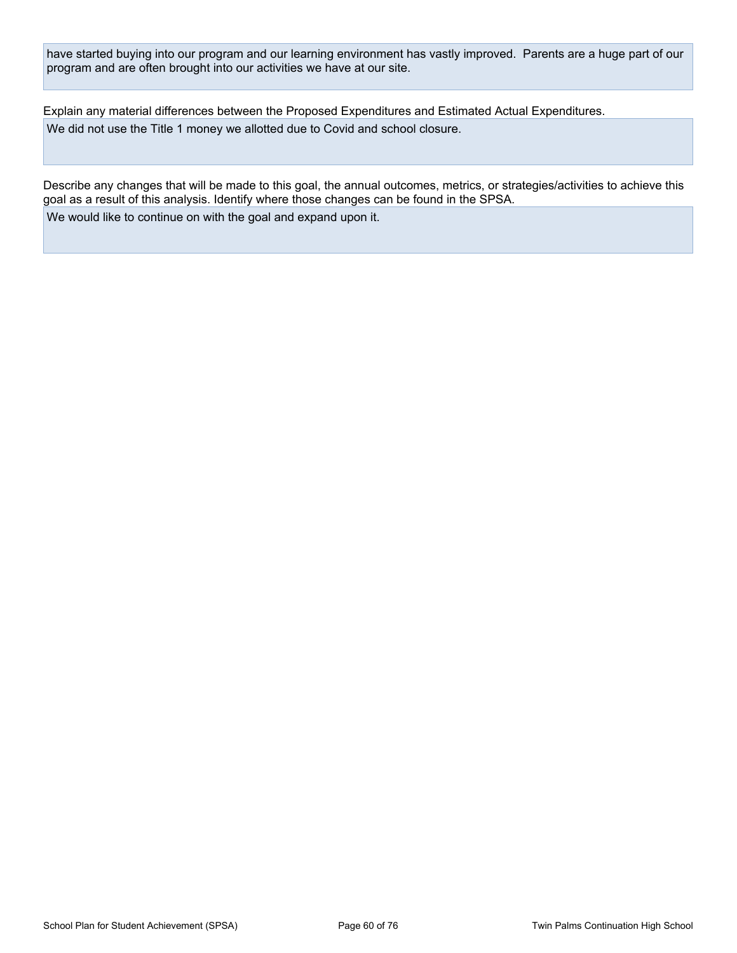have started buying into our program and our learning environment has vastly improved. Parents are a huge part of our program and are often brought into our activities we have at our site.

Explain any material differences between the Proposed Expenditures and Estimated Actual Expenditures. We did not use the Title 1 money we allotted due to Covid and school closure.

Describe any changes that will be made to this goal, the annual outcomes, metrics, or strategies/activities to achieve this goal as a result of this analysis. Identify where those changes can be found in the SPSA. We would like to continue on with the goal and expand upon it.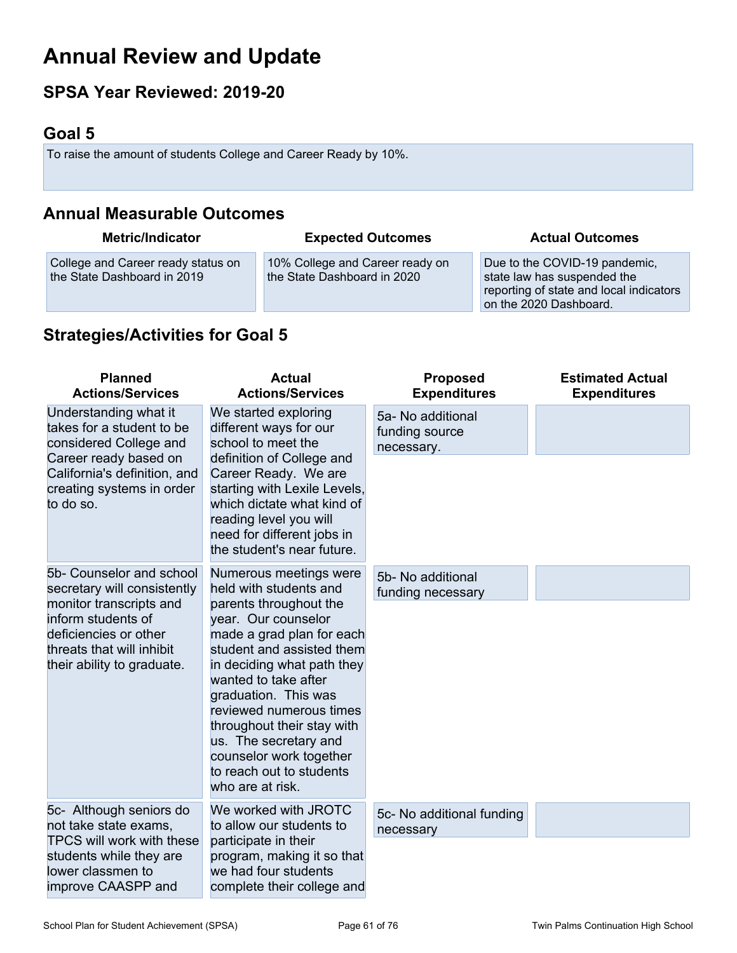# **Annual Review and Update**

## **SPSA Year Reviewed: 2019-20**

## **Goal 5**

To raise the amount of students College and Career Ready by 10%.

## **Annual Measurable Outcomes**

| <b>Metric/Indicator</b>                                           | <b>Expected Outcomes</b>                                       | <b>Actual Outcomes</b>                                                                                                            |
|-------------------------------------------------------------------|----------------------------------------------------------------|-----------------------------------------------------------------------------------------------------------------------------------|
| College and Career ready status on<br>the State Dashboard in 2019 | 10% College and Career ready on<br>the State Dashboard in 2020 | Due to the COVID-19 pandemic,<br>state law has suspended the<br>reporting of state and local indicators<br>on the 2020 Dashboard. |

## **Strategies/Activities for Goal 5**

| <b>Planned</b><br><b>Actions/Services</b>                                                                                                                                                    | <b>Actual</b><br><b>Actions/Services</b>                                                                                                                                                                                                                                                                                                                                                               | <b>Proposed</b><br><b>Expenditures</b>            | <b>Estimated Actual</b><br><b>Expenditures</b> |
|----------------------------------------------------------------------------------------------------------------------------------------------------------------------------------------------|--------------------------------------------------------------------------------------------------------------------------------------------------------------------------------------------------------------------------------------------------------------------------------------------------------------------------------------------------------------------------------------------------------|---------------------------------------------------|------------------------------------------------|
| Understanding what it<br>takes for a student to be<br>considered College and<br>Career ready based on<br>California's definition, and<br>creating systems in order<br>to do so.              | We started exploring<br>different ways for our<br>school to meet the<br>definition of College and<br>Career Ready. We are<br>starting with Lexile Levels,<br>which dictate what kind of<br>reading level you will<br>need for different jobs in<br>the student's near future.                                                                                                                          | 5a- No additional<br>funding source<br>necessary. |                                                |
| 5b- Counselor and school<br>secretary will consistently<br>monitor transcripts and<br>inform students of<br>deficiencies or other<br>threats that will inhibit<br>their ability to graduate. | Numerous meetings were<br>held with students and<br>parents throughout the<br>year. Our counselor<br>made a grad plan for each<br>student and assisted them<br>in deciding what path they<br>wanted to take after<br>graduation. This was<br>reviewed numerous times<br>throughout their stay with<br>us. The secretary and<br>counselor work together<br>to reach out to students<br>who are at risk. | 5b- No additional<br>funding necessary            |                                                |
| 5c- Although seniors do<br>not take state exams,<br>TPCS will work with these                                                                                                                | We worked with JROTC<br>to allow our students to<br>participate in their                                                                                                                                                                                                                                                                                                                               | 5c- No additional funding<br>necessary            |                                                |
| students while they are<br>lower classmen to<br>improve CAASPP and                                                                                                                           | program, making it so that<br>we had four students<br>complete their college and                                                                                                                                                                                                                                                                                                                       |                                                   |                                                |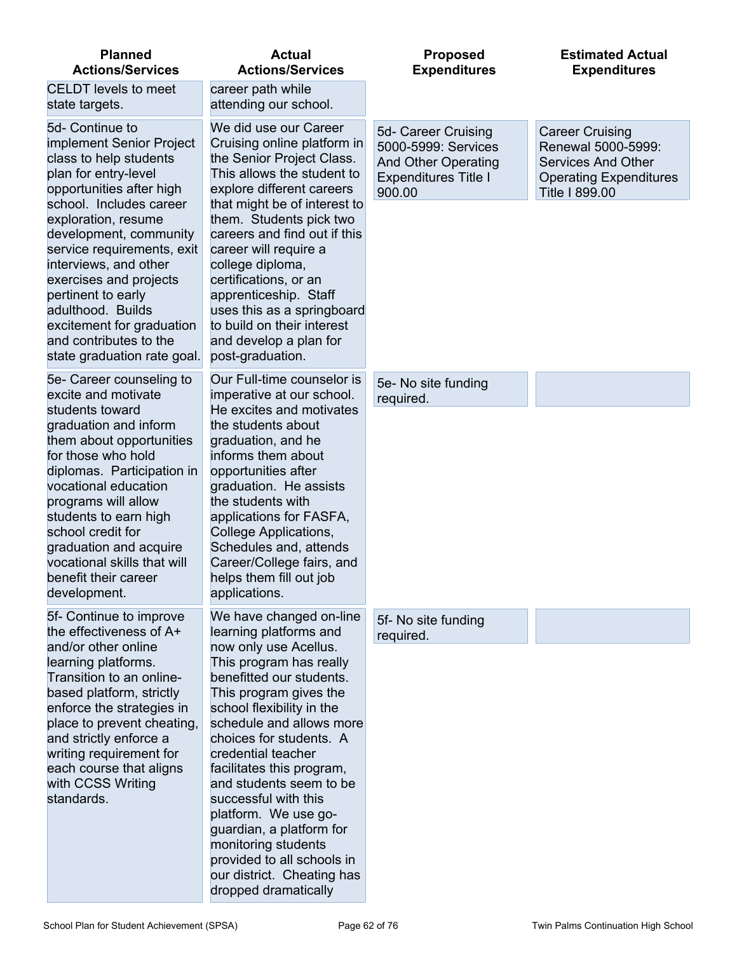| <b>Planned</b><br><b>Actions/Services</b>                                                                                                                                                                                                                                                                              | <b>Actual</b><br><b>Actions/Services</b>                                                                                                                                                                                                                                                                                                                                                                                                                        | <b>Proposed</b><br><b>Expenditures</b>                                                                            | <b>Estimated Actual</b><br><b>Expenditures</b>                                                                               |
|------------------------------------------------------------------------------------------------------------------------------------------------------------------------------------------------------------------------------------------------------------------------------------------------------------------------|-----------------------------------------------------------------------------------------------------------------------------------------------------------------------------------------------------------------------------------------------------------------------------------------------------------------------------------------------------------------------------------------------------------------------------------------------------------------|-------------------------------------------------------------------------------------------------------------------|------------------------------------------------------------------------------------------------------------------------------|
| <b>CELDT</b> levels to meet<br>state targets.                                                                                                                                                                                                                                                                          | career path while<br>attending our school.                                                                                                                                                                                                                                                                                                                                                                                                                      |                                                                                                                   |                                                                                                                              |
| 5d- Continue to<br>implement Senior Project<br>class to help students<br>plan for entry-level<br>opportunities after high<br>school. Includes career                                                                                                                                                                   | We did use our Career<br>Cruising online platform in<br>the Senior Project Class.<br>This allows the student to<br>explore different careers<br>that might be of interest to                                                                                                                                                                                                                                                                                    | 5d- Career Cruising<br>5000-5999: Services<br><b>And Other Operating</b><br><b>Expenditures Title I</b><br>900.00 | <b>Career Cruising</b><br>Renewal 5000-5999:<br><b>Services And Other</b><br><b>Operating Expenditures</b><br>Title I 899.00 |
| exploration, resume<br>development, community<br>service requirements, exit<br>interviews, and other<br>exercises and projects<br>pertinent to early<br>adulthood. Builds<br>excitement for graduation<br>and contributes to the<br>state graduation rate goal.                                                        | them. Students pick two<br>careers and find out if this<br>career will require a<br>college diploma,<br>certifications, or an<br>apprenticeship. Staff<br>uses this as a springboard<br>to build on their interest<br>and develop a plan for<br>post-graduation.                                                                                                                                                                                                |                                                                                                                   |                                                                                                                              |
| 5e- Career counseling to<br>excite and motivate                                                                                                                                                                                                                                                                        | Our Full-time counselor is<br>imperative at our school.                                                                                                                                                                                                                                                                                                                                                                                                         | 5e- No site funding<br>required.                                                                                  |                                                                                                                              |
| students toward<br>graduation and inform<br>them about opportunities<br>for those who hold<br>diplomas. Participation in<br>vocational education<br>programs will allow<br>students to earn high<br>school credit for<br>graduation and acquire<br>vocational skills that will<br>benefit their career<br>development. | He excites and motivates<br>the students about<br>graduation, and he<br>informs them about<br>opportunities after<br>graduation. He assists<br>the students with<br>applications for FASFA,<br>College Applications,<br>Schedules and, attends<br>Career/College fairs, and<br>helps them fill out job<br>applications.                                                                                                                                         |                                                                                                                   |                                                                                                                              |
| 5f- Continue to improve<br>the effectiveness of A+                                                                                                                                                                                                                                                                     | We have changed on-line<br>learning platforms and                                                                                                                                                                                                                                                                                                                                                                                                               | 5f- No site funding<br>required.                                                                                  |                                                                                                                              |
| and/or other online<br>learning platforms.<br>Transition to an online-<br>based platform, strictly<br>enforce the strategies in<br>place to prevent cheating,<br>and strictly enforce a<br>writing requirement for<br>each course that aligns<br>with CCSS Writing<br>standards.                                       | now only use Acellus.<br>This program has really<br>benefitted our students.<br>This program gives the<br>school flexibility in the<br>schedule and allows more<br>choices for students. A<br>credential teacher<br>facilitates this program,<br>and students seem to be<br>successful with this<br>platform. We use go-<br>guardian, a platform for<br>monitoring students<br>provided to all schools in<br>our district. Cheating has<br>dropped dramatically |                                                                                                                   |                                                                                                                              |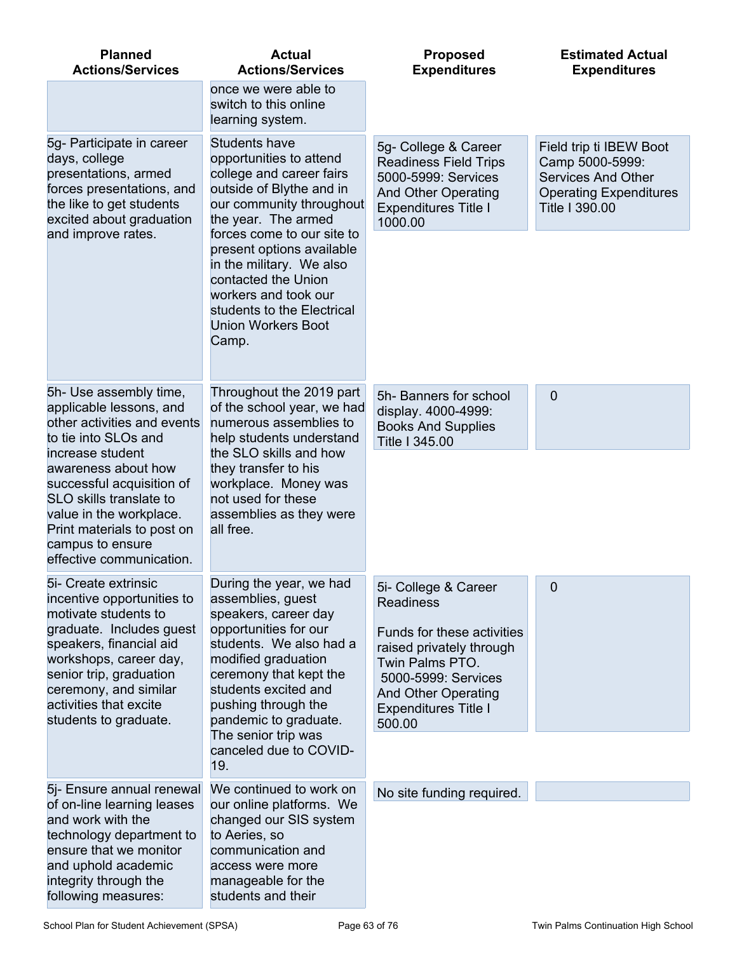| <b>Planned</b><br><b>Actions/Services</b>                                                                                                                                                                                                                                                                                                                                                | <b>Actual</b><br><b>Actions/Services</b>                                                                                                                                                                                                             | <b>Proposed</b><br><b>Expenditures</b>                                                                              | <b>Estimated Actual</b><br><b>Expenditures</b> |
|------------------------------------------------------------------------------------------------------------------------------------------------------------------------------------------------------------------------------------------------------------------------------------------------------------------------------------------------------------------------------------------|------------------------------------------------------------------------------------------------------------------------------------------------------------------------------------------------------------------------------------------------------|---------------------------------------------------------------------------------------------------------------------|------------------------------------------------|
|                                                                                                                                                                                                                                                                                                                                                                                          | once we were able to<br>switch to this online<br>learning system.                                                                                                                                                                                    |                                                                                                                     |                                                |
| <b>Students have</b><br>5g- Participate in career<br>days, college<br>opportunities to attend<br>presentations, armed<br>college and career fairs<br>outside of Blythe and in<br>forces presentations, and<br>the like to get students<br>our community throughout<br>excited about graduation<br>the year. The armed<br>and improve rates.<br>forces come to our site to                | 5g- College & Career<br><b>Readiness Field Trips</b><br>5000-5999: Services<br><b>And Other Operating</b><br><b>Expenditures Title I</b><br>1000.00                                                                                                  | Field trip ti IBEW Boot<br>Camp 5000-5999:<br>Services And Other<br><b>Operating Expenditures</b><br>Title I 390.00 |                                                |
|                                                                                                                                                                                                                                                                                                                                                                                          | present options available<br>in the military. We also<br>contacted the Union<br>workers and took our<br>students to the Electrical<br><b>Union Workers Boot</b><br>Camp.                                                                             |                                                                                                                     |                                                |
| 5h- Use assembly time,<br>applicable lessons, and<br>other activities and events<br>to tie into SLOs and                                                                                                                                                                                                                                                                                 | Throughout the 2019 part<br>of the school year, we had<br>numerous assemblies to<br>help students understand<br>the SLO skills and how<br>they transfer to his<br>workplace. Money was<br>not used for these<br>assemblies as they were<br>all free. | 5h- Banners for school<br>display. 4000-4999:<br><b>Books And Supplies</b><br>Title I 345.00                        | $\mathbf 0$                                    |
| increase student<br>awareness about how<br>successful acquisition of<br>SLO skills translate to<br>value in the workplace.<br>Print materials to post on<br>campus to ensure<br>effective communication.                                                                                                                                                                                 |                                                                                                                                                                                                                                                      |                                                                                                                     |                                                |
| 5i- Create extrinsic<br>incentive opportunities to<br>motivate students to                                                                                                                                                                                                                                                                                                               | During the year, we had<br>assemblies, guest<br>speakers, career day                                                                                                                                                                                 | 5i- College & Career<br><b>Readiness</b>                                                                            | 0                                              |
| graduate. Includes guest<br>opportunities for our<br>students. We also had a<br>speakers, financial aid<br>workshops, career day,<br>modified graduation<br>senior trip, graduation<br>ceremony that kept the<br>ceremony, and similar<br>students excited and<br>activities that excite<br>pushing through the<br>students to graduate.<br>pandemic to graduate.<br>The senior trip was | Funds for these activities<br>raised privately through<br>Twin Palms PTO.<br>5000-5999: Services<br><b>And Other Operating</b><br><b>Expenditures Title I</b><br>500.00                                                                              |                                                                                                                     |                                                |
|                                                                                                                                                                                                                                                                                                                                                                                          | canceled due to COVID-<br>19.                                                                                                                                                                                                                        |                                                                                                                     |                                                |
| 5j- Ensure annual renewal<br>of on-line learning leases<br>and work with the<br>technology department to<br>ensure that we monitor<br>and uphold academic<br>integrity through the<br>following measures:                                                                                                                                                                                | We continued to work on<br>our online platforms. We<br>changed our SIS system<br>to Aeries, so<br>communication and<br>access were more<br>manageable for the<br>students and their                                                                  | No site funding required.                                                                                           |                                                |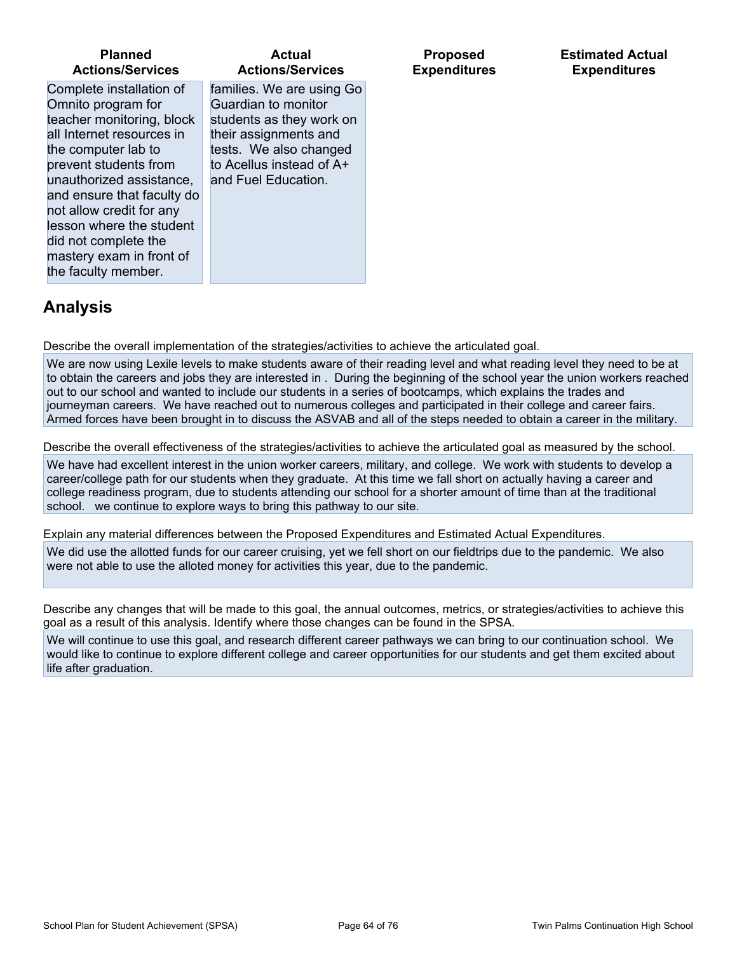| <b>Planned</b>                                                                                                                                                                                                                                                                                                                                            | <b>Actual</b>                                                                                                                                                                                                 | <b>Proposed</b>     | <b>Estimated Actu</b> |
|-----------------------------------------------------------------------------------------------------------------------------------------------------------------------------------------------------------------------------------------------------------------------------------------------------------------------------------------------------------|---------------------------------------------------------------------------------------------------------------------------------------------------------------------------------------------------------------|---------------------|-----------------------|
| <b>Actions/Services</b><br>Complete installation of<br>Omnito program for<br>teacher monitoring, block<br>all Internet resources in<br>the computer lab to<br>prevent students from<br>unauthorized assistance,<br>and ensure that faculty do<br>not allow credit for any<br>lesson where the student<br>did not complete the<br>mastery exam in front of | <b>Actions/Services</b><br>families. We are using Go<br>Guardian to monitor<br>students as they work on<br>their assignments and<br>tests. We also changed<br>to Acellus instead of A+<br>and Fuel Education. | <b>Expenditures</b> | <b>Expenditures</b>   |
| the faculty member.                                                                                                                                                                                                                                                                                                                                       |                                                                                                                                                                                                               |                     |                       |

## **Analysis**

Describe the overall implementation of the strategies/activities to achieve the articulated goal.

We are now using Lexile levels to make students aware of their reading level and what reading level they need to be at to obtain the careers and jobs they are interested in . During the beginning of the school year the union workers reached out to our school and wanted to include our students in a series of bootcamps, which explains the trades and journeyman careers. We have reached out to numerous colleges and participated in their college and career fairs. Armed forces have been brought in to discuss the ASVAB and all of the steps needed to obtain a career in the military.

Describe the overall effectiveness of the strategies/activities to achieve the articulated goal as measured by the school.

We have had excellent interest in the union worker careers, military, and college. We work with students to develop a career/college path for our students when they graduate. At this time we fall short on actually having a career and college readiness program, due to students attending our school for a shorter amount of time than at the traditional school. we continue to explore ways to bring this pathway to our site.

Explain any material differences between the Proposed Expenditures and Estimated Actual Expenditures.

We did use the allotted funds for our career cruising, yet we fell short on our fieldtrips due to the pandemic. We also were not able to use the alloted money for activities this year, due to the pandemic.

Describe any changes that will be made to this goal, the annual outcomes, metrics, or strategies/activities to achieve this goal as a result of this analysis. Identify where those changes can be found in the SPSA.

We will continue to use this goal, and research different career pathways we can bring to our continuation school. We would like to continue to explore different college and career opportunities for our students and get them excited about life after graduation.

**Estimated Actual**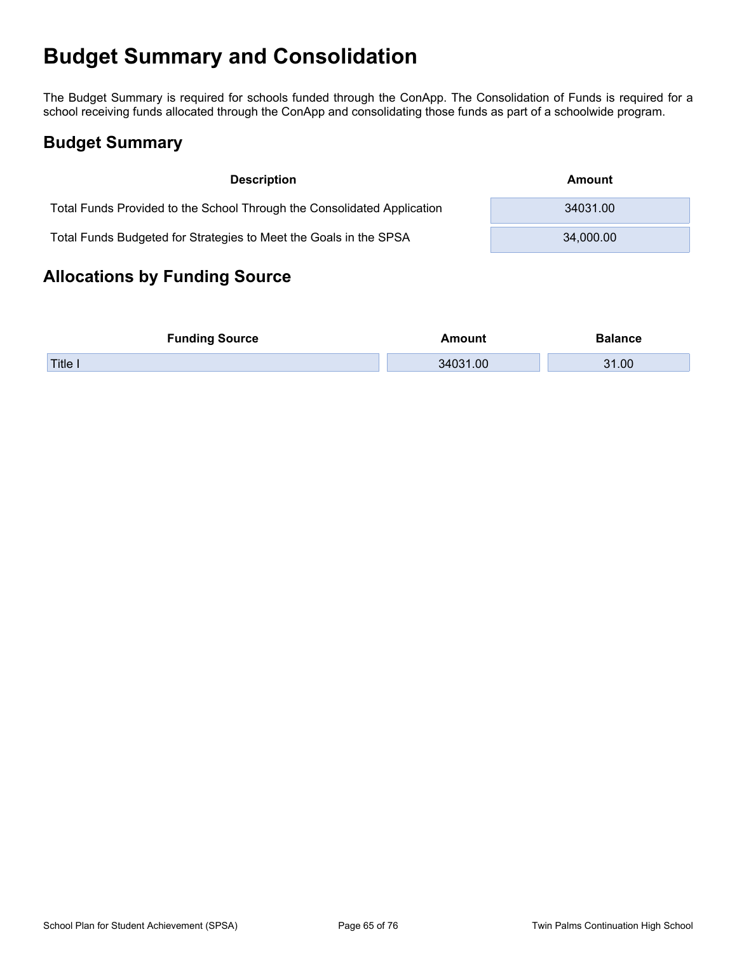# **Budget Summary and Consolidation**

The Budget Summary is required for schools funded through the ConApp. The Consolidation of Funds is required for a school receiving funds allocated through the ConApp and consolidating those funds as part of a schoolwide program.

## **Budget Summary**

| <b>Description</b>                                                      | Amount    |
|-------------------------------------------------------------------------|-----------|
| Total Funds Provided to the School Through the Consolidated Application | 34031.00  |
| Total Funds Budgeted for Strategies to Meet the Goals in the SPSA       | 34,000.00 |

## **Allocations by Funding Source**

| <b>Funding Source</b> | Amount   | Balance |
|-----------------------|----------|---------|
| Title i               | 34031.00 | 31.00   |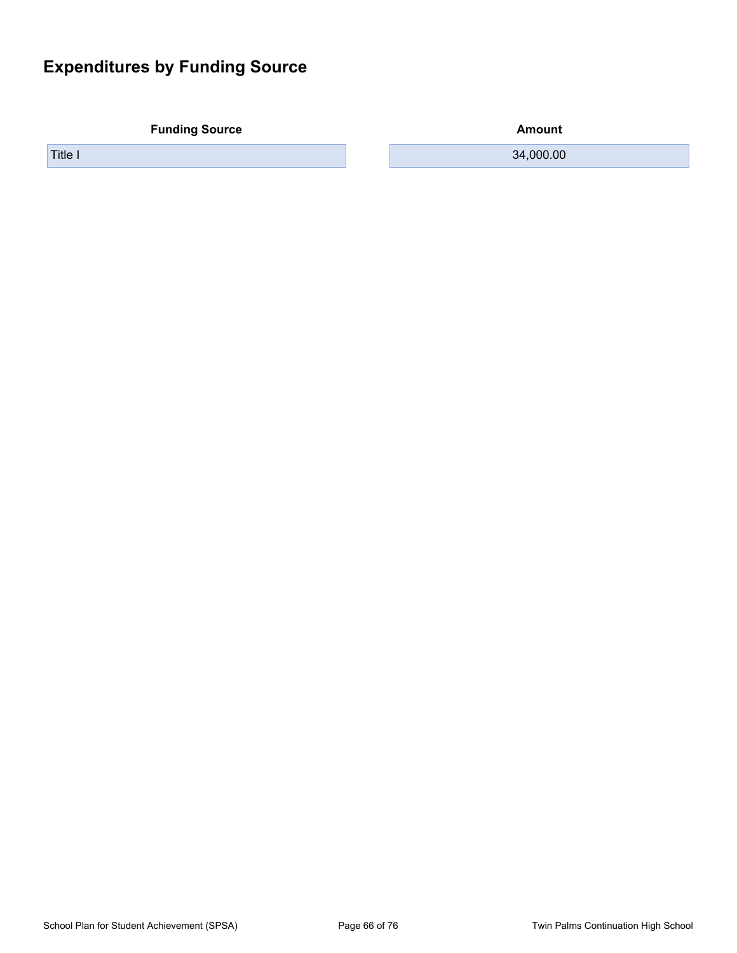## **Expenditures by Funding Source**

**Funding Source Amount** 

Title I 34,000.00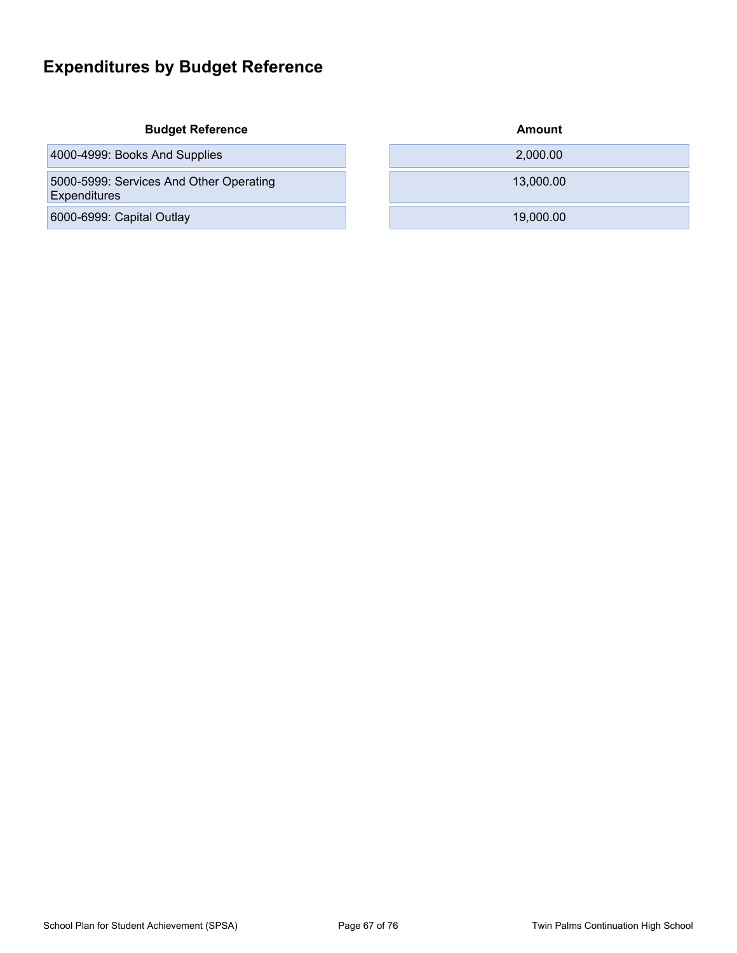## **Expenditures by Budget Reference**

### **Budget Reference**

4000-4999: Books And Supplies

5000-5999: Services And Other Operating **Expenditures** 

6000-6999: Capital Outlay

| Amount    |
|-----------|
| 2,000.00  |
| 13,000.00 |
| 19,000.00 |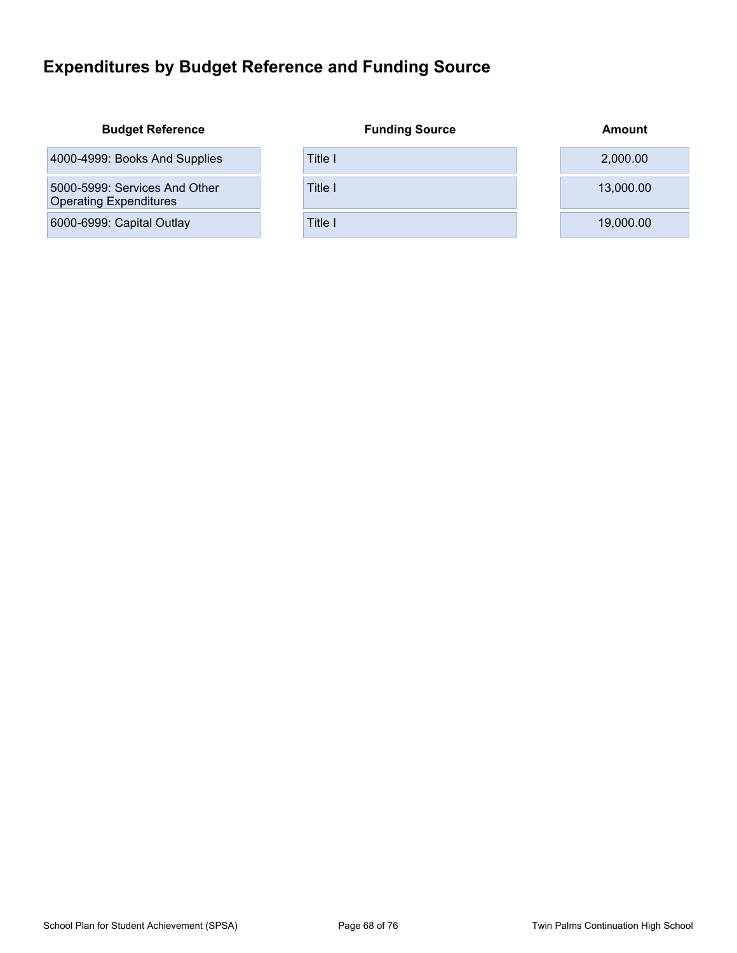## **Expenditures by Budget Reference and Funding Source**

| <b>Budget Reference</b>                                        | <b>Funding Source</b> | Amount    |
|----------------------------------------------------------------|-----------------------|-----------|
| 4000-4999: Books And Supplies                                  | Title I               | 2,000.00  |
| 5000-5999: Services And Other<br><b>Operating Expenditures</b> | Title I               | 13,000,00 |
| 6000-6999: Capital Outlay                                      | Title I               | 19,000.00 |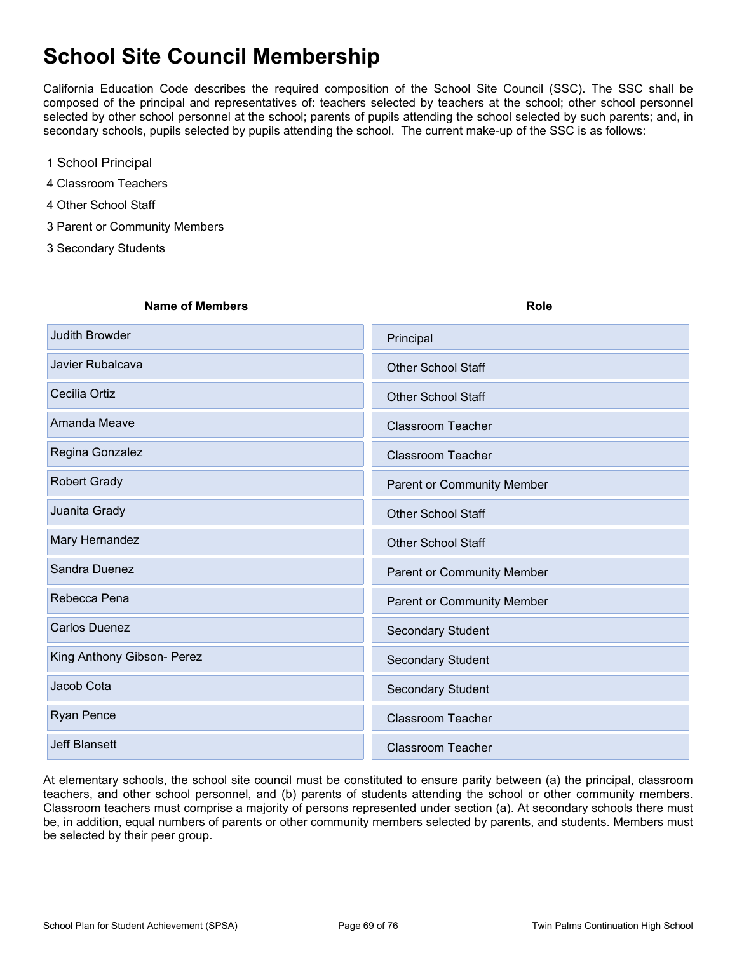# **School Site Council Membership**

California Education Code describes the required composition of the School Site Council (SSC). The SSC shall be composed of the principal and representatives of: teachers selected by teachers at the school; other school personnel selected by other school personnel at the school; parents of pupils attending the school selected by such parents; and, in secondary schools, pupils selected by pupils attending the school. The current make-up of the SSC is as follows:

- 1 School Principal
- 4 Classroom Teachers
- 4 Other School Staff
- 3 Parent or Community Members
- 3 Secondary Students

#### **Name of Members Role**

| Judith Browder             | Principal                  |
|----------------------------|----------------------------|
| Javier Rubalcava           | <b>Other School Staff</b>  |
| Cecilia Ortiz              | <b>Other School Staff</b>  |
| Amanda Meave               | <b>Classroom Teacher</b>   |
| Regina Gonzalez            | <b>Classroom Teacher</b>   |
| <b>Robert Grady</b>        | Parent or Community Member |
| Juanita Grady              | <b>Other School Staff</b>  |
| Mary Hernandez             | <b>Other School Staff</b>  |
| Sandra Duenez              | Parent or Community Member |
| Rebecca Pena               | Parent or Community Member |
| <b>Carlos Duenez</b>       | Secondary Student          |
| King Anthony Gibson- Perez | <b>Secondary Student</b>   |
| Jacob Cota                 | <b>Secondary Student</b>   |
| Ryan Pence                 | <b>Classroom Teacher</b>   |
| <b>Jeff Blansett</b>       | <b>Classroom Teacher</b>   |

At elementary schools, the school site council must be constituted to ensure parity between (a) the principal, classroom teachers, and other school personnel, and (b) parents of students attending the school or other community members. Classroom teachers must comprise a majority of persons represented under section (a). At secondary schools there must be, in addition, equal numbers of parents or other community members selected by parents, and students. Members must be selected by their peer group.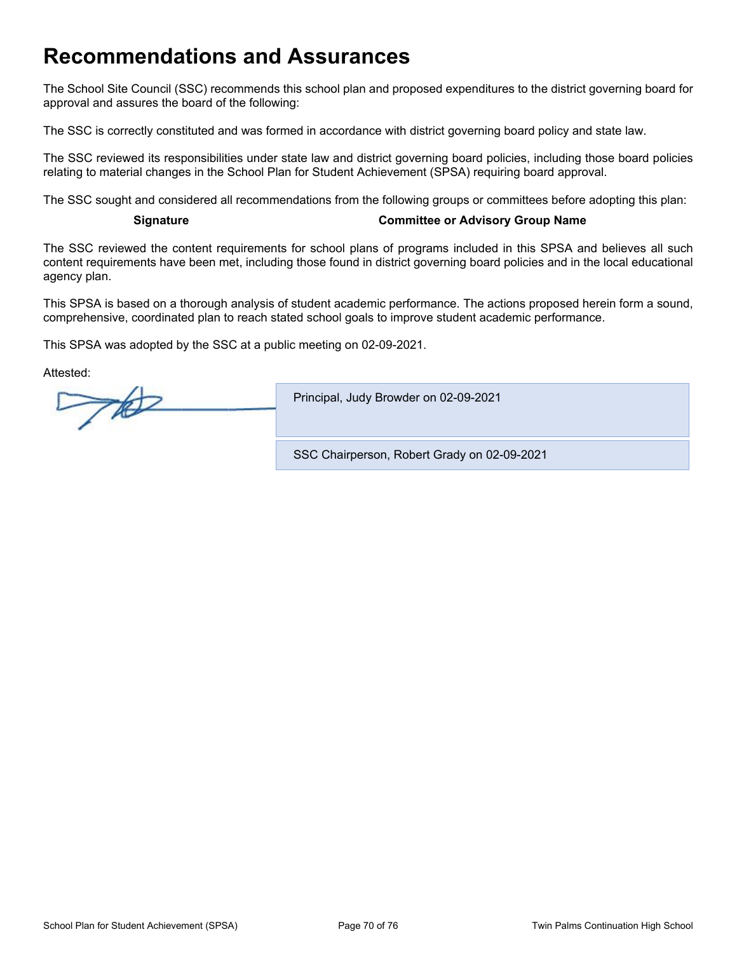# **Recommendations and Assurances**

The School Site Council (SSC) recommends this school plan and proposed expenditures to the district governing board for approval and assures the board of the following:

The SSC is correctly constituted and was formed in accordance with district governing board policy and state law.

The SSC reviewed its responsibilities under state law and district governing board policies, including those board policies relating to material changes in the School Plan for Student Achievement (SPSA) requiring board approval.

The SSC sought and considered all recommendations from the following groups or committees before adopting this plan:

#### **Signature Committee or Advisory Group Name**

The SSC reviewed the content requirements for school plans of programs included in this SPSA and believes all such content requirements have been met, including those found in district governing board policies and in the local educational agency plan.

This SPSA is based on a thorough analysis of student academic performance. The actions proposed herein form a sound, comprehensive, coordinated plan to reach stated school goals to improve student academic performance.

This SPSA was adopted by the SSC at a public meeting on 02-09-2021.

Attested:

 $700$ Principal, Judy Browder on 02-09-2021 SSC Chairperson, Robert Grady on 02-09-2021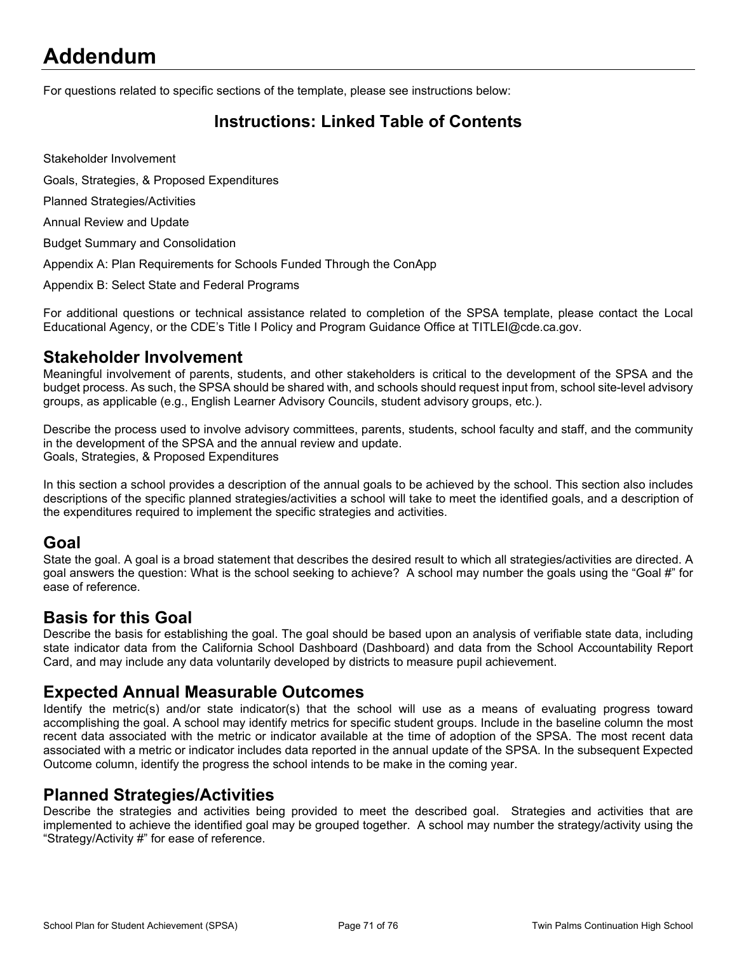# **Addendum**

For questions related to specific sections of the template, please see instructions below:

## **Instructions: Linked Table of Contents**

Stakeholder Involvement

Goals, Strategies, & Proposed Expenditures

Planned Strategies/Activities

Annual Review and Update

Budget Summary and Consolidation

Appendix A: Plan Requirements for Schools Funded Through the ConApp

Appendix B: Select State and Federal Programs

For additional questions or technical assistance related to completion of the SPSA template, please contact the Local Educational Agency, or the CDE's Title I Policy and Program Guidance Office at TITLEI@cde.ca.gov.

### **Stakeholder Involvement**

Meaningful involvement of parents, students, and other stakeholders is critical to the development of the SPSA and the budget process. As such, the SPSA should be shared with, and schools should request input from, school site-level advisory groups, as applicable (e.g., English Learner Advisory Councils, student advisory groups, etc.).

Describe the process used to involve advisory committees, parents, students, school faculty and staff, and the community in the development of the SPSA and the annual review and update. Goals, Strategies, & Proposed Expenditures

In this section a school provides a description of the annual goals to be achieved by the school. This section also includes descriptions of the specific planned strategies/activities a school will take to meet the identified goals, and a description of the expenditures required to implement the specific strategies and activities.

### **Goal**

State the goal. A goal is a broad statement that describes the desired result to which all strategies/activities are directed. A goal answers the question: What is the school seeking to achieve? A school may number the goals using the "Goal #" for ease of reference.

### **Basis for this Goal**

Describe the basis for establishing the goal. The goal should be based upon an analysis of verifiable state data, including state indicator data from the California School Dashboard (Dashboard) and data from the School Accountability Report Card, and may include any data voluntarily developed by districts to measure pupil achievement.

### **Expected Annual Measurable Outcomes**

Identify the metric(s) and/or state indicator(s) that the school will use as a means of evaluating progress toward accomplishing the goal. A school may identify metrics for specific student groups. Include in the baseline column the most recent data associated with the metric or indicator available at the time of adoption of the SPSA. The most recent data associated with a metric or indicator includes data reported in the annual update of the SPSA. In the subsequent Expected Outcome column, identify the progress the school intends to be make in the coming year.

### **Planned Strategies/Activities**

Describe the strategies and activities being provided to meet the described goal. Strategies and activities that are implemented to achieve the identified goal may be grouped together. A school may number the strategy/activity using the "Strategy/Activity #" for ease of reference.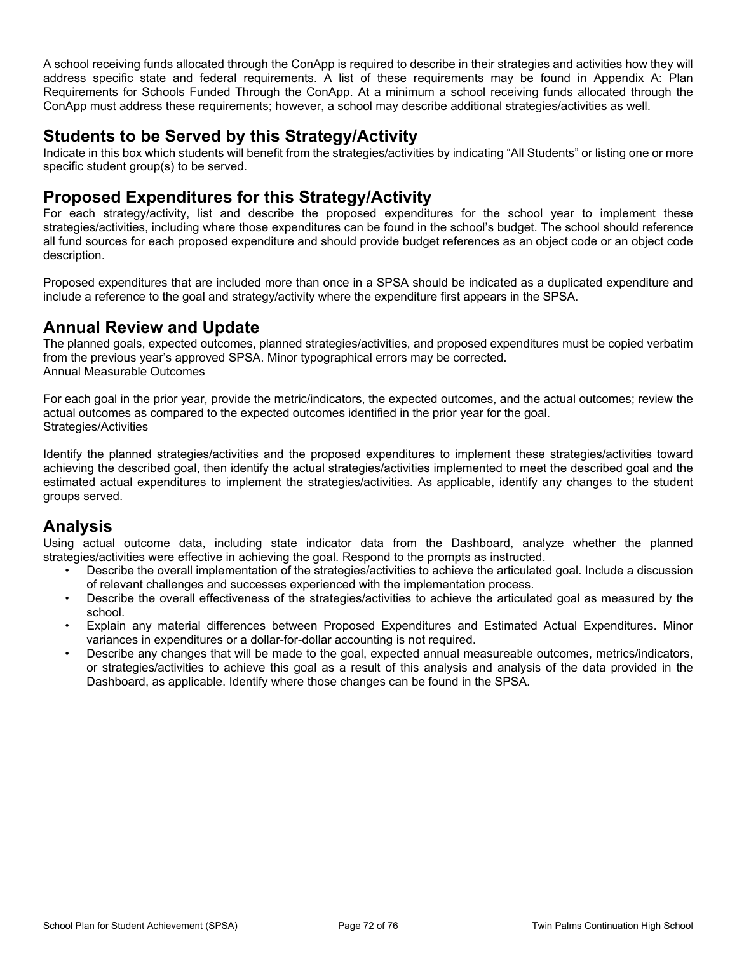A school receiving funds allocated through the ConApp is required to describe in their strategies and activities how they will address specific state and federal requirements. A list of these requirements may be found in Appendix A: Plan Requirements for Schools Funded Through the ConApp. At a minimum a school receiving funds allocated through the ConApp must address these requirements; however, a school may describe additional strategies/activities as well.

## **Students to be Served by this Strategy/Activity**

Indicate in this box which students will benefit from the strategies/activities by indicating "All Students" or listing one or more specific student group(s) to be served.

### **Proposed Expenditures for this Strategy/Activity**

For each strategy/activity, list and describe the proposed expenditures for the school year to implement these strategies/activities, including where those expenditures can be found in the school's budget. The school should reference all fund sources for each proposed expenditure and should provide budget references as an object code or an object code description.

Proposed expenditures that are included more than once in a SPSA should be indicated as a duplicated expenditure and include a reference to the goal and strategy/activity where the expenditure first appears in the SPSA.

## **Annual Review and Update**

The planned goals, expected outcomes, planned strategies/activities, and proposed expenditures must be copied verbatim from the previous year's approved SPSA. Minor typographical errors may be corrected. Annual Measurable Outcomes

For each goal in the prior year, provide the metric/indicators, the expected outcomes, and the actual outcomes; review the actual outcomes as compared to the expected outcomes identified in the prior year for the goal. Strategies/Activities

Identify the planned strategies/activities and the proposed expenditures to implement these strategies/activities toward achieving the described goal, then identify the actual strategies/activities implemented to meet the described goal and the estimated actual expenditures to implement the strategies/activities. As applicable, identify any changes to the student groups served.

## **Analysis**

Using actual outcome data, including state indicator data from the Dashboard, analyze whether the planned strategies/activities were effective in achieving the goal. Respond to the prompts as instructed.

- Describe the overall implementation of the strategies/activities to achieve the articulated goal. Include a discussion of relevant challenges and successes experienced with the implementation process.
- Describe the overall effectiveness of the strategies/activities to achieve the articulated goal as measured by the school.
- Explain any material differences between Proposed Expenditures and Estimated Actual Expenditures. Minor variances in expenditures or a dollar-for-dollar accounting is not required.
- Describe any changes that will be made to the goal, expected annual measureable outcomes, metrics/indicators, or strategies/activities to achieve this goal as a result of this analysis and analysis of the data provided in the Dashboard, as applicable. Identify where those changes can be found in the SPSA.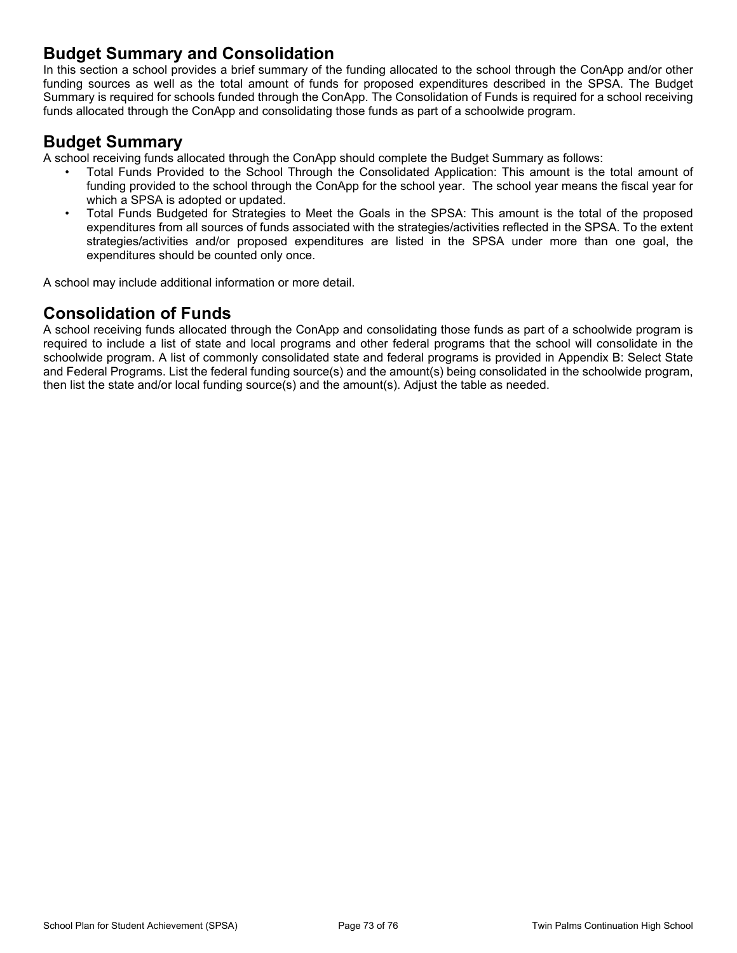#### **Budget Summary and Consolidation**

In this section a school provides a brief summary of the funding allocated to the school through the ConApp and/or other funding sources as well as the total amount of funds for proposed expenditures described in the SPSA. The Budget Summary is required for schools funded through the ConApp. The Consolidation of Funds is required for a school receiving funds allocated through the ConApp and consolidating those funds as part of a schoolwide program.

#### **Budget Summary**

A school receiving funds allocated through the ConApp should complete the Budget Summary as follows:

- Total Funds Provided to the School Through the Consolidated Application: This amount is the total amount of funding provided to the school through the ConApp for the school year. The school year means the fiscal year for which a SPSA is adopted or updated.
- Total Funds Budgeted for Strategies to Meet the Goals in the SPSA: This amount is the total of the proposed expenditures from all sources of funds associated with the strategies/activities reflected in the SPSA. To the extent strategies/activities and/or proposed expenditures are listed in the SPSA under more than one goal, the expenditures should be counted only once.

A school may include additional information or more detail.

#### **Consolidation of Funds**

A school receiving funds allocated through the ConApp and consolidating those funds as part of a schoolwide program is required to include a list of state and local programs and other federal programs that the school will consolidate in the schoolwide program. A list of commonly consolidated state and federal programs is provided in Appendix B: Select State and Federal Programs. List the federal funding source(s) and the amount(s) being consolidated in the schoolwide program, then list the state and/or local funding source(s) and the amount(s). Adjust the table as needed.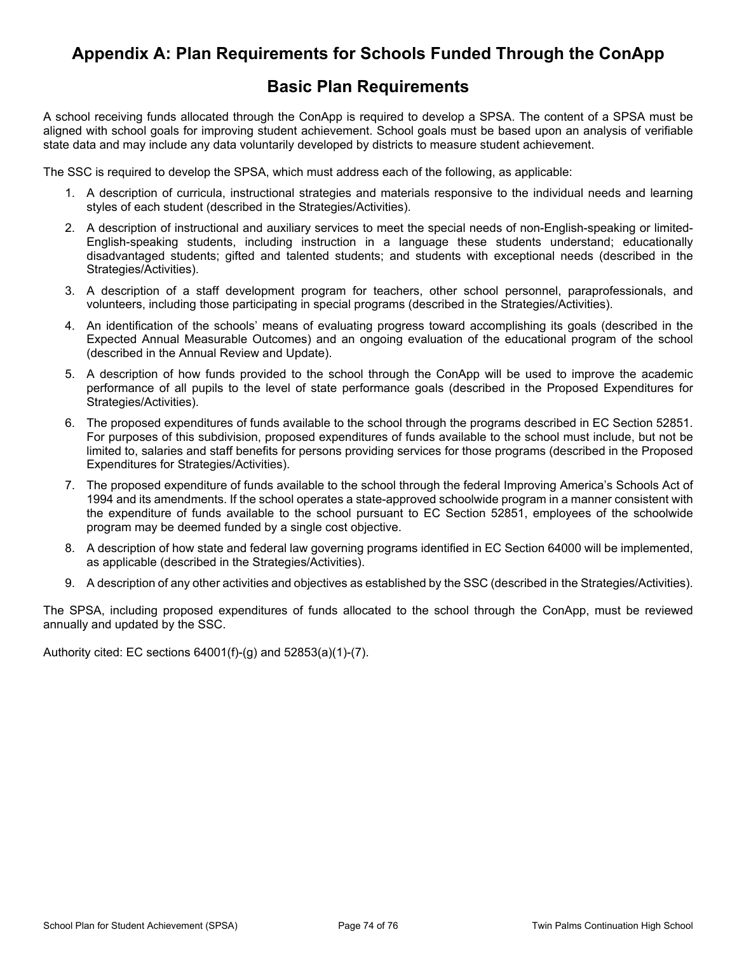#### **Appendix A: Plan Requirements for Schools Funded Through the ConApp**

#### **Basic Plan Requirements**

A school receiving funds allocated through the ConApp is required to develop a SPSA. The content of a SPSA must be aligned with school goals for improving student achievement. School goals must be based upon an analysis of verifiable state data and may include any data voluntarily developed by districts to measure student achievement.

The SSC is required to develop the SPSA, which must address each of the following, as applicable:

- 1. A description of curricula, instructional strategies and materials responsive to the individual needs and learning styles of each student (described in the Strategies/Activities).
- 2. A description of instructional and auxiliary services to meet the special needs of non-English-speaking or limited-English-speaking students, including instruction in a language these students understand; educationally disadvantaged students; gifted and talented students; and students with exceptional needs (described in the Strategies/Activities).
- 3. A description of a staff development program for teachers, other school personnel, paraprofessionals, and volunteers, including those participating in special programs (described in the Strategies/Activities).
- 4. An identification of the schools' means of evaluating progress toward accomplishing its goals (described in the Expected Annual Measurable Outcomes) and an ongoing evaluation of the educational program of the school (described in the Annual Review and Update).
- 5. A description of how funds provided to the school through the ConApp will be used to improve the academic performance of all pupils to the level of state performance goals (described in the Proposed Expenditures for Strategies/Activities).
- 6. The proposed expenditures of funds available to the school through the programs described in EC Section 52851. For purposes of this subdivision, proposed expenditures of funds available to the school must include, but not be limited to, salaries and staff benefits for persons providing services for those programs (described in the Proposed Expenditures for Strategies/Activities).
- 7. The proposed expenditure of funds available to the school through the federal Improving America's Schools Act of 1994 and its amendments. If the school operates a state-approved schoolwide program in a manner consistent with the expenditure of funds available to the school pursuant to EC Section 52851, employees of the schoolwide program may be deemed funded by a single cost objective.
- 8. A description of how state and federal law governing programs identified in EC Section 64000 will be implemented, as applicable (described in the Strategies/Activities).
- 9. A description of any other activities and objectives as established by the SSC (described in the Strategies/Activities).

The SPSA, including proposed expenditures of funds allocated to the school through the ConApp, must be reviewed annually and updated by the SSC.

Authority cited: EC sections 64001(f)-(g) and 52853(a)(1)-(7).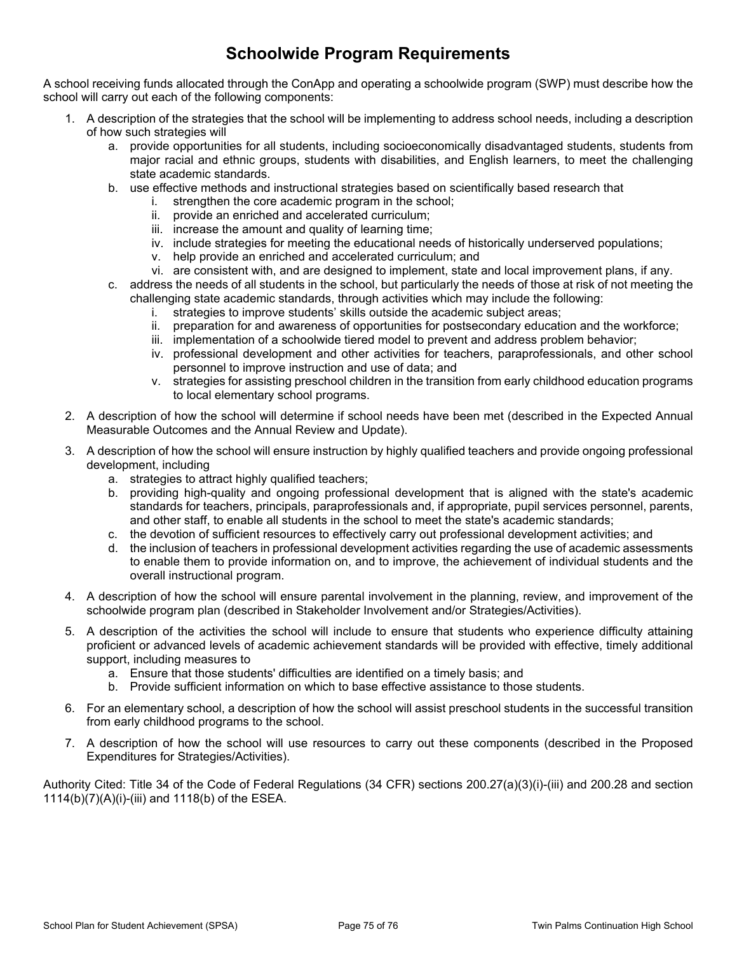#### **Schoolwide Program Requirements**

A school receiving funds allocated through the ConApp and operating a schoolwide program (SWP) must describe how the school will carry out each of the following components:

- 1. A description of the strategies that the school will be implementing to address school needs, including a description of how such strategies will
	- a. provide opportunities for all students, including socioeconomically disadvantaged students, students from major racial and ethnic groups, students with disabilities, and English learners, to meet the challenging state academic standards.
	- b. use effective methods and instructional strategies based on scientifically based research that
		- i. strengthen the core academic program in the school;
		- ii. provide an enriched and accelerated curriculum;
		- iii. increase the amount and quality of learning time;
		- iv. include strategies for meeting the educational needs of historically underserved populations;
		- v. help provide an enriched and accelerated curriculum; and
		- vi. are consistent with, and are designed to implement, state and local improvement plans, if any.
	- c. address the needs of all students in the school, but particularly the needs of those at risk of not meeting the challenging state academic standards, through activities which may include the following:
		- i. strategies to improve students' skills outside the academic subject areas;
		- ii. preparation for and awareness of opportunities for postsecondary education and the workforce;
		- iii. implementation of a schoolwide tiered model to prevent and address problem behavior;
		- iv. professional development and other activities for teachers, paraprofessionals, and other school personnel to improve instruction and use of data; and
		- v. strategies for assisting preschool children in the transition from early childhood education programs to local elementary school programs.
- 2. A description of how the school will determine if school needs have been met (described in the Expected Annual Measurable Outcomes and the Annual Review and Update).
- 3. A description of how the school will ensure instruction by highly qualified teachers and provide ongoing professional development, including
	- a. strategies to attract highly qualified teachers;
	- b. providing high-quality and ongoing professional development that is aligned with the state's academic standards for teachers, principals, paraprofessionals and, if appropriate, pupil services personnel, parents, and other staff, to enable all students in the school to meet the state's academic standards;
	- c. the devotion of sufficient resources to effectively carry out professional development activities; and
	- d. the inclusion of teachers in professional development activities regarding the use of academic assessments to enable them to provide information on, and to improve, the achievement of individual students and the overall instructional program.
- 4. A description of how the school will ensure parental involvement in the planning, review, and improvement of the schoolwide program plan (described in Stakeholder Involvement and/or Strategies/Activities).
- 5. A description of the activities the school will include to ensure that students who experience difficulty attaining proficient or advanced levels of academic achievement standards will be provided with effective, timely additional support, including measures to
	- a. Ensure that those students' difficulties are identified on a timely basis; and
	- b. Provide sufficient information on which to base effective assistance to those students.
- 6. For an elementary school, a description of how the school will assist preschool students in the successful transition from early childhood programs to the school.
- 7. A description of how the school will use resources to carry out these components (described in the Proposed Expenditures for Strategies/Activities).

Authority Cited: Title 34 of the Code of Federal Regulations (34 CFR) sections 200.27(a)(3)(i)-(iii) and 200.28 and section 1114(b)(7)(A)(i)-(iii) and 1118(b) of the ESEA.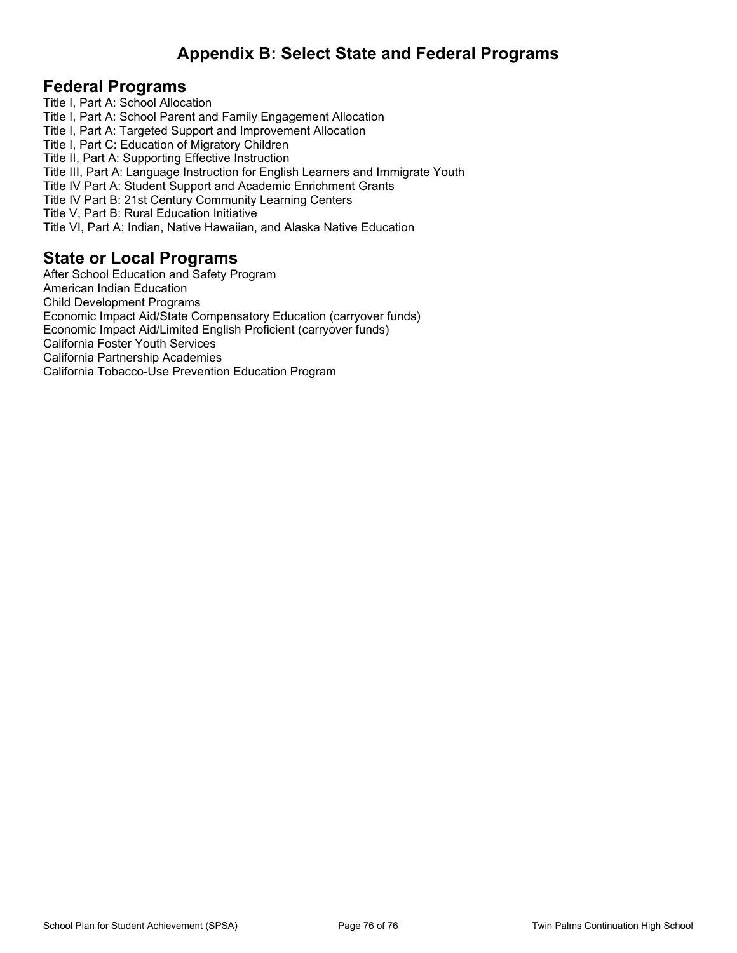#### **Appendix B: Select State and Federal Programs**

#### **Federal Programs**

Title I, Part A: School Allocation Title I, Part A: School Parent and Family Engagement Allocation Title I, Part A: Targeted Support and Improvement Allocation Title I, Part C: Education of Migratory Children Title II, Part A: Supporting Effective Instruction Title III, Part A: Language Instruction for English Learners and Immigrate Youth Title IV Part A: Student Support and Academic Enrichment Grants Title IV Part B: 21st Century Community Learning Centers Title V, Part B: Rural Education Initiative Title VI, Part A: Indian, Native Hawaiian, and Alaska Native Education

#### **State or Local Programs**

After School Education and Safety Program American Indian Education Child Development Programs Economic Impact Aid/State Compensatory Education (carryover funds) Economic Impact Aid/Limited English Proficient (carryover funds) California Foster Youth Services California Partnership Academies California Tobacco-Use Prevention Education Program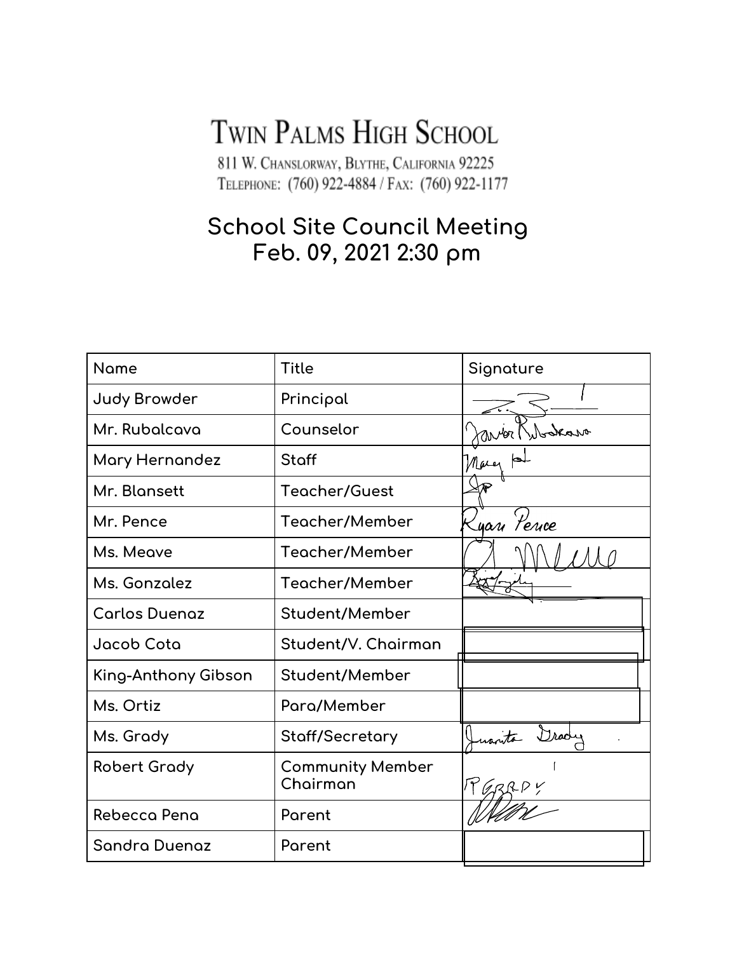# TWIN PALMS HIGH SCHOOL

811 W. CHANSLORWAY, BLYTHE, CALIFORNIA 92225 TELEPHONE: (760) 922-4884 / FAX: (760) 922-1177

# **School Site Council Meeting** Feb. 09, 2021 2:30 pm

| <b>Name</b>          | <b>Title</b>                        | Signature                  |
|----------------------|-------------------------------------|----------------------------|
| <b>Judy Browder</b>  | Principal                           |                            |
| Mr. Rubalcava        | Counselor                           | anter Nu                   |
| Mary Hernandez       | Staff                               | Mary                       |
| Mr. Blansett         | <b>Teacher/Guest</b>                |                            |
| Mr. Pence            | Teacher/Member                      | <sub>-</sub><br>Lyan Pence |
| Ms. Meave            | Teacher/Member                      |                            |
| Ms. Gonzolez         | Teacher/Member                      |                            |
| <b>Carlos Duenaz</b> | Student/Member                      |                            |
| Jacob Cota           | Student/V. Chairman                 |                            |
| King-Anthony Gibson  | Student/Member                      |                            |
| Ms. Ortiz            | Para/Member                         |                            |
| Ms. Grady            | Staff/Secretary                     | $D$ rodu                   |
| <b>Robert Grady</b>  | <b>Community Member</b><br>Chairman |                            |
| Rebecca Pena         | Parent                              |                            |
| Sandra Duenaz        | Parent                              |                            |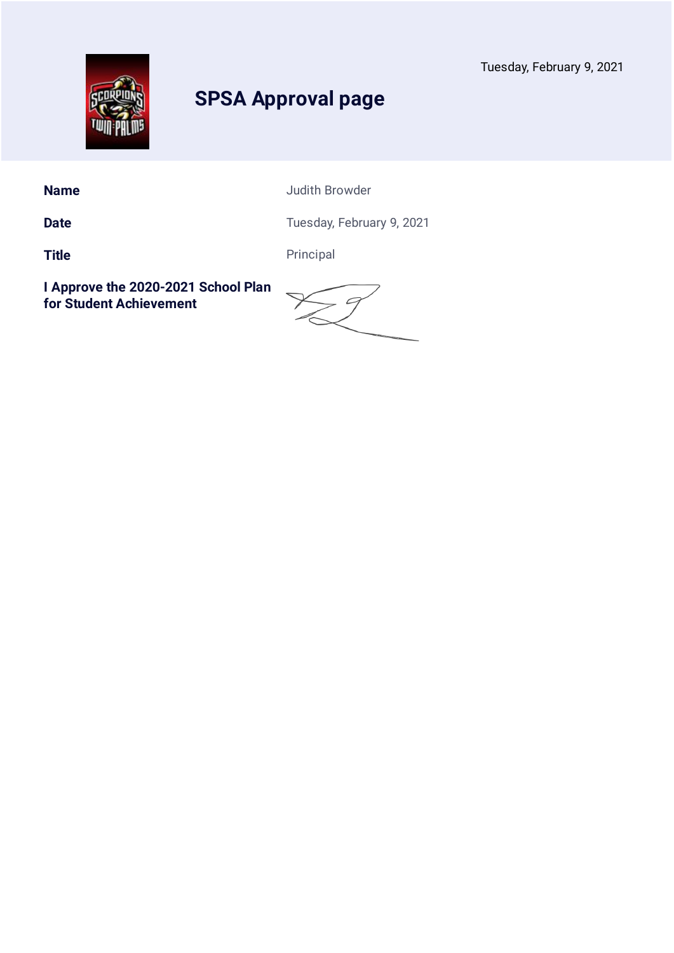

**Name** Judith Browder

Date **Date** Tuesday, February 9, 2021

**Title** Principal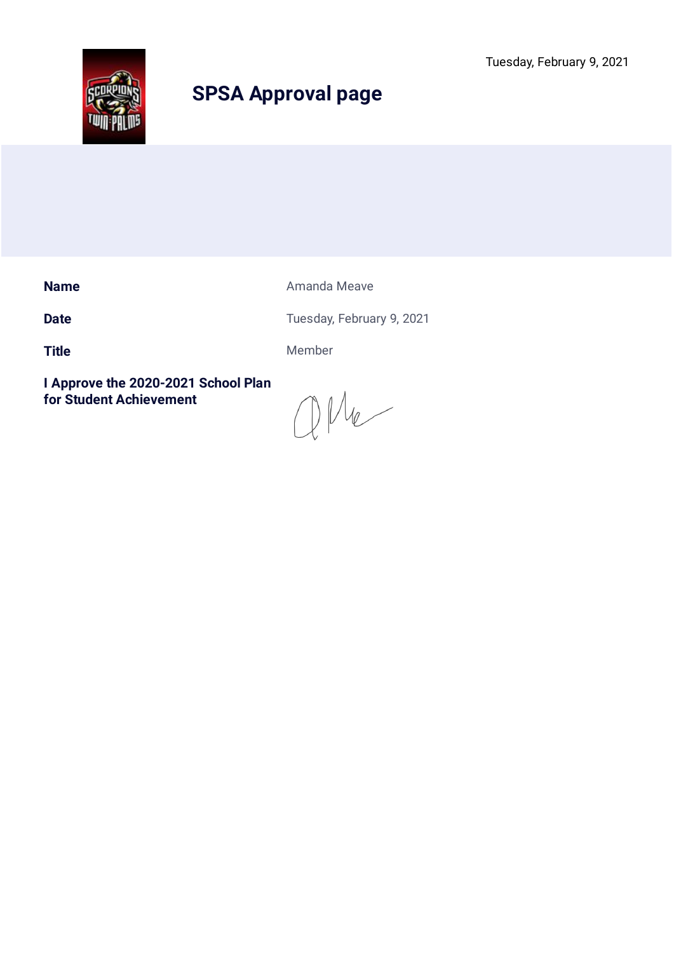Tuesday, February 9, 2021



# **SPSA Approval page**

**Name Amanda Meave Amanda Meave** 

**Date** Tuesday, February 9, 2021

Title Member

 $QMe$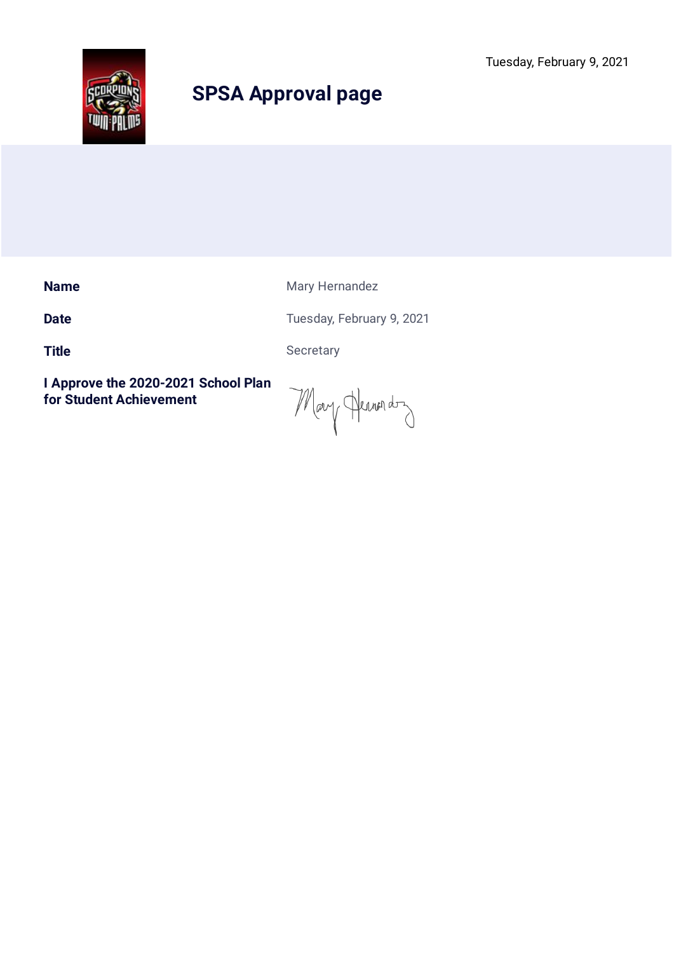

**Name** Mary Hernandez

**Date** Tuesday, February 9, 2021

Title Secretary

Mary Hermon don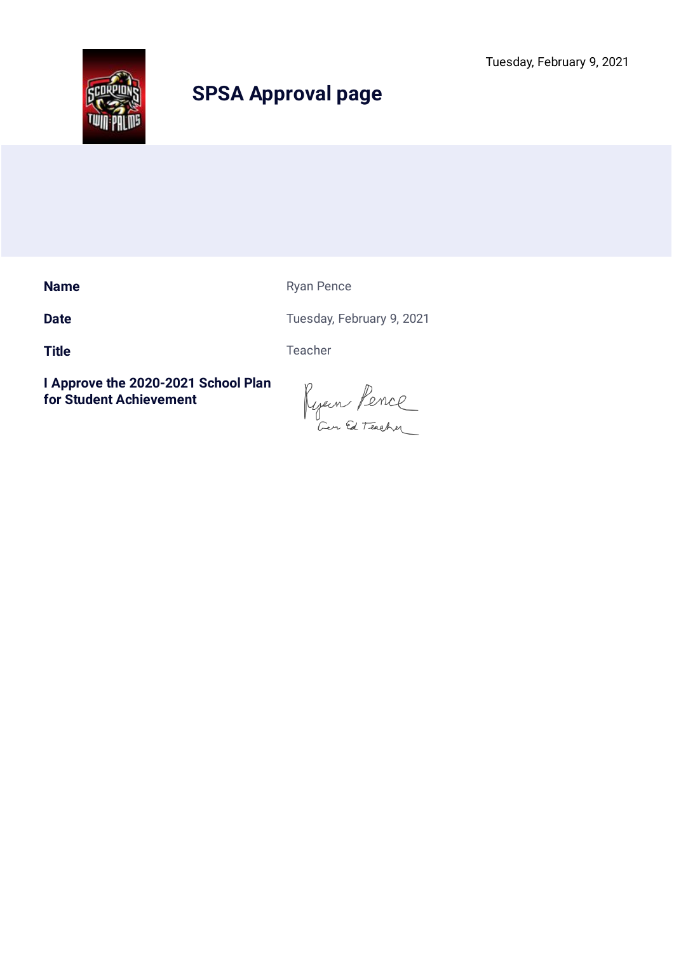

**Name** Ryan Pence

**Date** Tuesday, February 9, 2021

Title Teacher

Ryen Pence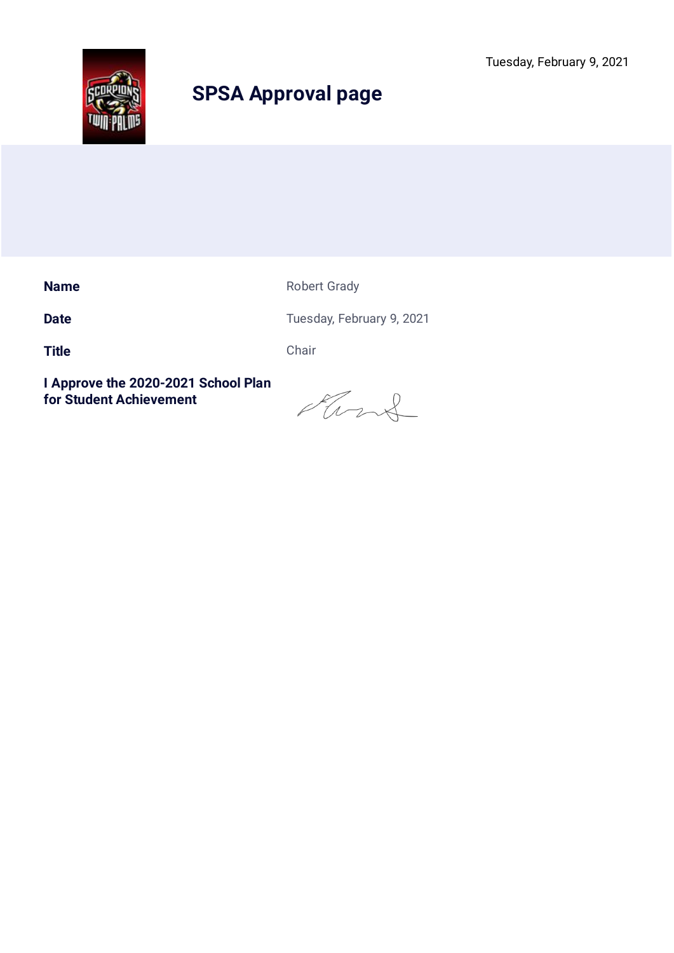

**Name** Robert Grady

**Date** Tuesday, February 9, 2021

**Title** Chair

Ford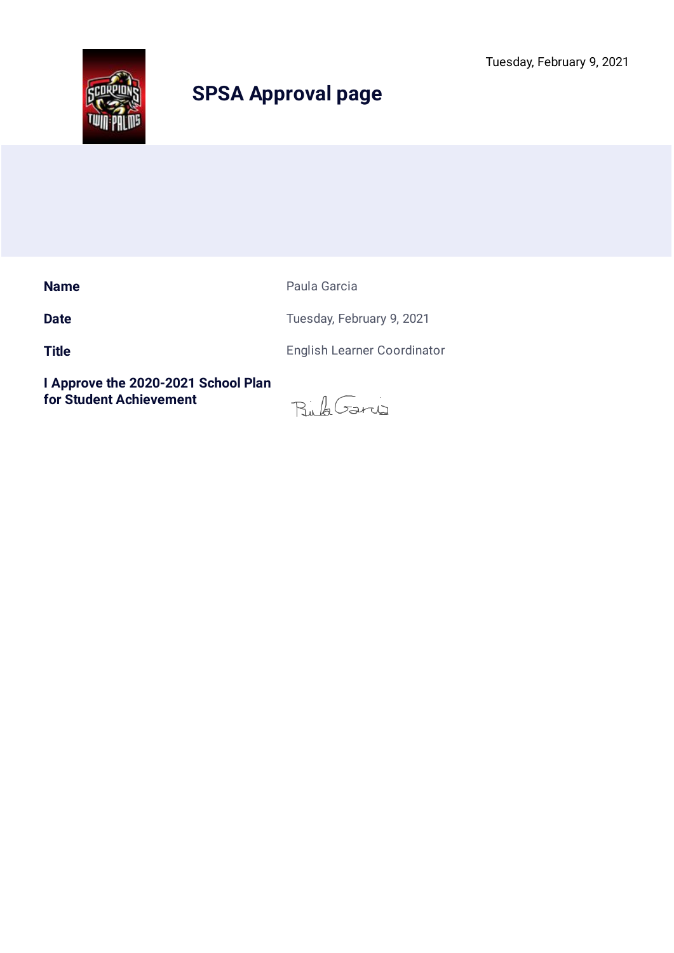

**Name** Paula Garcia

**Date** Tuesday, February 9, 2021

**Title** English Learner Coordinator

BubGary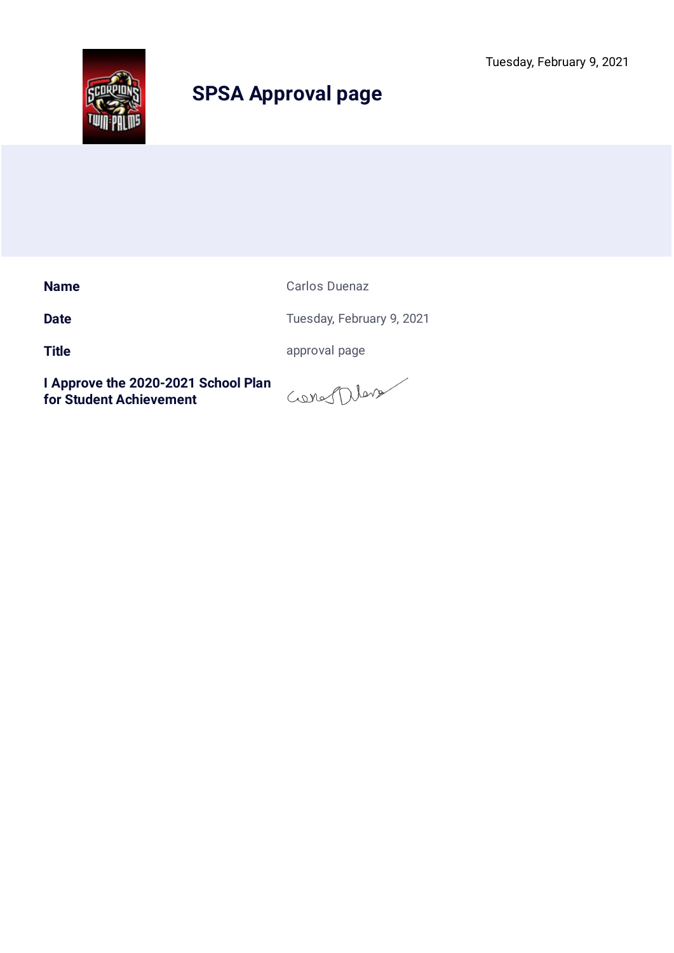Tuesday, February 9, 2021



# **SPSA Approval page**

**Name** Carlos Duenaz

**Date** Tuesday, February 9, 2021

**Title** approval page

General Dema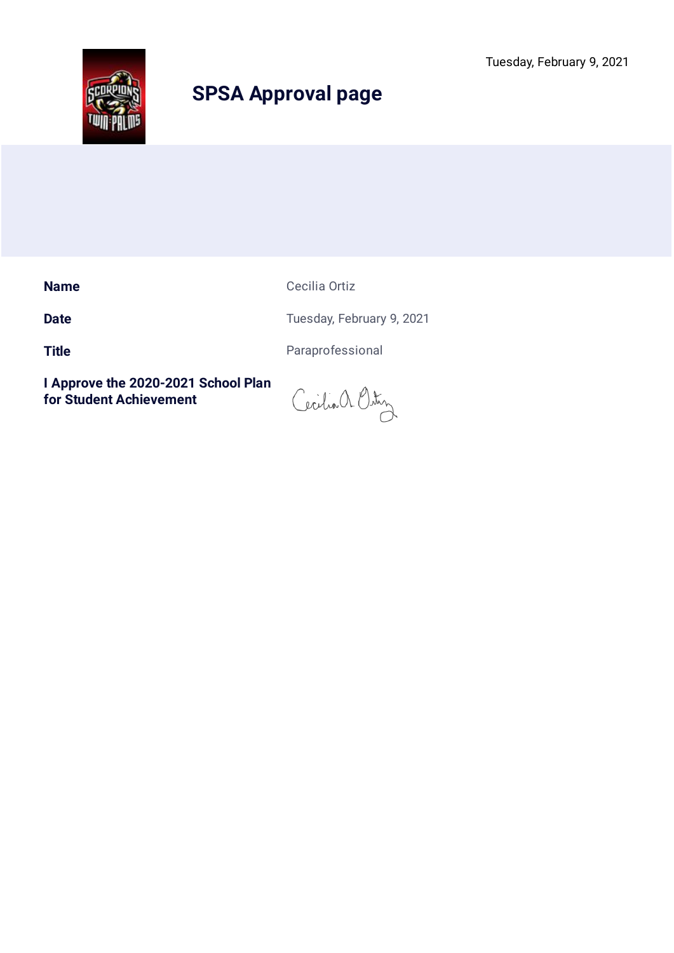

**Name** Cecilia Ortiz

**Date** Tuesday, February 9, 2021

Title **Title Paraprofessional** 

Cecilia a Ostin